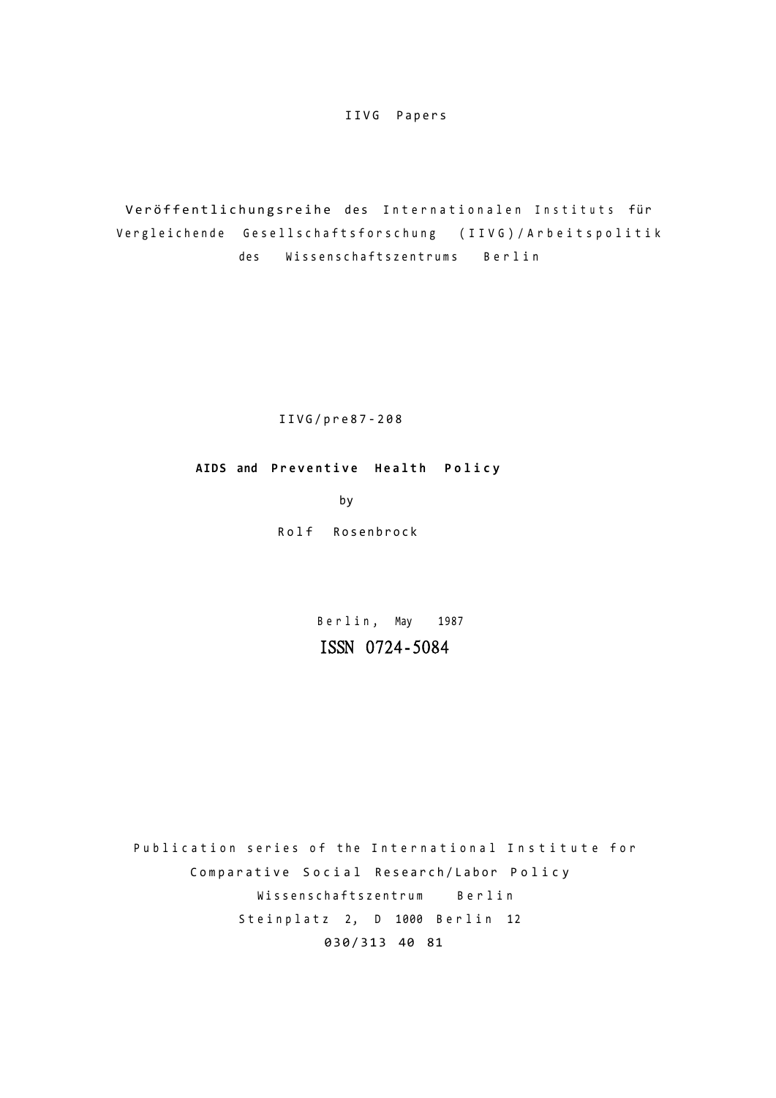IIVG Papers

Veröffentlichungsreihe des Internationalen Instituts für Vergleichende Gesellschaftsforschung (IIVG)/Arbeitspolitik des Wissenschaftszentrums Berlin

IIVG/pre87-20 8

AIDS and Preventive Health Policy

by

Rolf Rosenbrock

Berlin, May 1987 **ISSN 0724-5084** 

Publication series of the International Institute for Comparative Social Research/Labor Policy Wissenschaftszentrum Berlin Steinplatz 2, D 1000 Berlin 12 030/313 40 81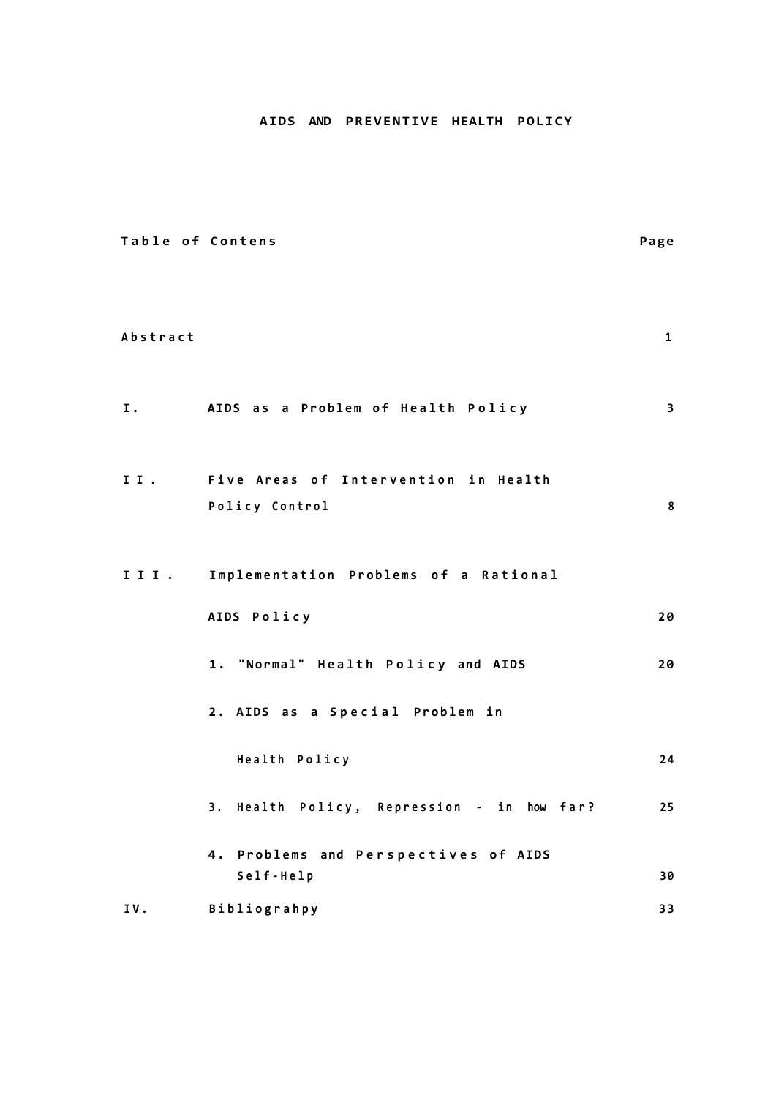# **AIDS AND PREVENTIVE HEALTH POLICY**

| Table of Contens |                                                        | Page                    |
|------------------|--------------------------------------------------------|-------------------------|
| Abstract         |                                                        | $\mathbf{1}$            |
| I.               | AIDS as a Problem of Health Policy                     | $\overline{\mathbf{3}}$ |
| II.              | Five Areas of Intervention in Health<br>Policy Control | 8                       |
|                  | III. Implementation Problems of a Rational             |                         |
|                  | AIDS Policy                                            | 20                      |
|                  | 1. "Normal" Health Policy and AIDS                     | 20                      |
|                  | 2. AIDS as a Special Problem in                        |                         |
|                  | Health Policy                                          | 24                      |
|                  | 3. Health Policy, Repression - in how far?             | 25                      |
|                  | 4. Problems and Perspectives of AIDS<br>Self-Help      | 30                      |
| IV.              | Bibliograhpy                                           | 33                      |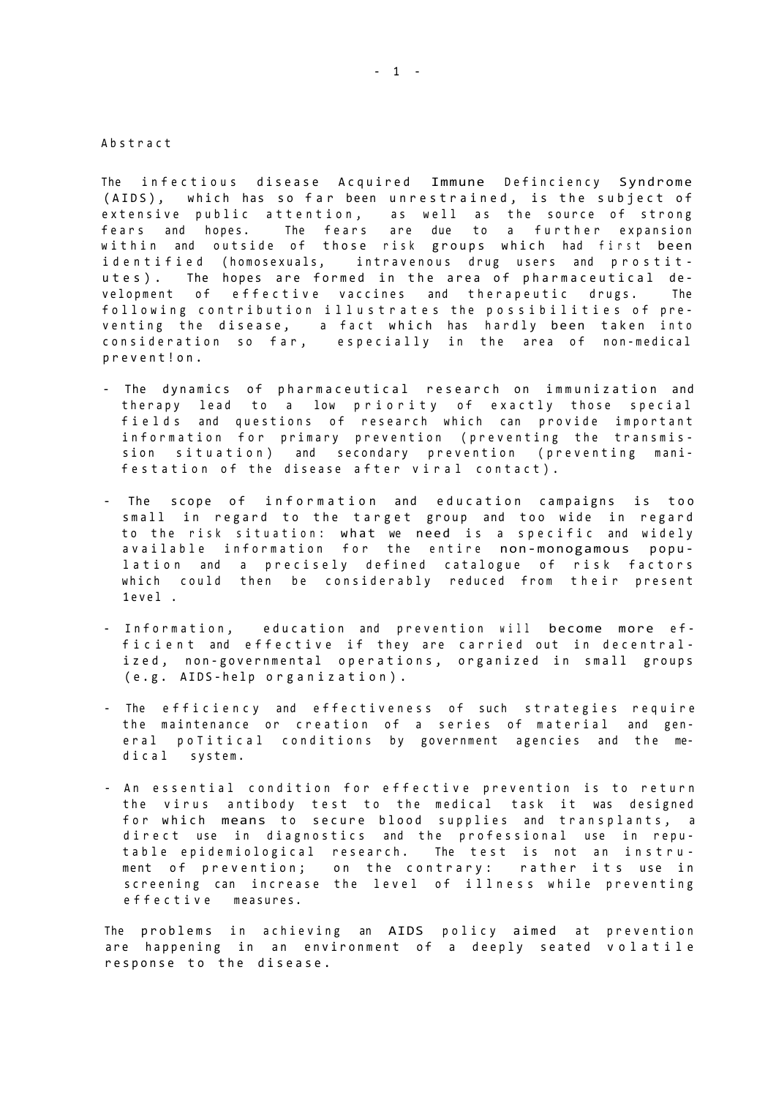Abstrac t

The infectious disease Acquired Immune Definciency Syndrome (AIDS), which has so far been unrestrained, is the subject of extensive public attention, as well as the source of strong fears and hopes. The fears are due to a further expansion within and outside of those risk groups which had first been identified (homosexuals, intravenous drug users and prostitutes). The hopes are formed in the area of pharmaceutical development of effective vaccines and therapeutic drugs. The following contribution illustrates the possibilities of preventing the disease, a fact which has hardly been taken into consideration so far, especially in the area of non-medical prevent!on .

- The dynamics of pharmaceutical research on immunization and therapy lead to a low priority of exactly those special fields and questions of research which can provide important information for primary prevention (preventing the transmission situation) and secondary prevention (preventing manifestation of the disease after viral contact).
- The scope of information and education campaigns is too small in regard to the target group and too wide in regard to the risk situation: what we need is a specific and widely available information for the entire non-monogamous population and a precisely defined catalogue of risk factors which could then be considerably reduced from their present 1eve l .
- Information, education and prevention will become more efficient and effective if they are carried out in decentralized, non-governmental operations, organized in small groups (e.g. AIDS-help organization).
- The efficiency and effectiveness of such strategies require the maintenance or creation of a series of material and general poTitical conditions by government agencies and the medical system.
- An essential condition for effective prevention is to return the virus antibody test to the medical task it was designed for which means to secure blood supplies and transplants, a direct use in diagnostics and the professional use in reputable epidemiological research. The test is not an instrument of prevention; on the contrary: rather its use in screening can increase the level of illness while preventing effective measures.

The problems in achieving an AIDS policy aimed at prevention are happening in an environment of a deeply seated volatile response to the disease.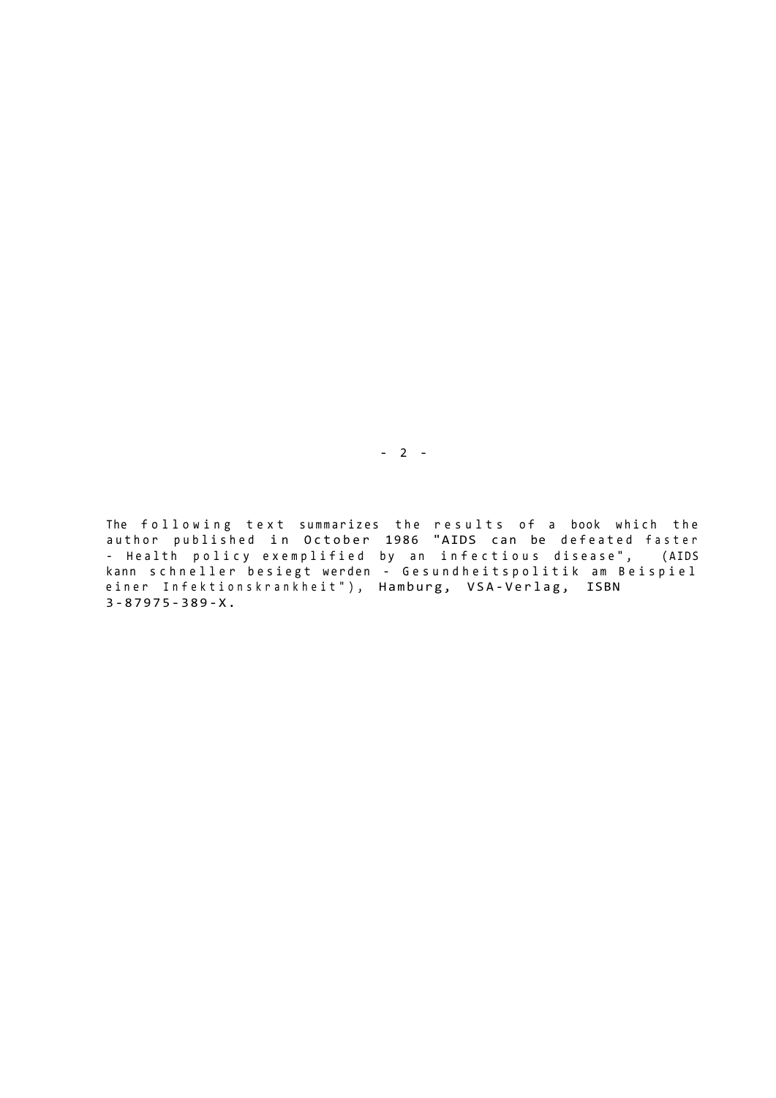The following text summarizes the results of a book which the author published in October 1986 "AIDS can be defeated faster - Health policy exemplified by an infectious disease", (AIDS kann schneller besiegt werden - Gesundheitspolitik am Beispiel einer Infektionskrankheit"), Hamburg, VSA-Verlag, ISBN 3-87975-389-X .

- 2 -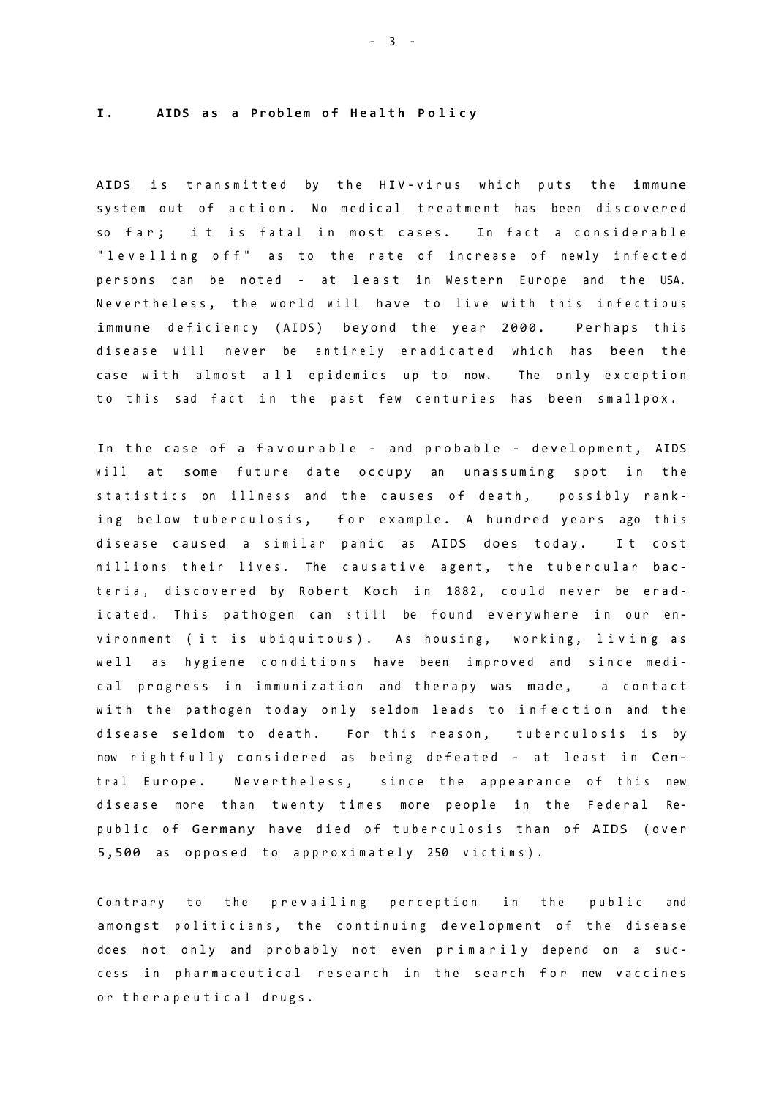## **I . AIDS a s a Proble m o f Healt h Polic y**

AIDS is transmitted by the HIV-virus which puts the immune system out of action. No medical treatment has been discovered so far; it is fatal in most cases. In fact a considerable "levelling off" as to the rate of increase of newly infected persons can be noted - at least in Western Europe and the USA. Nevertheless, the world will have to live with this infectious immune deficiency (AIDS) beyond the year 2000. Perhaps this disease will never be entirely eradicated which has been the case with almost all epidemics up to now. The only exception to this sad fact in the past few centuries has been smallpox.

In the case of a favourable - and probable - development, AIDS will at some future date occupy an unassuming spot in the statistics on illness and the causes of death, possibly ranking below tuberculosis, for example. A hundred years ago this disease caused a similar panic as AIDS does today. It cost millions their lives. The causative agent, the tubercular bacteria, discovered by Robert Koch in 1882, could never be eradicated. This pathogen can still be found everywhere in our environment (it is ubiquitous). As housing, working, living as well as hygiene conditions have been improved and since medical progress in immunization and therapy was made, a contact with the pathogen today only seldom leads to infection and the disease seldom to death. For this reason, tuberculosis is by now rightfully considered as being defeated - at least in Central Europe. Nevertheless, since the appearance of this new disease more than twenty times more people in the Federal Republic of Germany have died of tuberculosis than of AIDS (over 5,500 as opposed to approximately 250 victims).

Contrary to the prevailing perception in the public and amongst politicians, the continuing development of the disease does not only and probably not even primarily depend on a success in pharmaceutical research in the search for new vaccines or therapeutical drugs.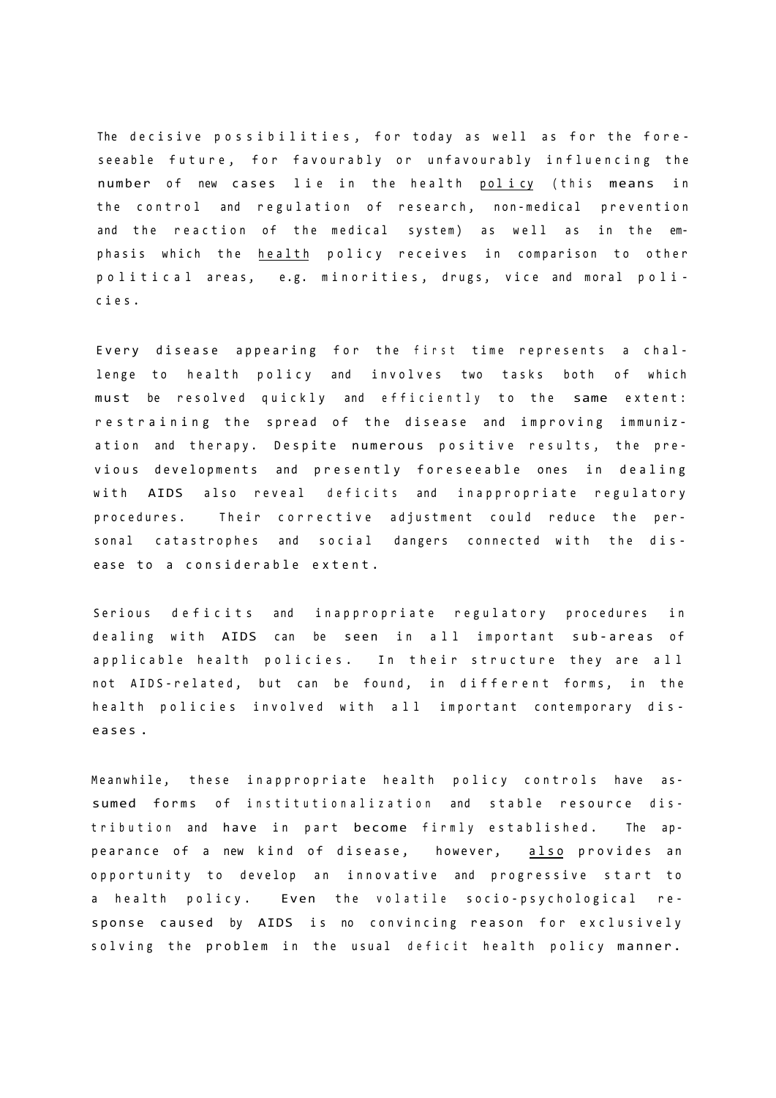The decisive possibilities, for today as well as for the foreseeable future, for favourably or unfavourably influencing the number of new cases lie in the health policy (this means in the control and regulation of research, non-medical prevention and the reaction of the medical system) as well as in the emphasis which the health policy receives in comparison to other political areas, e.g. minorities, drugs, vice and moral policies .

Every disease appearing for the first time represents a challenge to health policy and involves two tasks both of which must be resolved quickly and efficiently to the same extent: restraining the spread of the disease and improving immunization and therapy. Despite numerous positive results, the previous developments and presently foreseeable ones in dealing with AIDS also reveal deficits and inappropriate regulatory procedures. Their corrective adjustment could reduce the personal catastrophes and social dangers connected with the disease to a considerable extent.

Serious deficits and inappropriate regulatory procedures in dealing with AIDS can be seen in all important sub-areas of applicable health policies. In their structure they are all not AIDS-related, but can be found, in different forms, in the health policies involved with all important contemporary disease s .

Meanwhile, these inappropriate health policy controls have assumed forms of institutionalization and stable resource distribution and have in part become firmly established. The appearance of a new kind of disease, however, also provides an opportunity to develop an innovative and progressive start to a health policy. Even the volatile socio-psychological response caused by AIDS is no convincing reason for exclusively solving the problem in the usual deficit health policy manner.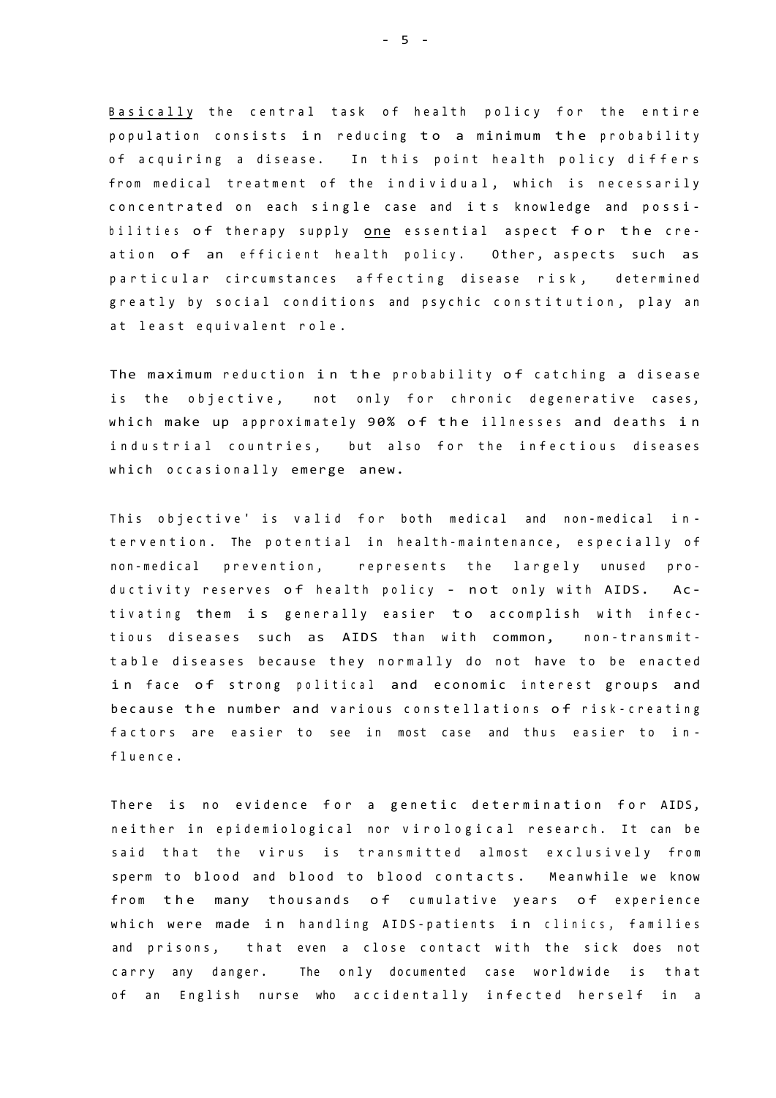Basically the central task of health policy for the entire population consists in reducing to a minimum the probability of acquiring a disease. In this point health policy differs from medical treatment of the individual, which is necessarily concentrated on each single case and its knowledge and possibilities of therapy supply one essential aspect for the creation of an efficient health policy. Other, aspects such as particular circumstances affecting disease risk, determined greatly by social conditions and psychic constitution, play an at least equivalent role.

The maximum reduction in the probability of catching a disease is the objective, not only for chronic degenerative cases, which make up approximately 90% of the illnesses and deaths in industrial countries, but also for the infectious diseases which occasionally emerge anew.

This objective' is valid for both medical and non-medical intervention. The potential in health-maintenance, especially of non-medical prevention, represents the largely unused productivity reserves of health policy - not only with AIDS. Activating them is generally easier to accomplish with infectious diseases such as AIDS than with common, non-transmittable diseases because they normally do not have to be enacted in face of strong political and economic interest groups and because the number and various constellations of risk-creating factors are easier to see in most case and thus easier to influence .

There is no evidence for a genetic determination for AIDS, neither in epidemiological nor virological research. It can be said that the virus is transmitted almost exclusively from sperm to blood and blood to blood contacts. Meanwhile we know from the many thousands of cumulative years of experience which were made in handling AIDS-patients in clinics, families and prisons, that even a close contact with the sick does not carry any danger. The only documented case worldwide is that of an English nurse who accidentally infected herself in a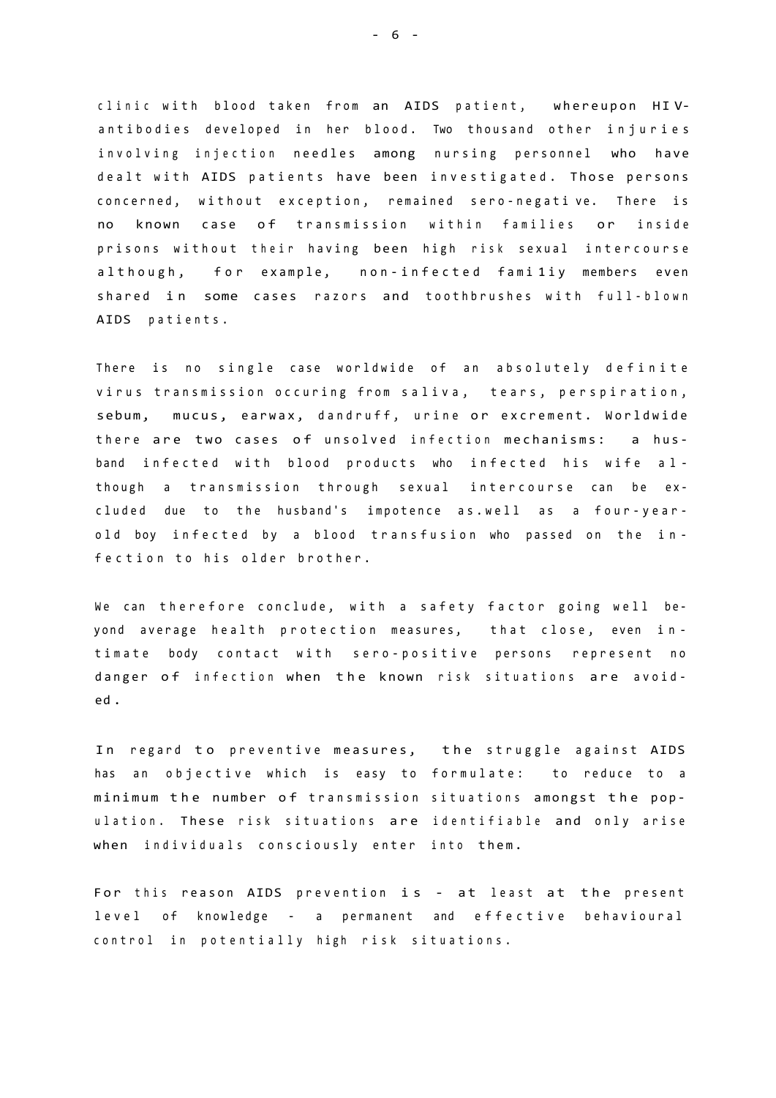clinic with blood taken from an AIDS patient, whereupon HIVantibodies developed in her blood. Two thousand other injuries involving injection needles among nursing personnel who have dealt with AIDS patients have been investigated. Those persons concerned, without exception, remained sero-negative. There is no known case of transmission within families or inside prisons without their having been high risk sexual intercourse although, for example, non-infected familiy members even shared in some cases razors and toothbrushes with full-blown AIDS patients .

There is no single case worldwide of an absolutely definite virus transmission occuring from saliva, tears, perspiration, sebum, mucus, earwax, dandruff, urine or excrement. Worldwide there are two cases of unsolved infection mechanisms: a husband infected with blood products who infected his wife although a transmission through sexual intercourse can be excluded due to the husband's impotence as.well as a four-yearold boy infected by a blood transfusion who passed on the infection to his older brother.

We can therefore conclude, with a safety factor going well beyond average health protection measures, that close, even intimate body contact with sero-positive persons represent no danger of infection when the known risk situations are avoided .

In regard to preventive measures, the struggle against AIDS has an objective which is easy to formulate: to reduce to a minimum the number of transmission situations amongst the population. These risk situations are identifiable and only arise when individuals consciously enter into them.

For this reason AIDS prevention is - at least at the present level of knowledge - a permanent and effective behavioural control in potentially high risk situations.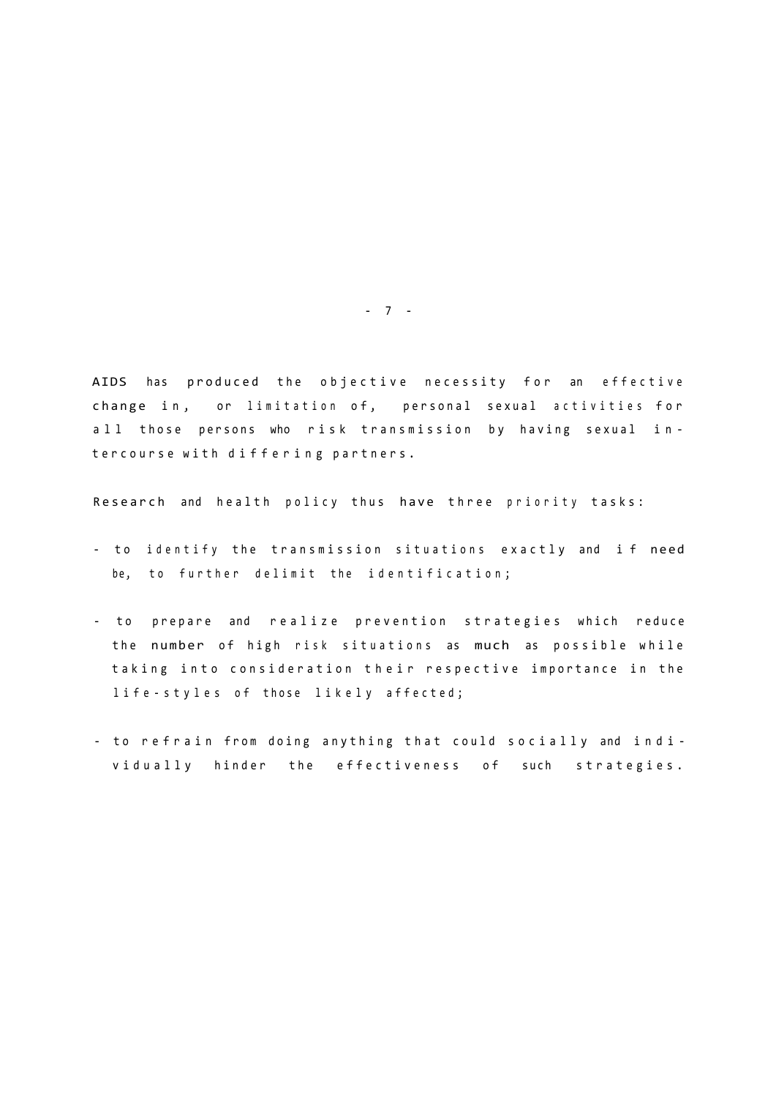AIDS has produced the objective necessity for an effective change in, or limitation of, personal sexual activities for a ll those persons who risk transmission by having sexual intercourse with differing partners.

Research and health policy thus have three priority tasks:

- to identify the transmission situations exactly and if need be, to further delimit the identification;
- to prepare and realize prevention strategies which reduce the number of high risk situations as much as possible while taking into consideration their respective importance in the life-styles of those likely affected;
- to refrain from doing anything that could socially and individually hinder the effectiveness of such strategies.

- 7 -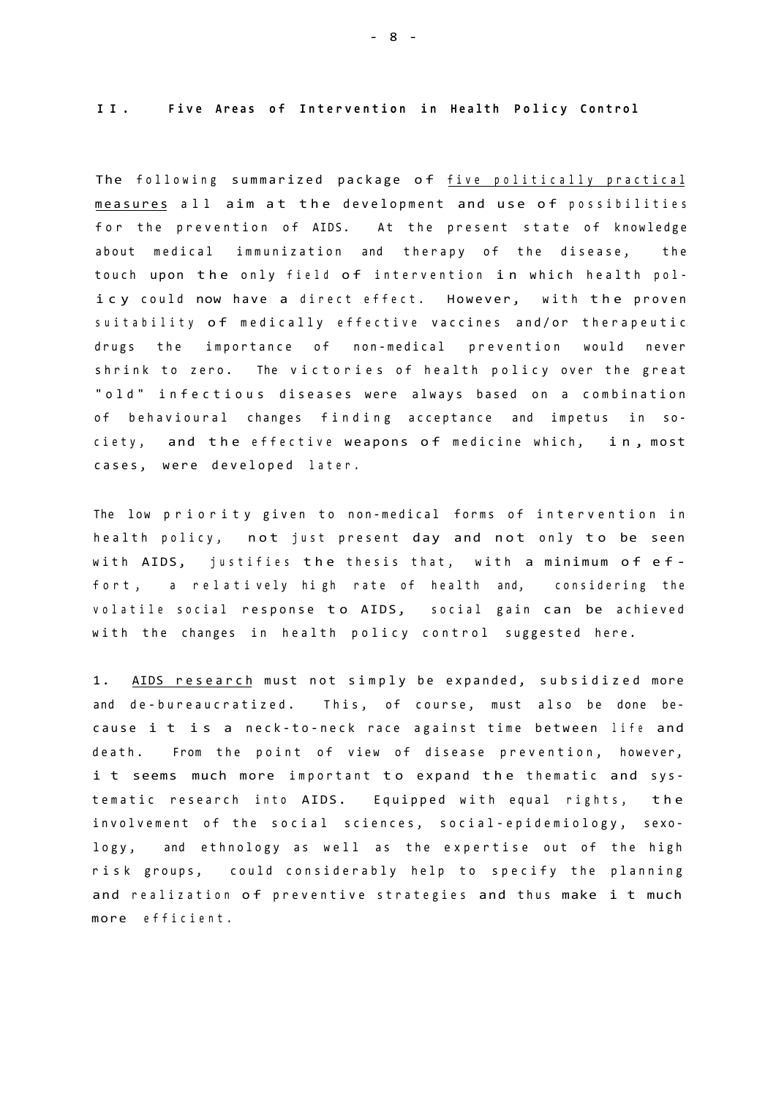**I I . Fiv e Area s o f Interventio n i n Healt h Polic y Contro l** 

The following summarized package of five politically practical measures all aim at the development and use of possibilities for the prevention of AIDS. At the present state of knowledge about medical immunization and therapy of the disease, the touch upon the only field of intervention in which health policy could now have a direct effect. However, with the proven suitability of medically effective vaccines and/or therapeutic drugs the importance of non-medical prevention would never shrink to zero. The victories of health policy over the great "old" infectious diseases were always based on a combination of behavioural changes finding acceptance and impetus in society, and the effective weapons of medicine which, in, most cases, were developed later.

The low priority given to non-medical forms of intervention in health policy, not just present day and not only to be seen with AIDS, justifies the thesis that, with a minimum of effort, a relatively high rate of health and, considering the volatile social response to AIDS, social gain can be achieved with the changes in health policy control suggested here.

1. AIDS research must not simply be expanded, subsidized more and de-bureaucratized. This, of course, must also be done because i t is a neck-to-neck race against time between life and death. From the point of view of disease prevention, however, i t seems much more important to expand the thematic and systematic research into AIDS. Equipped with equal rights, the involvement of the social sciences, social-epidemiology, sexology, and ethnology as well as the expertise out of the high risk groups, could considerably help to specify the planning and realization of preventive strategies and thus make i t much more efficient .

- 8 -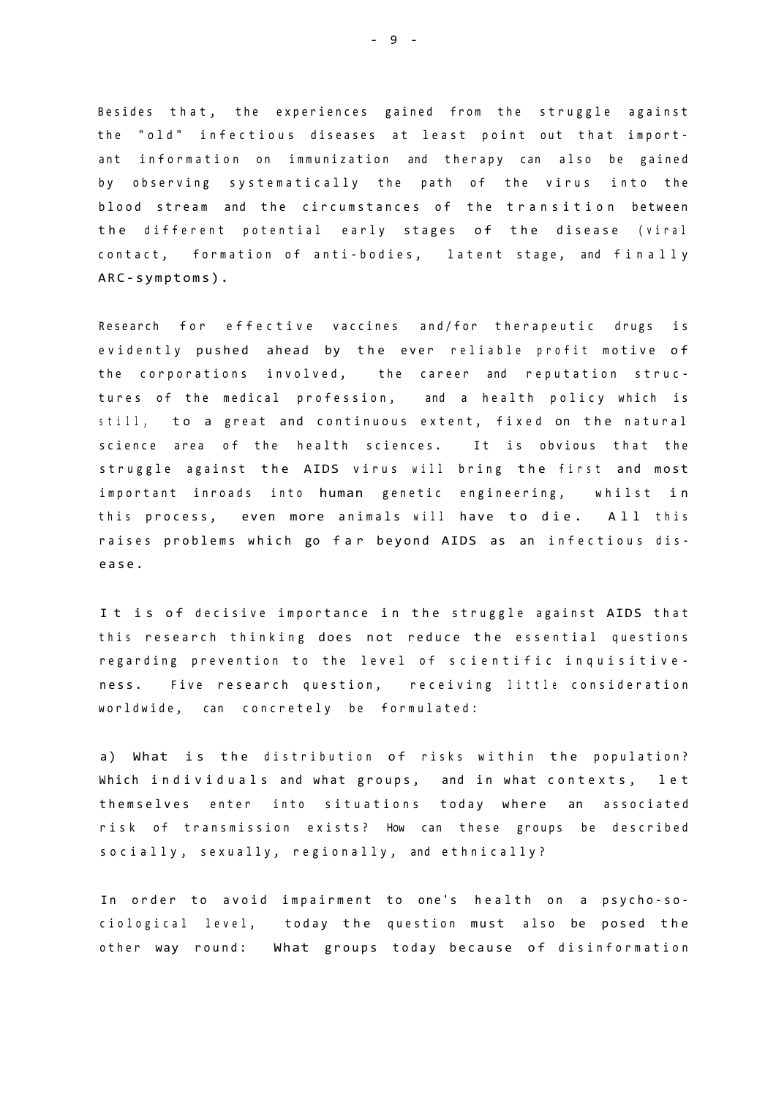Besides that, the experiences gained from the struggle against the "old" infectious diseases at least point out that important information on immunization and therapy can also be gained by observing systematically the path of the virus into the blood stream and the circumstances of the transition between the different potential early stages of the disease (viral contact, formation of anti-bodies, latent stage, and finally ARC-symptoms).

Research for effective vaccines and/for therapeutic drugs is evidently pushed ahead by the ever reliable profit motive of the corporations involved, the career and reputation structures of the medical profession, and a health policy which is still, to a great and continuous extent, fixed on the natural science area of the health sciences. It is obvious that the struggle against the AIDS virus will bring the first and most important inroads into human genetic engineering, whilst in this process, even more animals will have to die. All this raises problems which go far beyond AIDS as an infectious disease .

It is of decisive importance in the struggle against AIDS that this research thinking does not reduce the essential questions regarding prevention to the level of scientific inquisitiveness. Five research question, receiving little consideration worldwide, can concretely be formulated:

a) What is the distribution of risks within the population? Which individuals and what groups, and in what contexts, let themselves enter into situations today where an associated risk of transmission exists? How can these groups be described socially, sexually, regionally, and ethnically?

In order to avoid impairment to one's health on a psycho-sociological level, today the question must also be posed the other way round: What groups today because of disinformation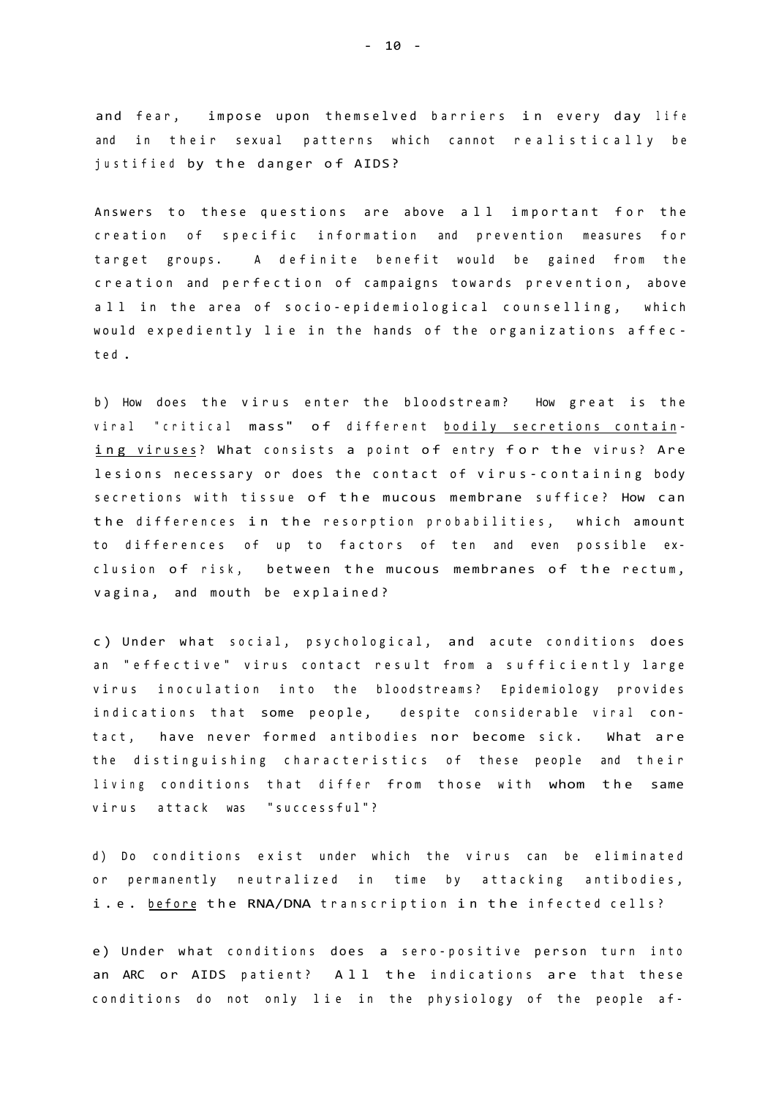and fear, impose upon themselved barriers in every day life and in their sexual patterns which cannot realistically be justified by the danger of AIDS?

Answers to these questions are above all important for the creation of specific information and prevention measures for target groups. A definite benefit would be gained from the creation and perfection of campaigns towards prevention, above all in the area of socio-epidemiological counselling, which would expediently lie in the hands of the organizations affect e d .

b) How does the virus enter the bloodstream? How great is the viral "critical mass" of different bodily secretions containing viruses? What consists a point of entry for the virus? Are lesions necessary or does the contact of virus-containing body secretions with tissue of the mucous membrane suffice? How can the differences in the resorption probabilities, which amount to differences of up to factors of ten and even possible exclusion of risk, between the mucous membranes of the rectum, vagina, and mouth be explained?

c) Under what social, psychological, and acute conditions does an "effective" virus contact result from a sufficiently large virus inoculation into the bloodstreams? Epidemiology provides indications that some people, despite considerable viral contact, have never formed antibodies nor become sick. What are the distinguishing characteristics of these people and their living conditions that differ from those with whom the same virus attack was "successful"?

d) Do conditions exist under which the virus can be eliminated or permanently neutralized in time by attacking antibodies, i.e. before the RNA/DNA transcription in the infected cells?

e) Under what conditions does a sero-positive person turn into an ARC or AIDS patient? All the indications are that these conditions do not only lie in the physiology of the people af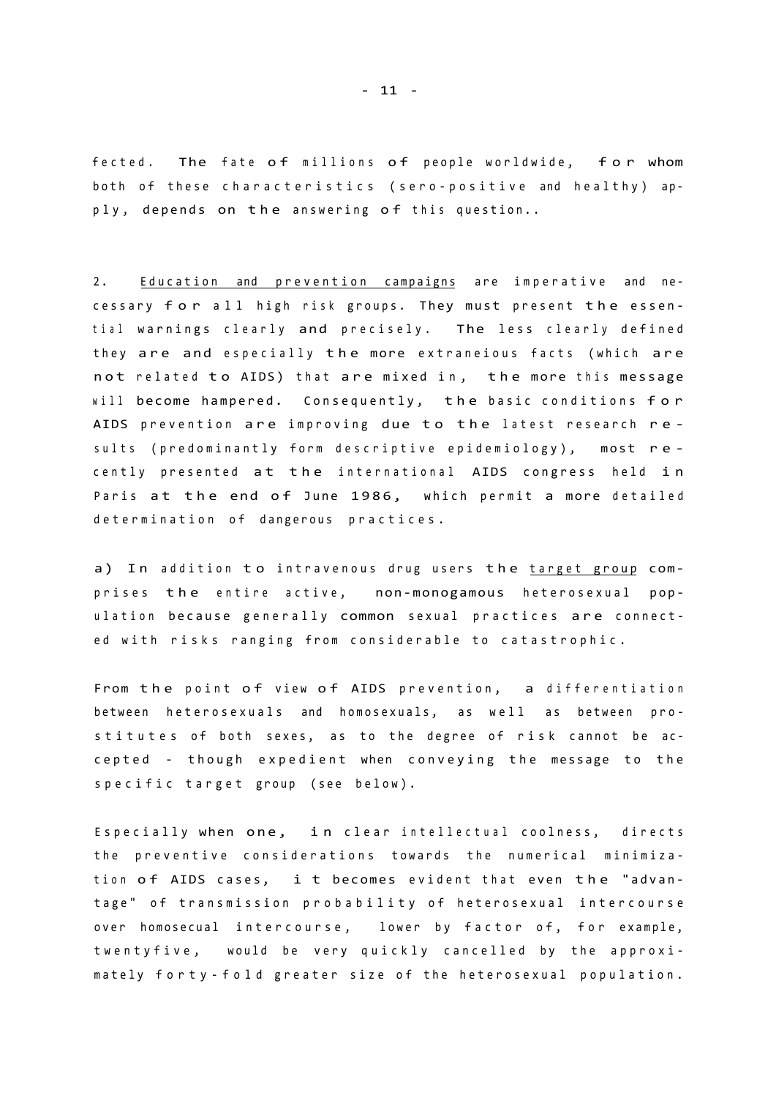fected. The fate of millions of people worldwide, for whom both of these characteristics (sero-positive and healthy) apply, depends on the answering of this question..

2. Education and prevention campaigns are imperative and necessary for all high risk groups. They must present the essential warnings clearly and precisely. The less clearly defined they are and especially the more extraneious facts (which are not related to AIDS) that are mixed in, the more this message will become hampered. Consequently, the basic conditions for AIDS prevention are improving due to the latest research results (predominantly form descriptive epidemiology), most recently presented at the international AIDS congress held in Paris at the end of June 1986, which permit a more detailed determination of dangerous practices.

a) In addition to intravenous drug users the target group comprises the entire active, non-monogamous heterosexual population because generally common sexual practices are connected with risks ranging from considerable to catastrophic.

From the point of view of AIDS prevention, a differentiation between heterosexuals and homosexuals, as well as between prostitutes of both sexes, as to the degree of risk cannot be accepted - though expedient when conveying the message to the specific target group (see below).

Especially when one, in clear intellectual coolness, directs the preventive considerations towards the numerical minimization of AIDS cases, i t becomes evident that even the "advantage" of transmission probability of heterosexual intercourse over homosecual intercourse, lower by factor of, for example, twentyfive, would be very quickly cancelled by the approximately forty-fold greater size of the heterosexual population.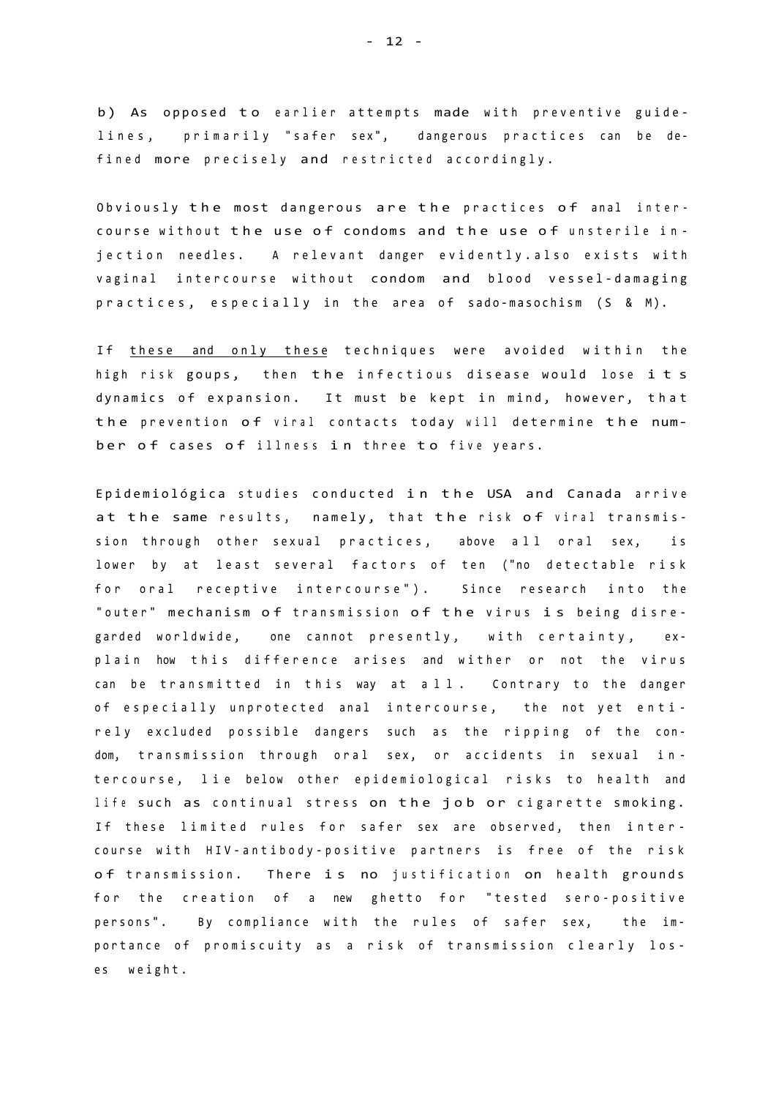b) As opposed to earlier attempts made with preventive guidelines, primarily "safer sex", dangerous practices can be defined more precisely and restricted accordingly.

Obviously the most dangerous are the practices of anal intercourse without the use of condoms and the use of unsterile injection needles. A relevant danger evidently.also exists with vaginal intercourse without condom and blood vessel-damaging practices, especially in the area of sado-masochism (S  $8$  M).

If these and only these techniques were avoided within the high risk goups, then the infectious disease would lose its dynamics of expansion. It must be kept in mind, however, that the prevention of viral contacts today will determine the number of cases of illness in three to five years.

Epidemiológica studies conducted in the USA and Canada arrive at the same results, namely, that the risk of viral transmission through other sexual practices, above all oral sex, is lower by at least several factors of ten ("no detectable risk for oral receptive intercourse"). Since research into the "outer" mechanism of transmission of the virus is being disregarded worldwide, one cannot presently, with certainty, explain how this difference arises and wither or not the virus can be transmitted in this way at all. Contrary to the danger of especially unprotected anal intercourse, the not yet entirely excluded possible dangers such as the ripping of the condom, transmission through oral sex, or accidents in sexual intercourse, lie below other epidemiological risks to health and life such as continual stress on the job or cigarette smoking. If these limited rules for safer sex are observed, then intercourse with HIV-antibody-positive partners is free of the risk of transmission. There is no justification on health grounds for the creation of a new ghetto for "tested sero-positive persons". By compliance with the rules of safer sex, the importance of promiscuity as a risk of transmission clearly loses weight.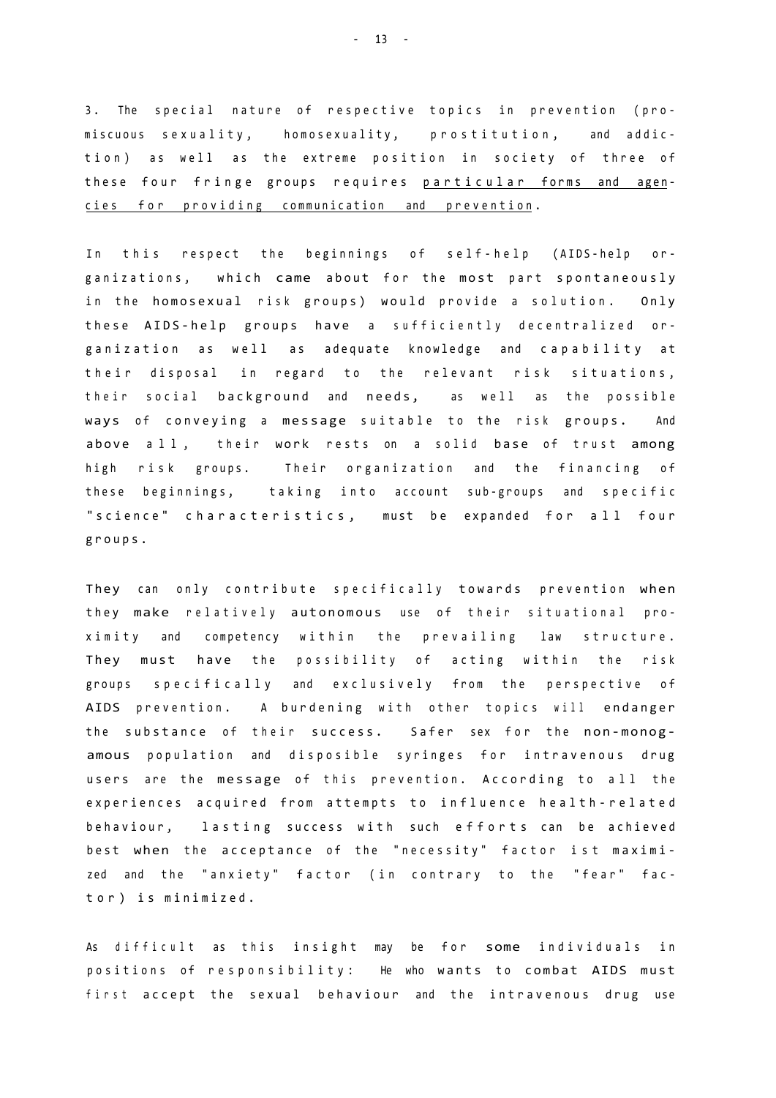3. The special nature of respective topics in prevention (promiscuous sexuality, homosexuality, prostitution, and addiction) as well as the extreme position in society of three of these four fringe groups requires particular forms and agencies for providing communication and prevention.

In this respect the beginnings of self-help (AIDS-help organizations, which came about for the most part spontaneously in the homosexual risk groups) would provide a solution. Only these AIDS-help groups have a sufficiently decentralized organization as well as adequate knowledge and capability at their disposal in regard to the relevant risk situations, their social background and needs, as well as the possible ways of conveying a message suitable to the risk groups. And above all, their work rests on a solid base of trust among high risk groups. Their organization and the financing of these beginnings, taking into account sub-groups and specific "science" characteristics, must be expanded for all four groups .

They can only contribute specifically towards prevention when they make relatively autonomous use of their situational proximity and competency within the prevailing law structure. They must have the possibility of acting within the risk groups specifically and exclusively from the perspective of AIDS prevention. A burdening with other topics will endanger the substance of their success. Safer sex for the non-monogamous population and disposible syringes for intravenous drug users are the message of this prevention. According to all the experiences acquired from attempts to influence health-related behaviour, lasting success with such efforts can be achieved best when the acceptance of the "necessity" factor ist maximized and the "anxiety" factor (in contrary to the "fear" factor) is minimized.

As difficult as this insight may be for some individuals in positions of responsibility: He who wants to combat AIDS must first accept the sexual behaviour and the intravenous drug use

 $- 13 - -$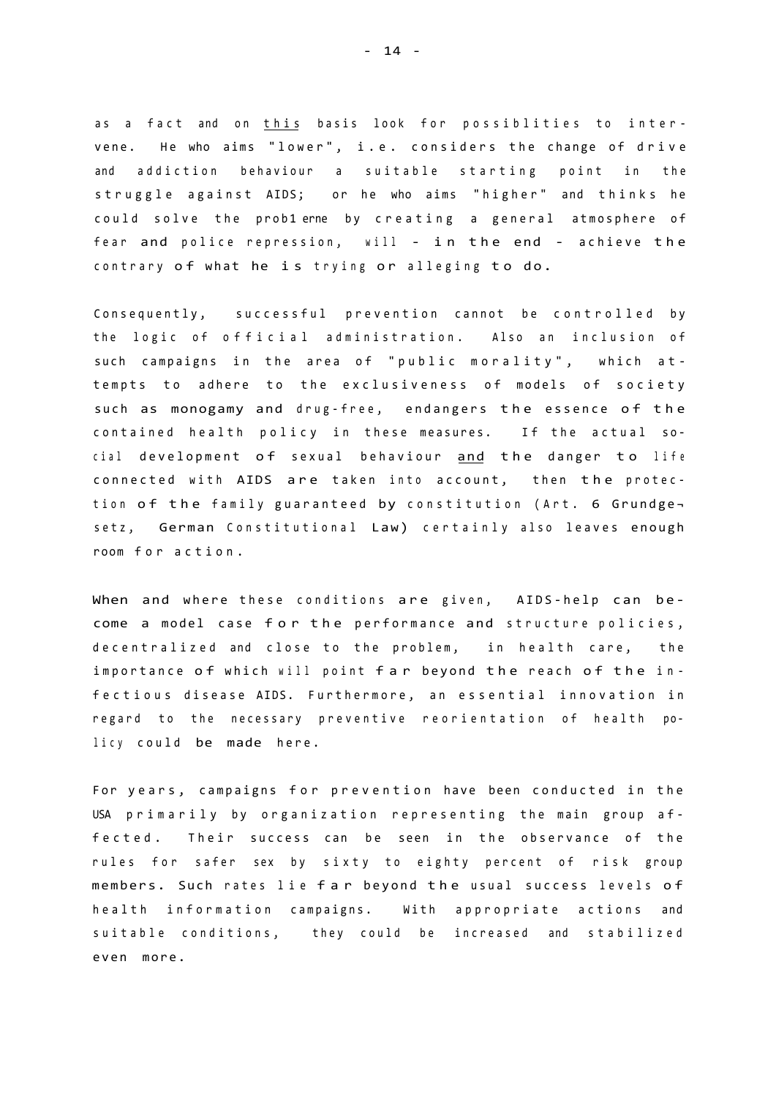as a fact and on this basis look for possiblities to intervene. He who aims "lower", i.e. considers the change of drive and addiction behaviour a suitable starting point in the struggle against AIDS; or he who aims "higher" and thinks he could solve the problerne by creating a general atmosphere of fear and police repression, will - in the end - achieve the contrary of what he is trying or alleging to do.

Consequently, successful prevention cannot be controlled by the logic of official administration. Also an inclusion of such campaigns in the area of "public morality", which attempts to adhere to the exclusiveness of models of society such as monogamy and drug-free, endangers the essence of the contained health policy in these measures. If the actual social development of sexual behaviour and the danger to life connected with AIDS are taken into account, then the protection of the family guaranteed by constitution (Art. 6 Grundgesetz, German Constitutional Law) certainly also leaves enough room for action.

When and where these conditions are given, AIDS-help can become a model case for the performance and structure policies, decentralized and close to the problem, in health care, the importance of which will point far beyond the reach of the infectious disease AIDS. Furthermore, an essential innovation in regard to the necessary preventive reorientation of health policy could be made here.

For years, campaigns for prevention have been conducted in the USA primarily by organization representing the main group affected. Their success can be seen in the observance of the rules for safer sex by sixty to eighty percent of risk group members. Such rates lie far beyond the usual success levels of health information campaigns. With appropriate actions and suitable conditions, they could be increased and stabilized even more.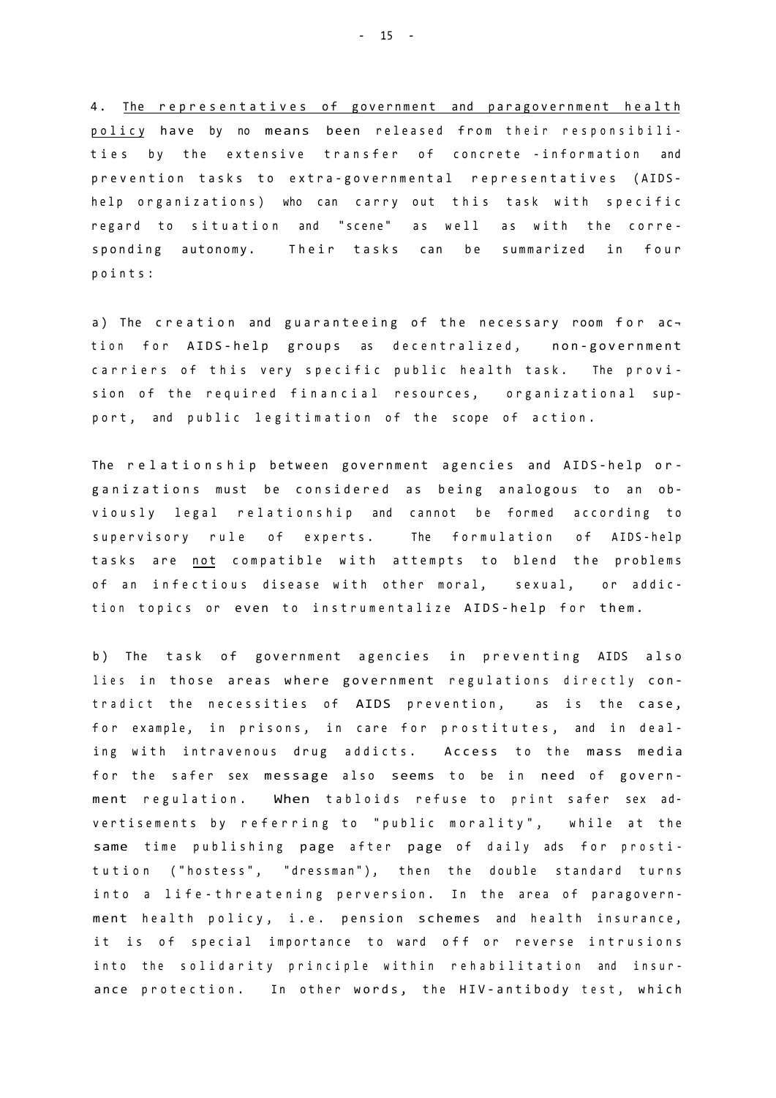4. The representatives of government and paragovernment health policy have by no means been released from their responsibilities by the extensive transfer of concrete -information and prevention tasks to extra-governmental representatives (AIDShelp organizations) who can carry out this task with specific regard to situation and "scene" as well as with the corresponding autonomy. Their tasks can be summarized in four points :

a) The creation and guaranteeing of the necessary room for  $ac$ tion for AIDS-help groups as decentralized, non-government carriers of this very specific public health task. The provision of the required financial resources, organizational support, and public legitimation of the scope of action.

The relationship between government agencies and AIDS-help organizations must be considered as being analogous to an obviously legal relationship and cannot be formed according to supervisory rule of experts. The formulation of AIDS-help tasks are not compatible with attempts to blend the problems of an infectious disease with other moral, sexual, or addiction topics or even to instrumentalize AIDS-help for them.

b) The task of government agencies in preventing AIDS also lies in those areas where government regulations directly contradict the necessities of AIDS prevention, as is the case, for example, in prisons, in care for prostitutes, and in dealing with intravenous drug addicts. Access to the mass media for the safer sex message also seems to be in need of government regulation. When tabloids refuse to print safer sex advertisements by referring to "public morality", while at the same time publishing page after page of daily ads for prostitution ("hostess", "dressman"), then the double standard turns into a life-threatening perversion. In the area of paragovernment health policy, i.e. pension schemes and health insurance, it is of special importance to ward off or reverse intrusions into the solidarity principle within rehabilitation and insurance protection. In other words, the HIV-antibody test, which

- 15 -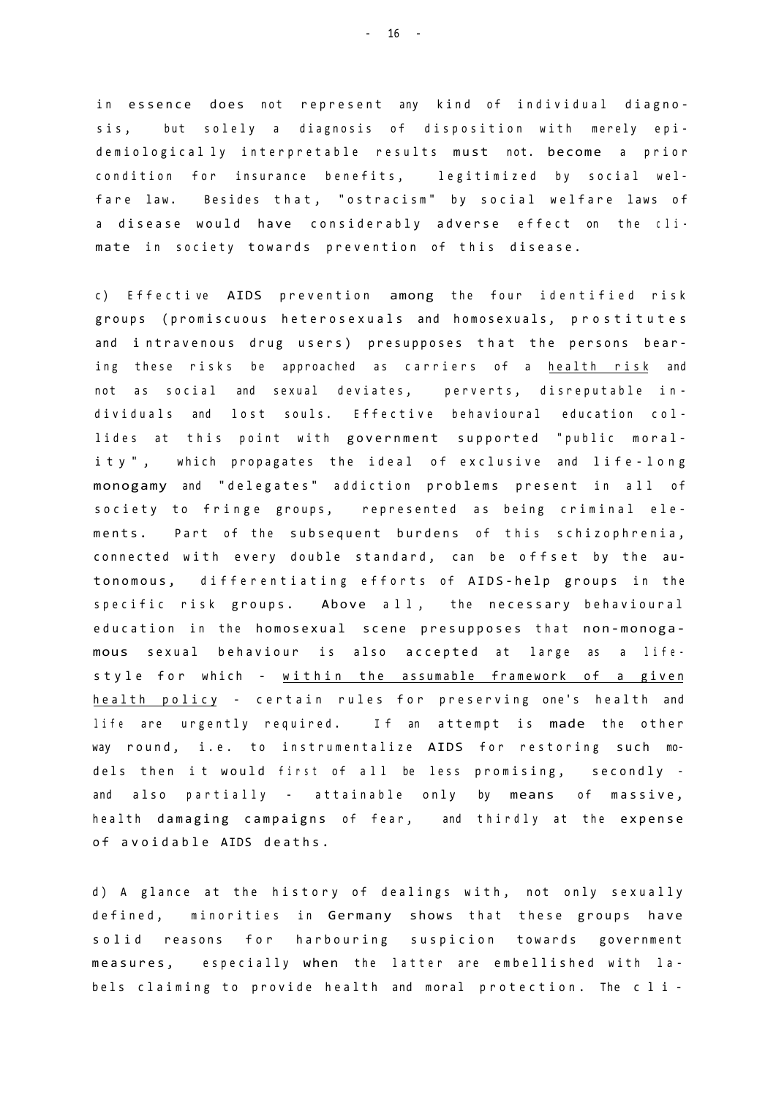in essence does not represent any kind of individual diagnosis, but solely a diagnosis of disposition with merely epidemiological ly interpretable results must not. become a prior condition for insurance benefits, legitimized by social welfare law. Besides that, "ostracism" by social welfare laws of a disease would have considerably adverse effect on the climate in society towards prevention of this disease.

c) Effective AIDS prevention among the four identified risk groups (promiscuous heterosexuals and homosexuals, prostitutes and intravenous drug users) presupposes that the persons bearing these risks be approached as carriers of a health risk and not as social and sexual deviates, perverts, disreputable individuals and lost souls. Effective behavioural education collides at this point with government supported "public morality", which propagates the ideal of exclusive and life-long monogamy and "delegates" addiction problems present in all of society to fringe groups, represented as being criminal elements. Part of the subsequent burdens of this schizophrenia, connected with every double standard, can be offset by the autonomous, differentiating efforts of AIDS-help groups in the specific risk groups. Above all, the necessary behavioural education in the homosexual scene presupposes that non-monogamous sexual behaviour is also accepted at large as a lifestyle for which - within the assumable framework of a given health policy - certain rules for preserving one's health and life are urgently required. If an attempt is made the other way round, i.e. to instrumentalize AIDS for restoring such models then it would first of all be less promising, secondly and also partially - attainable only by means of massive, health damaging campaigns of fear, and thirdly at the expense of avoidable AIDS deaths.

d) A glance at the history of dealings with, not only sexually defined, minorities in Germany shows that these groups have solid reasons for harbouring suspicion towards government measures, especially when the latter are embellished with labels claiming to provide health and moral protection. The cli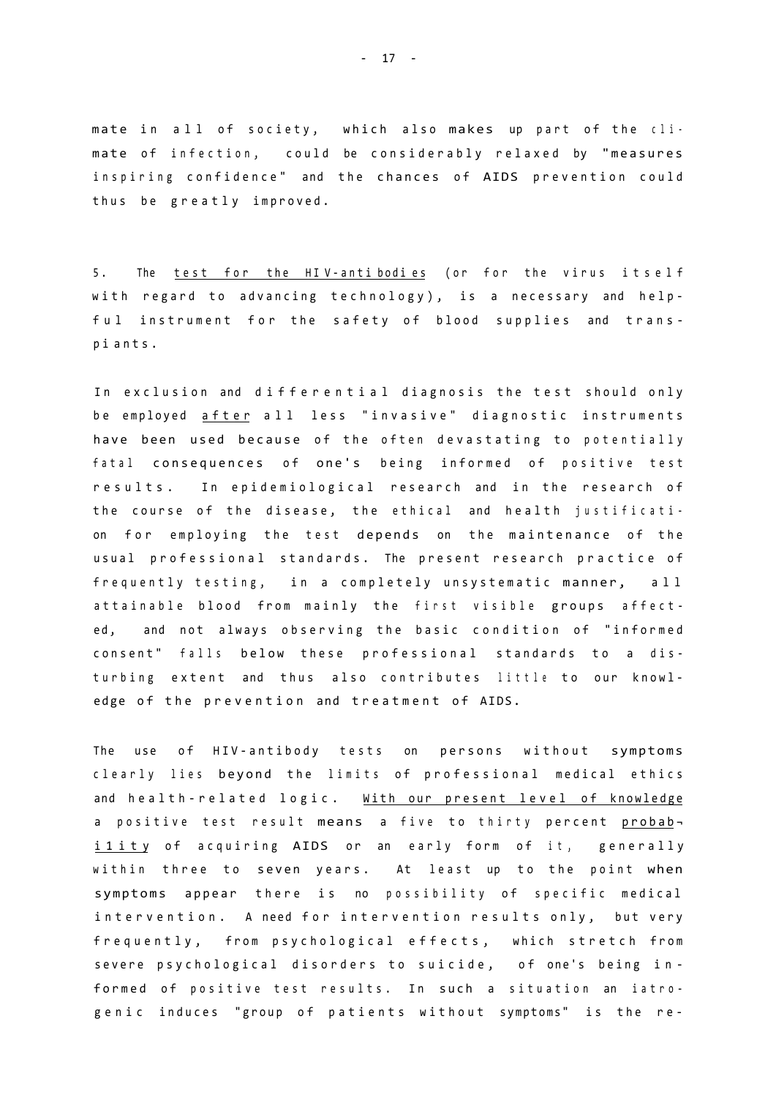mate in all of society, which also makes up part of the climate of infection, could be considerably relaxed by "measures inspiring confidence" and the chances of AIDS prevention could thus be greatly improved.

5. The test for the HIV-antibodies (or for the virus itself with regard to advancing technology), is a necessary and helpful instrument for the safety of blood supplies and transp i ants .

In exclusion and differential diagnosis the test should only be employed after all less "invasive" diagnostic instruments have been used because of the often devastating to potentially fatal consequences of one's being informed of positive test results. In epidemiological research and in the research of the course of the disease, the ethical and health justification for employing the test depends on the maintenance of the usual professional standards. The present research practice of frequently testing, in a completely unsystematic manner, all attainable blood from mainly the first visible groups affected, and not always observing the basic condition of "informed consent" falls below these professional standards to a disturbing extent and thus also contributes little to our knowledge of the prevention and treatment of AIDS.

The use of HIV-antibody tests on persons without symptoms clearly lies beyond the limits of professional medical ethics and health-related logic. With our present level of knowledge a positive test result means a five to thirty percent probabi 1 it y of acquiring AIDS or an early form of it, generally within three to seven years. At least up to the point when symptoms appear there is no possibility of specific medical intervention. A need for intervention results only, but very frequently, from psychological effects, which stretch from severe psychological disorders to suicide, of one's being informed of positive test results. In such a situation an iatrogenic induces "group of patients without symptoms" is the re-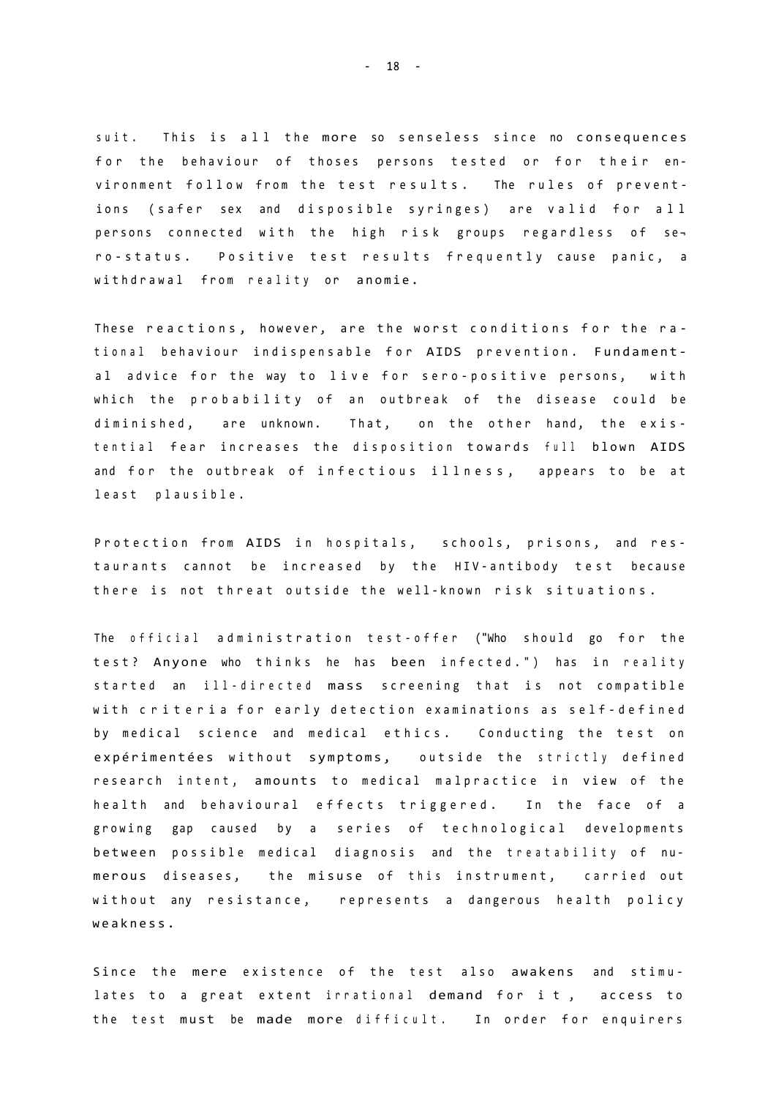suit. This is all the more so senseless since no consequences for the behaviour of thoses persons tested or for their environment follow from the test results. The rules of preventions (safer sex and disposible syringes) are valid for all persons connected with the high risk groups regardless of sero-status. Positive test results frequently cause panic, a withdrawal from reality or anomie.

These reactions, however, are the worst conditions for the rational behaviour indispensable for AIDS prevention. Fundamental advice for the way to live for sero-positive persons, with which the probability of an outbreak of the disease could be diminished, are unknown. That, on the other hand, the existential fear increases the disposition towards full blown AIDS and for the outbreak of infectious illness, appears to be at least plausible.

Protection from AIDS in hospitals, schools, prisons, and restaurants cannot be increased by the HIV-antibody test because there is not threat outside the well-known risk situations.

The official administration test-offer ("Who should go for the test? Anyone who thinks he has been infected.") has in reality started an ill-directed mass screening that is not compatible with criteria for early detection examinations as self-defined by medical science and medical ethics. Conducting the test on expérimentées without symptoms, outside the strictly defined research intent, amounts to medical malpractice in view of the health and behavioural effects triggered. In the face of a growing gap caused by a series of technological developments between possible medical diagnosis and the treatability of numerous diseases, the misuse of this instrument, carried out without any resistance, represents a dangerous health policy weakness .

Since the mere existence of the test also awakens and stimulates to a great extent irrational demand for it, access to the test must be made more difficult. In order for enquirers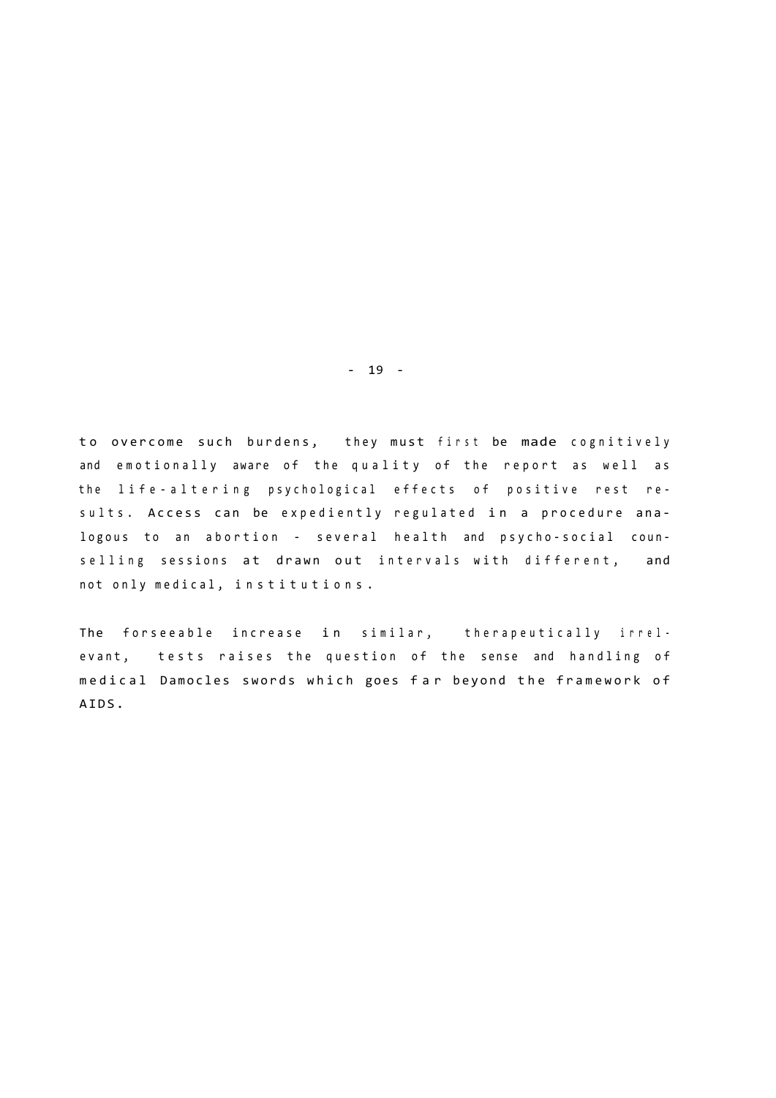to overcome such burdens, they must first be made cognitively and emotionally aware of the quality of the report as well as the life-altering psychological effects of positive rest results. Access can be expediently regulated in a procedure analogous to an abortion - several health and psycho-social counselling sessions at drawn out intervals with different, and not only medical, institutions.

The forseeable increase in similar, therapeutically irrelevant, tests raises the question of the sense and handling of medical Damocles swords which goes far beyond the framework of AIDS.

- 19 -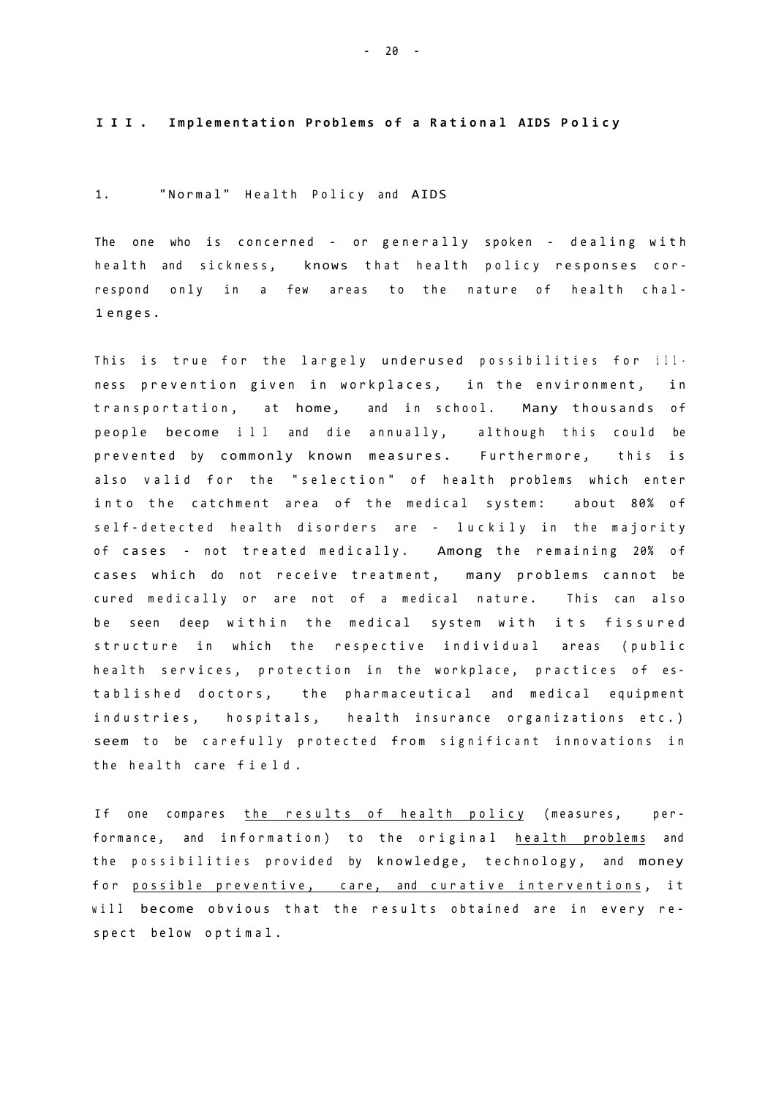**III . Implementatio n Problem s o f a Rationa l AIDS Polic y** 

### 1. "Normal" Health Policy and AIDS

The one who is concerned - or generally spoken - dealing with health and sickness, knows that health policy responses correspond only in a few areas to the nature of health chal-1 enges .

This is true for the largely underused possibilities for ill. ness prevention given in workplaces, in the environment, in transportation, at home, and in school. Many thousands of people become ill and die annually, although this could be prevented by commonly known measures. Furthermore, this is also valid for the "selection" of health problems which enter into the catchment area of the medical system: about 80% of self-detected health disorders are - luckily in the majority of cases - not treated medically. Among the remaining 20% of cases which do not receive treatment, many problems cannot be cured medically or are not of a medical nature. This can also be seen deep within the medical system with its fissured structure in which the respective individual areas (public health services, protection in the workplace, practices of established doctors, the pharmaceutical and medical equipment industries, hospitals, health insurance organizations etc.) seem to be carefully protected from significant innovations in the health care field.

If one compares the results of health policy (measures, performance, and information) to the original health problems and the possibilities provided by knowledge, technology, and money for possible preventive, care, and curative interventions, it will become obvious that the results obtained are in every respect below optimal.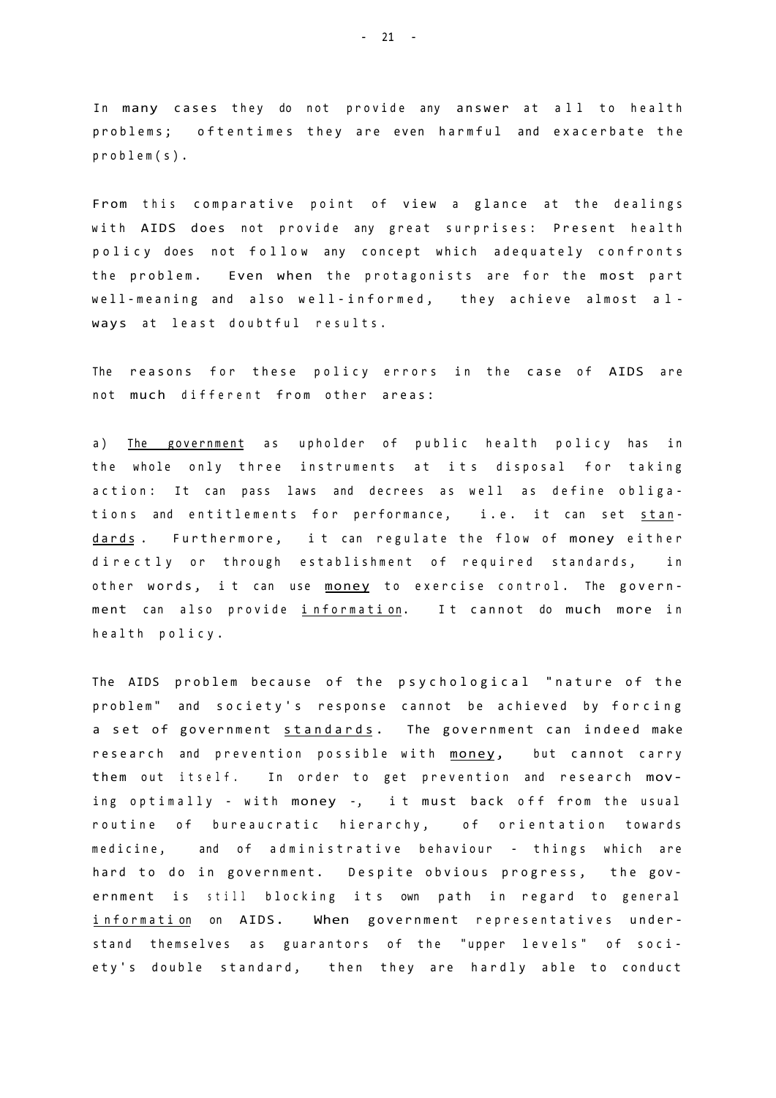In many cases they do not provide any answer at all to health problems; oftentimes they are even harmful and exacerbate the problem(s) .

From this comparative point of view a glance at the dealings with AIDS does not provide any great surprises: Present health policy does not follow any concept which adequately confronts the problem. Even when the protagonists are for the most part well-meaning and also well-informed, they achieve almost always at least doubtful results.

The reasons for these policy errors in the case of AIDS are not much different from other areas:

a) The government as upholder of public health policy has in the whole only three instruments at its disposal for taking action: It can pass laws and decrees as well as define obligations and entitlements for performance, i.e. it can set standards. Furthermore, it can regulate the flow of money either directly or through establishment of required standards, in other words, it can use money to exercise control. The government can also provide information. It cannot do much more in health policy.

The AIDS problem because of the psychological "nature of the problem" and society's response cannot be achieved by forcing a set of government standards. The government can indeed make research and prevention possible with money, but cannot carry them out itself. In order to get prevention and research moving optimally - with money -, it must back off from the usual routine of bureaucratic hierarchy, of orientation towards medicine, and of administrative behaviour - things which are hard to do in government. Despite obvious progress, the government is still blocking its own path in regard to general information on AIDS. When government representatives understand themselves as guarantors of the "upper levels" of society's double standard, then they are hardly able to conduct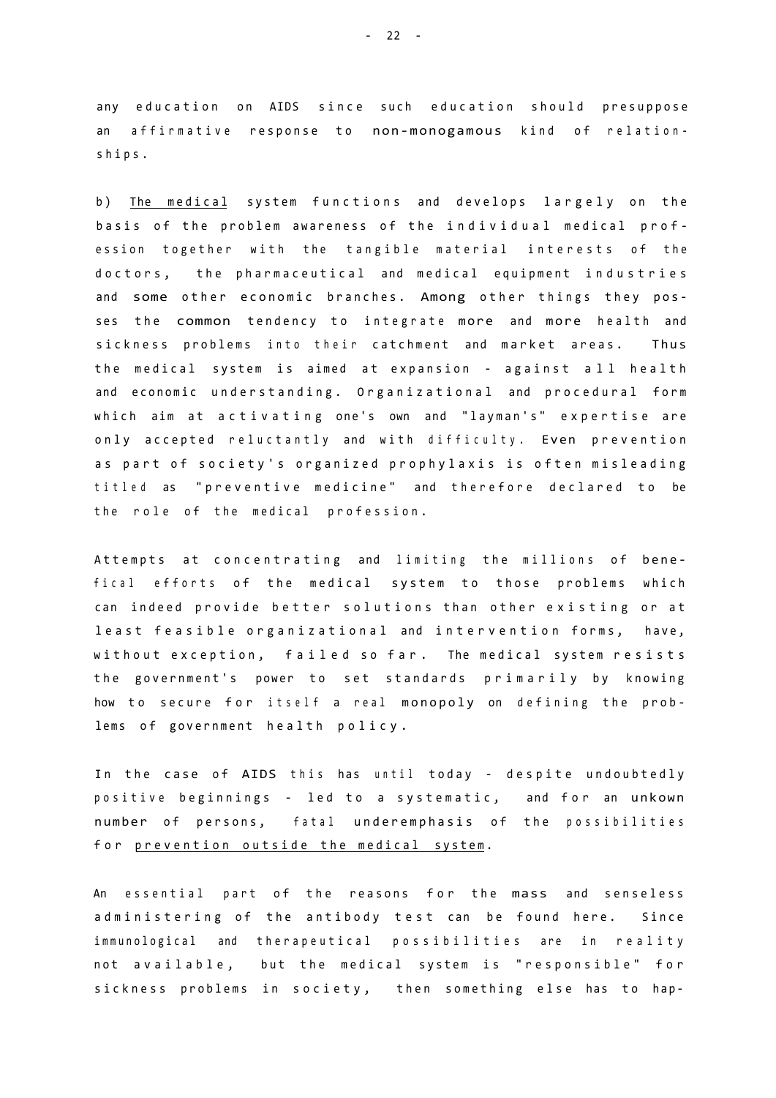any education on AIDS since such education should presuppose an affirmative response to non-monogamous kind of relationships .

b) The medical system functions and develops largely on the basis of the problem awareness of the individual medical profession together with the tangible material interests of the doctors, the pharmaceutical and medical equipment industries and some other economic branches. Among other things they posses the common tendency to integrate more and more health and sickness problems into their catchment and market areas. Thus the medical system is aimed at expansion - against all health and economic understanding. Organizational and procedural form which aim at activating one's own and "layman's" expertise are only accepted reluctantly and with difficulty. Even prevention as part of society's organized prophylaxis is often misleading titled as "preventive medicine" and therefore declared to be the role of the medical profession.

Attempts at concentrating and limiting the millions of benefical efforts of the medical system to those problems which can indeed provide better solutions than other existing or at least feasible organizational and intervention forms, have, without exception, failed so far. The medical system resists the government's power to set standards primarily by knowing how to secure for itself a real monopoly on defining the problems of government health policy.

In the case of AIDS this has until today - despite undoubtedly positive beginnings - led to a systematic, and for an unkown number of persons, fatal underemphasis of the possibilities for prevention outside the medical system.

An essential part of the reasons for the mass and senseless administering of the antibody test can be found here. Since immunological and therapeutical possibilities are in reality not available, but the medical system is "responsible" for sickness problems in society, then something else has to hap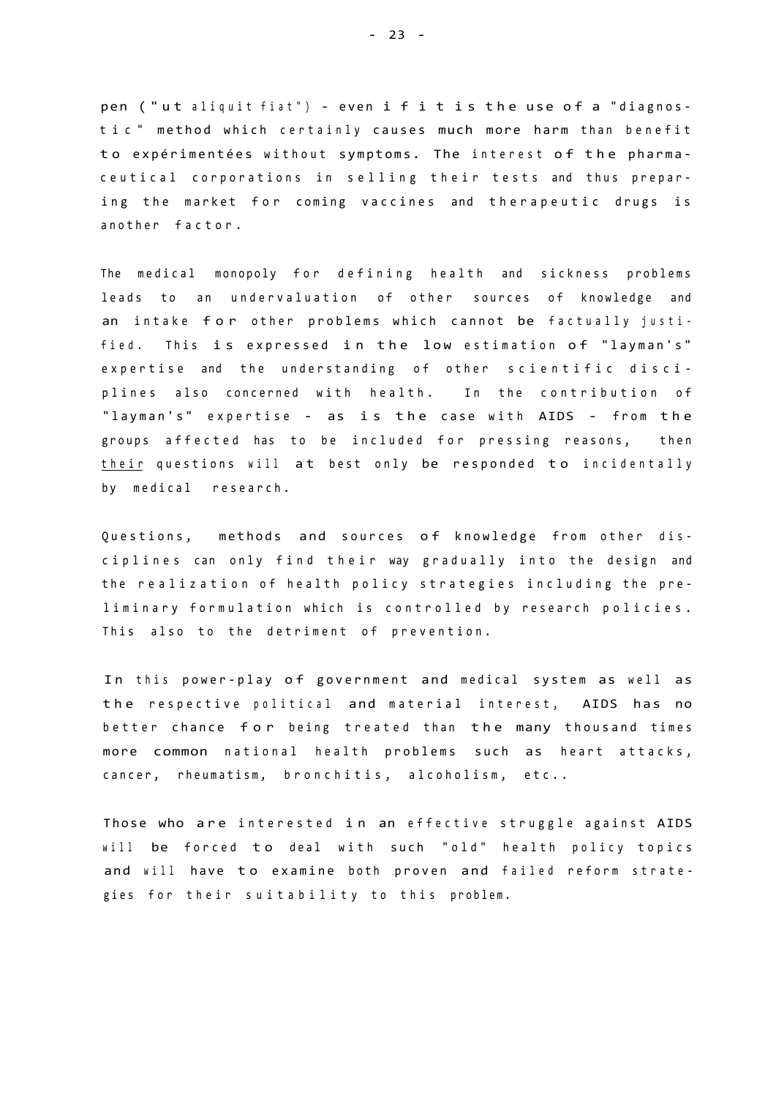pen ("ut aliquit fiat") - even i f i t is the use of a "diagnostic " method which certainly causes much more harm than benefit to expérimentées without symptoms. The interest of the pharmaceutical corporations in selling their tests and thus preparing the market for coming vaccines and therapeutic drugs is another factor.

The medical monopoly for defining health and sickness problems leads to an undervaluation of other sources of knowledge and an intake for other problems which cannot be factually justified. This is expressed in the low estimation of "layman's" expertise and the understanding of other scientific disciplines also concerned with health. In the contribution of "layman's" expertise - as is the case with AIDS - from the groups affected has to be included for pressing reasons, then their questions will at best only be responded to incidentally by medical research.

Questions, methods and sources of knowledge from other disciplines can only find their way gradually into the design and the realization of health policy strategies including the preliminary formulation which is controlled by research policies. This also to the detriment of prevention.

In this power-play of government and medical system as well as the respective political and material interest, AIDS has no better chance for being treated than the many thousand times more common national health problems such as heart attacks, cancer, rheumatism, bronchitis, alcoholism, etc..

Those who are interested in an effective struggle against AIDS will be forced to deal with such "old" health policy topics and will have to examine both proven and failed reform strategies for their suitability to this problem.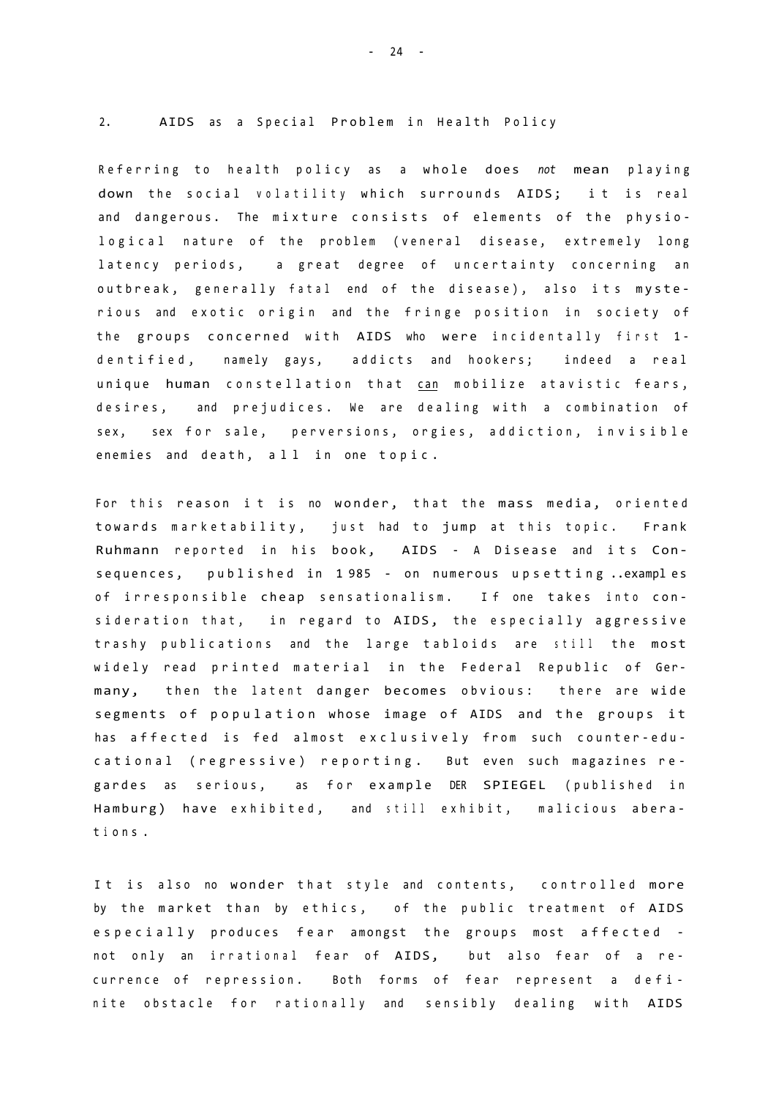#### 2. AIDS as a Special Problem in Health Policy

Referring to health policy as a whole does not mean playing down the social volatility which surrounds AIDS; it is real and dangerous. The mixture consists of elements of the physiological nature of the problem (veneral disease, extremely long latency periods, a great degree of uncertainty concerning an outbreak, generally fatal end of the disease), also its mysterious and exotic origin and the fringe position in society of the groups concerned with AIDS who were incidentally first 1dentified, namely gays, addicts and hookers; indeed a real unique human constellation that can mobilize atavistic fears, desires, and prejudices. We are dealing with a combination of sex, sex for sale, perversions, orgies, addiction, invisible enemies and death, all in one topic.

For this reason it is no wonder, that the mass media, oriented towards marketability, just had to jump at this topic. Frank Ruhmann reported in his book, AIDS - A Disease and its Consequences, published in 1985 - on numerous upsetting.examples of irresponsible cheap sensationalism. If one takes into consideration that, in regard to AIDS, the especially aggressive trashy publications and the large tabloids are still the most widely read printed material in the Federal Republic of Germany, then the latent danger becomes obvious: there are wide segments of population whose image of AIDS and the groups it has affected is fed almost exclusively from such counter-educational (regressive) reporting. But even such magazines regardes as serious, as for example DER SPIEGEL (published in Hamburg) have exhibited, and still exhibit, malicious aberat i o n s .

It is also no wonder that style and contents, controlled more by the market than by ethics, of the public treatment of AIDS especially produces fear amongst the groups most affected not only an irrational fear of AIDS, but also fear of a recurrence of repression. Both forms of fear represent a definite obstacle for rationally and sensibly dealing with AIDS

- 24 -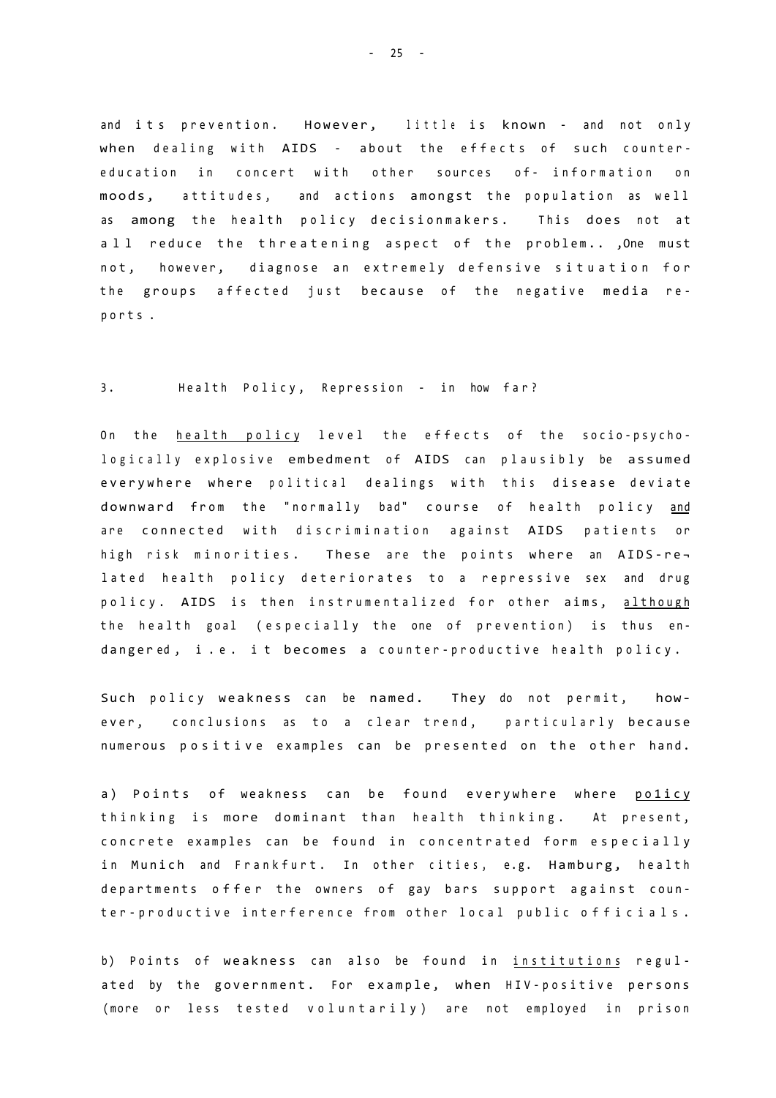and its prevention. However, little is known - and not only when dealing with AIDS - about the effects of such countereducation in concert with other sources of- information on moods, attitudes, and actions amongst the population as well as among the health policy decisionmakers. This does not at a l 1 reduce the threatening aspect of the problem..., One must not, however, diagnose an extremely defensive situation for the groups affected just because of the negative media report s .

#### 3. Health Policy, Repression - in how far?

On the health policy level the effects of the socio-psychologically explosive embedment of AIDS can plausibly be assumed everywhere where political dealings with this disease deviate downward from the "normally bad" course of health policy and are connected with discrimination against AIDS patients or high risk minorities. These are the points where an AIDS-related health policy deteriorates to a repressive sex and drug policy. AIDS is then instrumentalized for other aims, although the health goal (especially the one of prevention) is thus endangered, i.e. it becomes a counter-productive health policy.

Such policy weakness can be named. They do not permit, however, conclusions as to a clear trend, particularly because numerous positive examples can be presented on the other hand.

a) Points of weakness can be found everywhere where policy thinking is more dominant than health thinking. At present, concrete examples can be found in concentrated form especially in Munich and Frankfurt. In other cities, e.g. Hamburg, health departments offer the owners of gay bars support against counter-productive interference from other local public officials.

b) Points of weakness can also be found in institutions regulated by the government. For example, when HIV-positive persons (more or less tested voluntarily) are not employed in prison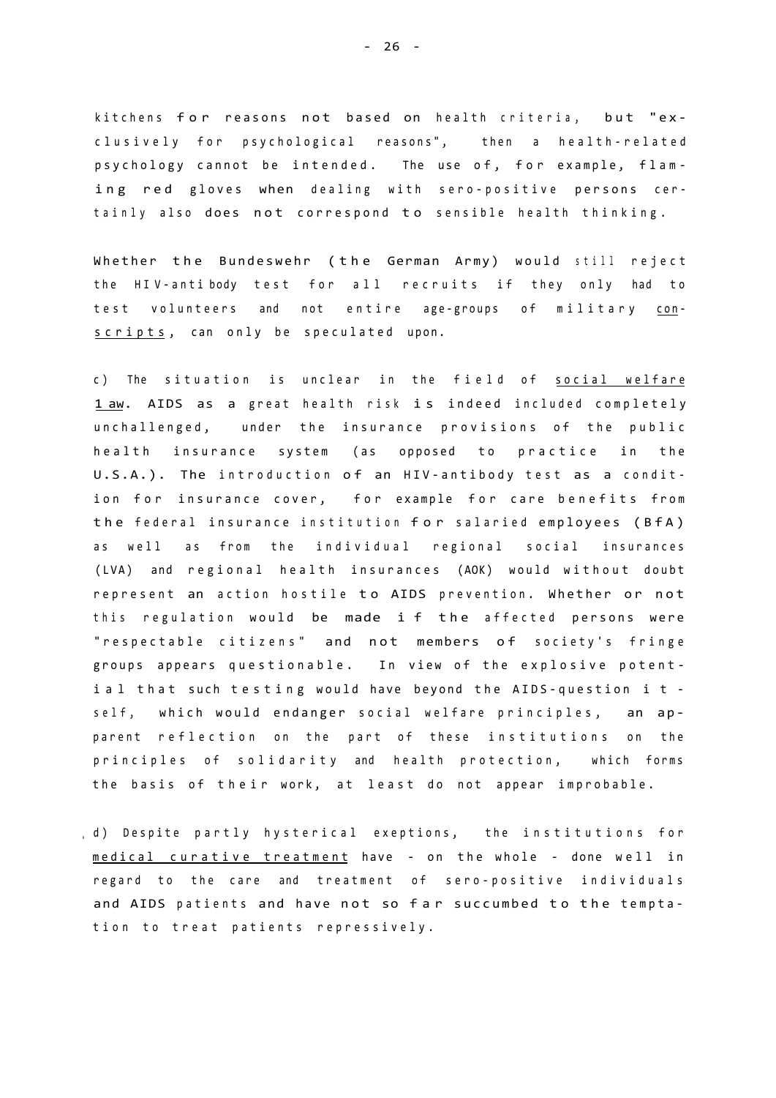kitchens for reasons not based on health criteria, but "exclusively for psychological reasons", then a health-related psychology cannot be intended. The use of, for example, flaming red gloves when dealing with sero-positive persons certainly also does not correspond to sensible health thinking.

Whether the Bundeswehr (the German Army) would still reject the HIV-antibody test for all recruits if they only had to test volunteers and not entire age-groups of military conscripts, can only be speculated upon.

c) The situation is unclear in the field of social welfare 1 aw. AIDS as a great health risk is indeed included completely unchallenged, under the insurance provisions of the public health insurance system (as opposed to practice in the U.S.A.). The introduction of an HIV-antibody test as a condition for insurance cover, for example for care benefits from the federal insurance institution for salaried employees (BfA) as well as from the individual regional social insurances (LVA) and regional health insurances (AOK) would without doubt represent an action hostile to AIDS prevention. Whether or not this regulation would be made i f the affected persons were "respectable citizens" and not members of society's fringe groups appears questionable. In view of the explosive potential that such testing would have beyond the AIDS-question it self, which would endanger social welfare principles, an apparent reflection on the part of these institutions on the principles of solidarity and health protection, which forms the basis of their work, at least do not appear improbable.

d) Despite partly hysterical exeptions, the institutions for medical curative treatment have - on the whole - done well in regard to the care and treatment of sero-positive individuals and AIDS patients and have not so far succumbed to the temptation to treat patients repressively.

- 26 -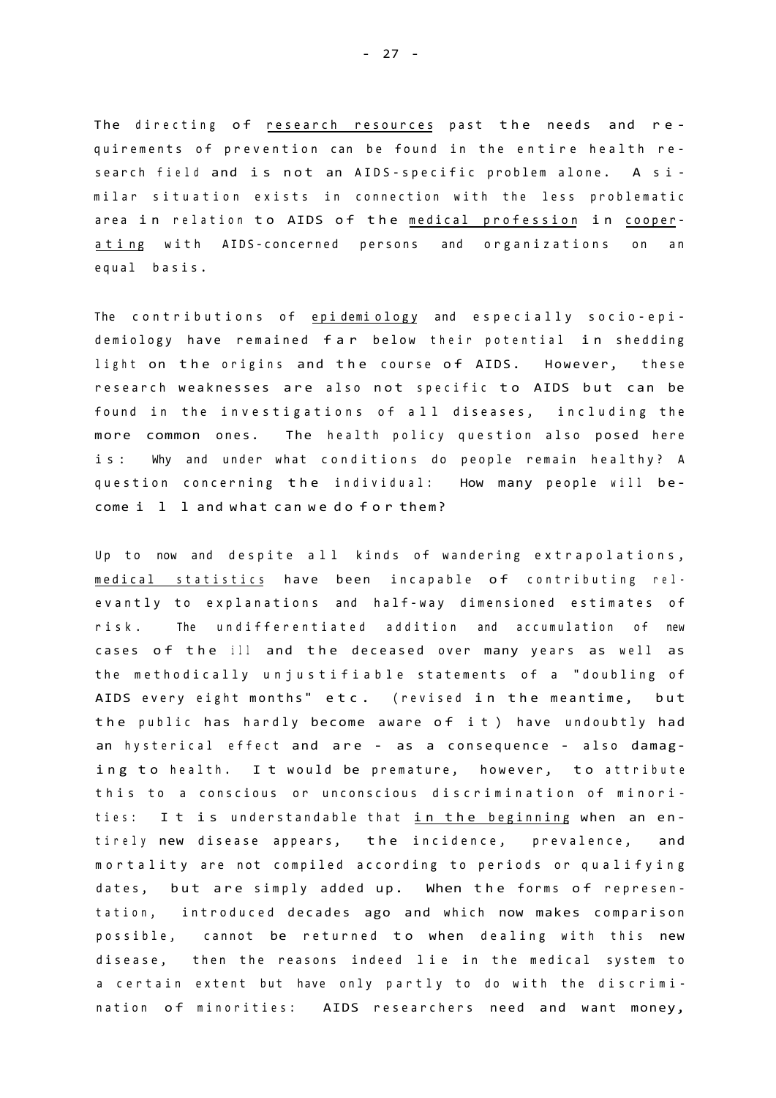The directing of research resources past the needs and requirements of prevention can be found in the entire health research field and is not an AIDS-specific problem alone. A similar situation exists in connection with the less problematic area in relation to AIDS of the medical profession in cooperating with AIDS-concerned persons and organizations on an equal basis.

The contributions of epidemiology and especially socio-epidemiology have remained far below their potential in shedding light on the origins and the course of AIDS. However, these research weaknesses are also not specific to AIDS but can be found in the investigations of all diseases, including the more common ones. The health policy question also posed here is: Why and under what conditions do people remain healthy? A question concerning the individual: How many people will become i l l and what can we do for them?

Up to now and despite all kinds of wandering extrapolations, medical statistics have been incapable of contributing relevantly to explanations and half-way dimensioned estimates of risk. The undifferentiated addition and accumulation of new cases of the ill and the deceased over many years as well as the methodically unjustifiable statements of a "doubling of AIDS every eight months" etc. (revised in the meantime, but the public has hardly become aware of it) have undoubtly had an hysterical effect and are - as a consequence - also damaging to health. It would be premature, however, to attribute this to a conscious or unconscious discrimination of minorities: It is understandable that in the beginning when an entirely new disease appears, the incidence, prevalence, and mortality are not compiled according to periods or qualifying dates, but are simply added up. When the forms of representation, introduced decades ago and which now makes comparison possible, cannot be returned to when dealing with this new disease, then the reasons indeed lie in the medical system to a certain extent but have only partly to do with the discrimination of minorities: AIDS researchers need and want money,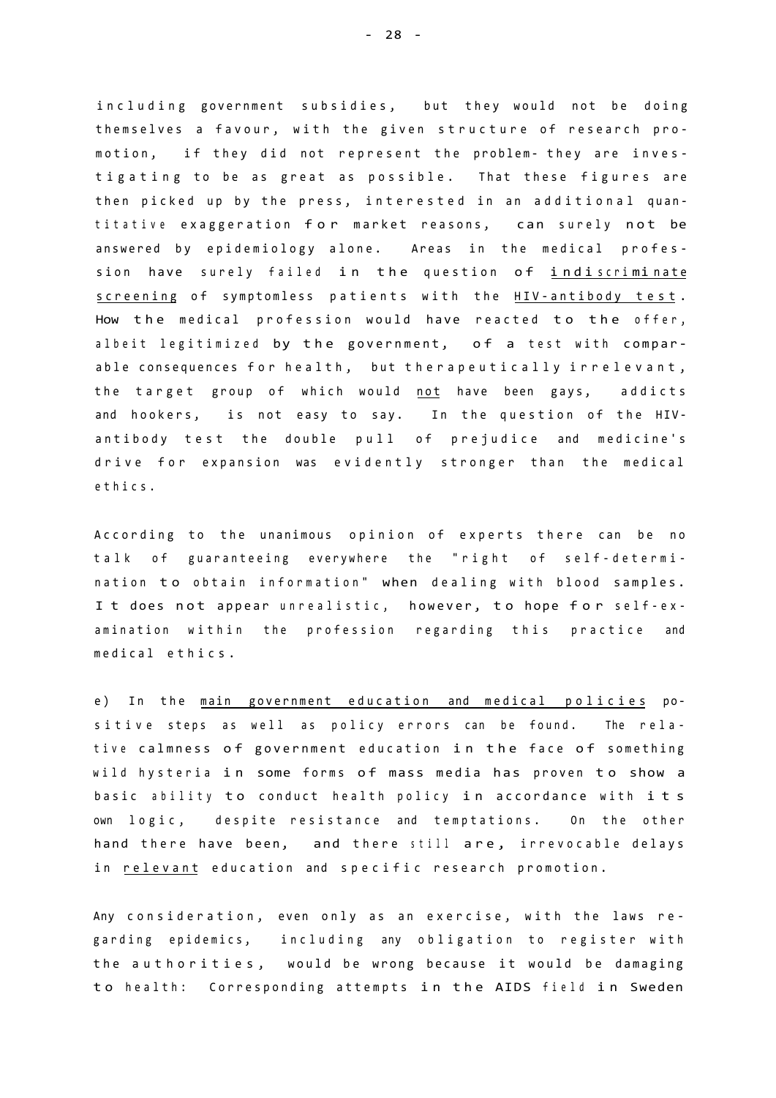including government subsidies, but they would not be doing themselves a favour, with the given structure of research promotion, if they did not represent the problem- they are investigating to be as great as possible. That these figures are then picked up by the press, interested in an additional quantitative exaggeration for market reasons, can surely not be answered by epidemiology alone. Areas in the medical profession have surely failed in the question of indiscriminate screening of symptomless patients with the HIV-antibody test. How the medical profession would have reacted to the offer, albeit legitimized by the government, of a test with comparable consequences for health, but therapeutically irrelevant, the target group of which would not have been gays, addicts and hookers, is not easy to say. In the question of the HIVantibody test the double pull of prejudice and medicine's drive for expansion was evidently stronger than the medical ethics .

According to the unanimous opinion of experts there can be no talk of guaranteeing everywhere the "right of self-determination to obtain information" when dealing with blood samples. I t does not appear unrealistic, however, to hope for self-examination within the profession regarding this practice and medical ethics.

e) In the main government education and medical policies positive steps as well as policy errors can be found. The relative calmness of government education in the face of something wild hysteria in some forms of mass media has proven to show a basic ability to conduct health policy in accordance with its own logic, despite resistance and temptations. On the other hand there have been, and there still are, irrevocable delays in relevant education and specific research promotion.

Any consideration, even only as an exercise, with the laws regarding epidemics, including any obligation to register with the authorities, would be wrong because it would be damaging to health: Corresponding attempts in the AIDS field in Sweden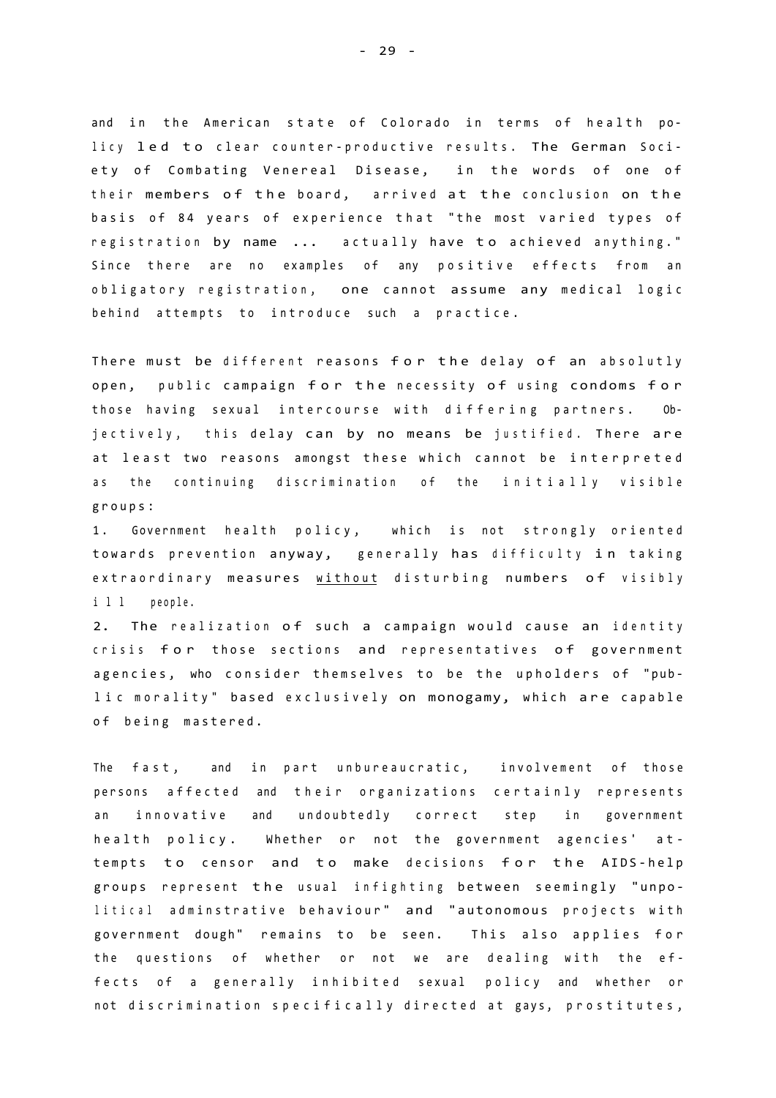and in the American state of Colorado in terms of health policy led to clear counter-productive results. The German Society of Combating Venereal Disease, in the words of one of their members of the board, arrived at the conclusion on the basis of 84 years of experience that "the most varied types of registration by name ... actually have to achieved anything." Since there are no examples of any positive effects from an obligatory registration, one cannot assume any medical logic behind attempts to introduce such a practice.

There must be different reasons for the delay of an absolutly open, public campaign for the necessity of using condoms for those having sexual intercourse with differing partners. Objectively, this delay can by no means be justified. There are at least two reasons amongst these which cannot be interpreted as the continuing discrimination of the initially visible groups :

1. Government health policy, which is not strongly oriented towards prevention anyway, generally has difficulty in taking extraordinary measures without disturbing numbers of visibly i l l people.

2. The realization of such a campaign would cause an identity crisis for those sections and representatives of government agencies, who consider themselves to be the upholders of "public morality" based exclusively on monogamy, which are capable of being mastered.

The fast, and in part unbureaucratic, involvement of those persons affected and their organizations certainly represents an innovative and undoubtedly correct step in government health policy. Whether or not the government agencies' attempts to censor and to make decisions for the AIDS-help groups represent the usual infighting between seemingly "unpolitical adminstrative behaviour" and "autonomous projects with government dough" remains to be seen. This also applies for the questions of whether or not we are dealing with the effects of a generally inhibited sexual policy and whether or not discrimination specifically directed at gays, prostitutes,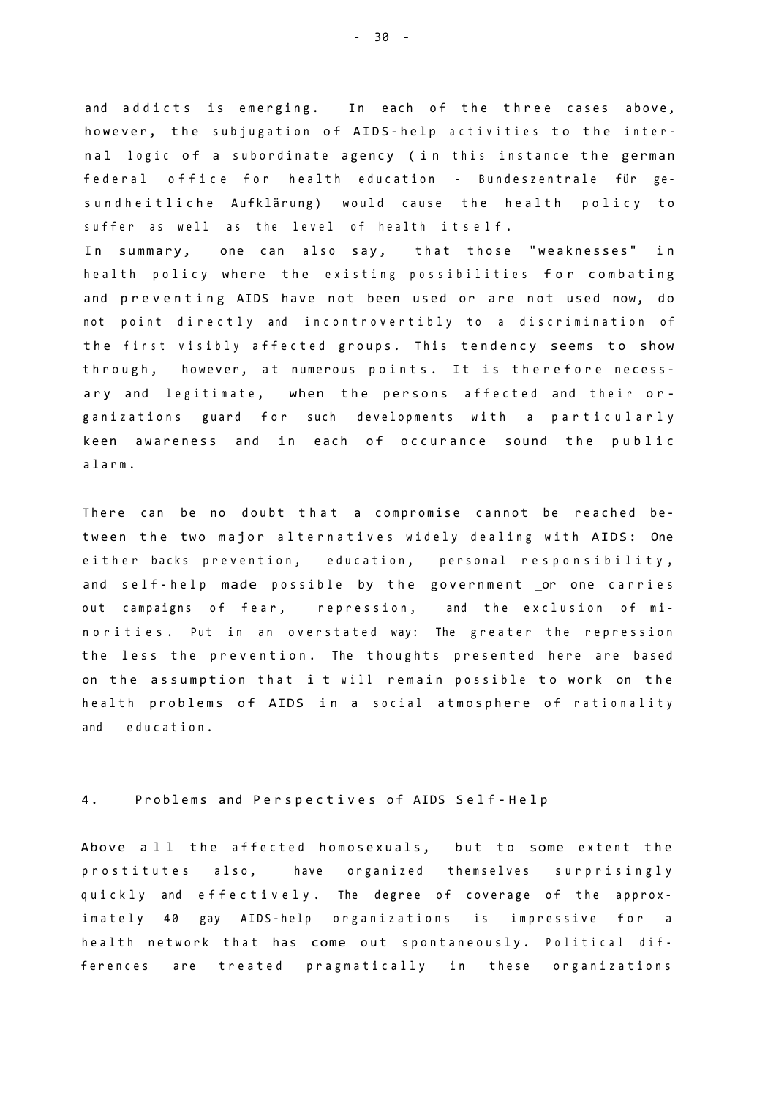and addicts is emerging. In each of the three cases above, however, the subjugation of AIDS-help activities to the internal logic of a subordinate agency (in this instance the german federal office for health education - Bundeszentrale für gesundheitliche Aufklärung) would cause the health policy to suffer as well as the level of health itself.

In summary, one can also say, that those "weaknesses" in health policy where the existing possibilities for combating and preventing AIDS have not been used or are not used now, do not point directly and incontrovertibly to a discrimination of the first visibly affected groups. This tendency seems to show through, however, at numerous points. It is therefore necessary and legitimate, when the persons affected and their organizations guard for such developments with a particularly keen awareness and in each of occurance sound the public alarm .

There can be no doubt that a compromise cannot be reached between the two major alternatives widely dealing with AIDS: One either backs prevention, education, personal responsibility, and self-help made possible by the government or one carries out campaigns of fear, repression, and the exclusion of minorities. Put in an overstated way: The greater the repression the less the prevention. The thoughts presented here are based on the assumption that i t will remain possible to work on the health problems of AIDS in a social atmosphere of rationality and education.

### 4. Problems and Perspectives of AIDS Self-Help

Above all the affected homosexuals, but to some extent the prostitutes also, have organized themselves surprisingly quickly and effectively. The degree of coverage of the approximately 40 gay AIDS-help organizations is impressive for a health network that has come out spontaneously. Political differences are treated pragmatically in these organizations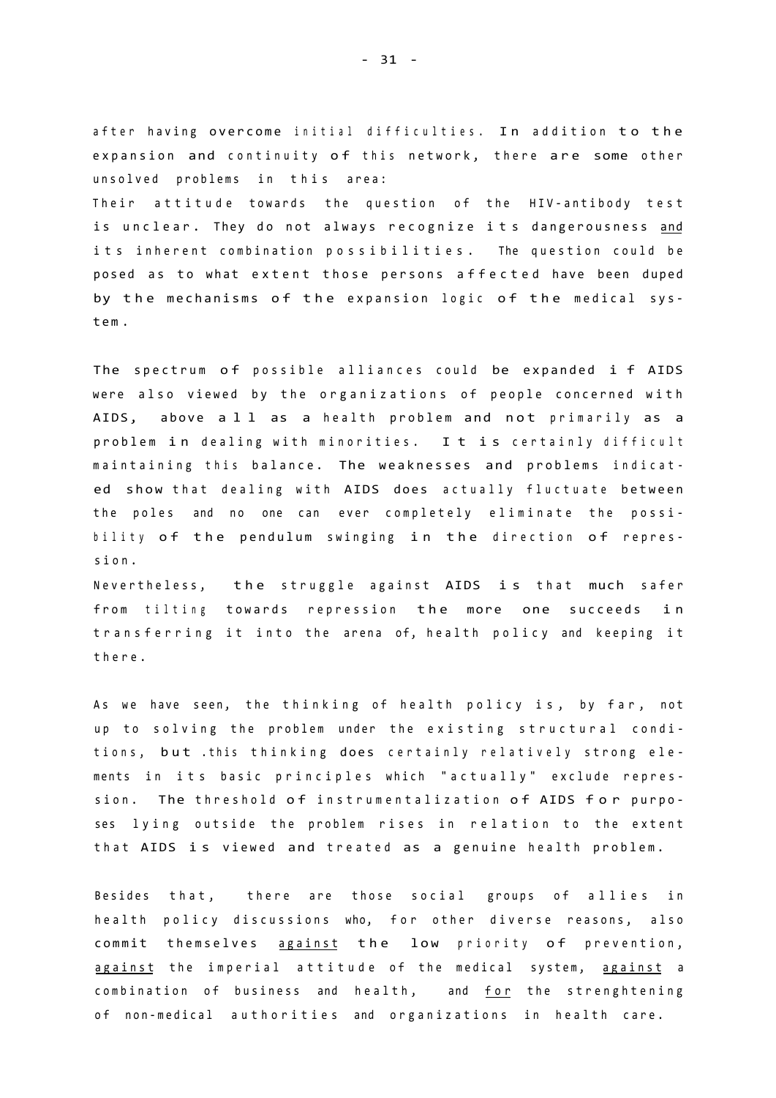after having overcome initial difficulties. In addition to the expansion and continuity of this network, there are some other unsolved problems in this area:

Their attitude towards the question of the HIV-antibody test is unclear. They do not always recognize its dangerousness and its inherent combination possibilities. The question could be posed as to what extent those persons affected have been duped by the mechanisms of the expansion logic of the medical syst e m .

The spectrum of possible alliances could be expanded i f AIDS were also viewed by the organizations of people concerned with AIDS, above all as a health problem and not primarily as a problem in dealing with minorities. It is certainly difficult maintaining this balance. The weaknesses and problems indicated show that dealing with AIDS does actually fluctuate between the poles and no one can ever completely eliminate the possibility of the pendulum swinging in the direction of repression .

Nevertheless, the struggle against AIDS is that much safer from tilting towards repression the more one succeeds in transferring it into the arena of, health policy and keeping it there .

As we have seen, the thinking of health policy is, by far, not up to solving the problem under the existing structural conditions, but .this thinking does certainly relatively strong elements in its basic principles which "actually" exclude repression. The threshold of instrumentalization of AIDS for purposes lying outside the problem rises in relation to the extent that AIDS is viewed and treated as a genuine health problem.

Besides that, there are those social groups of allies in health policy discussions who, for other diverse reasons, also commit themselves against the low priority of prevention, against the imperial attitude of the medical system, against a combination of business and health, and for the strenghtening of non-medical authorities and organizations in health care.

- 31 -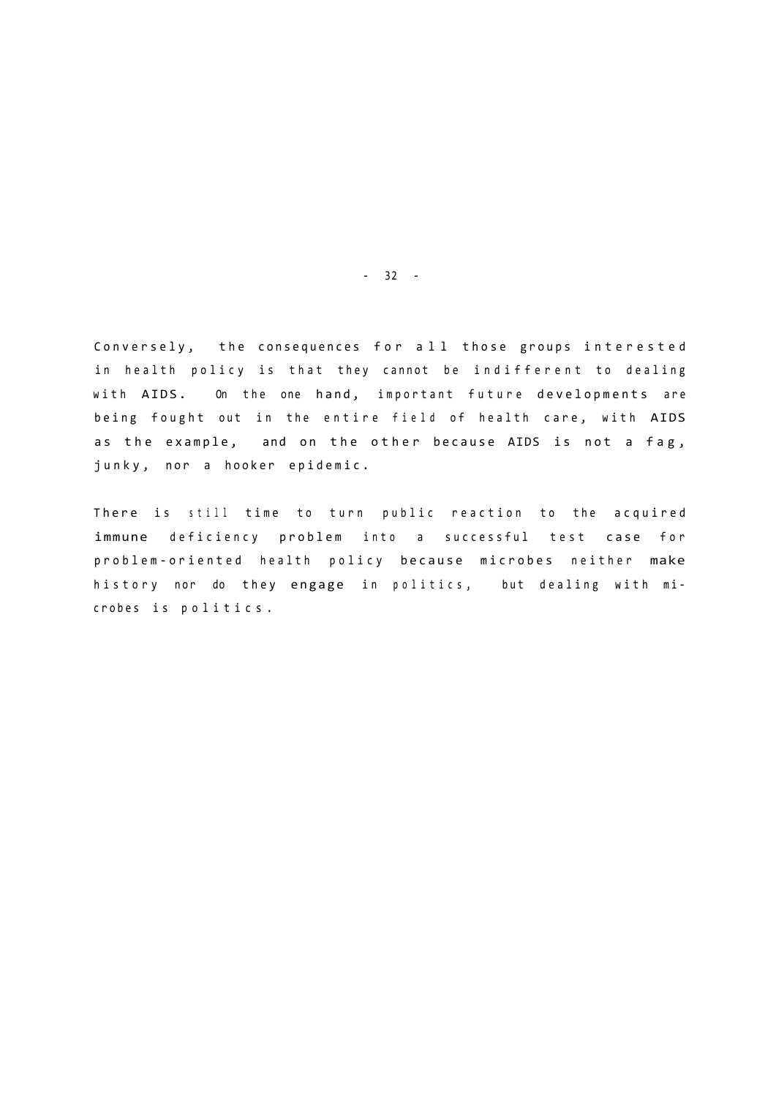Conversely, the consequences for all those groups interested in health policy is that they cannot be indifferent to dealing with AIDS. On the one hand, important future developments are being fought out in the entire field of health care, with AIDS as the example, and on the other because AIDS is not a fag, junky, nor a hooker epidemic.

There is still time to turn public reaction to the acquired immune deficiency problem into a successful test case for problem-oriented health policy because microbes neither make history nor do they engage in politics, but dealing with microbes is politics.

- 32 -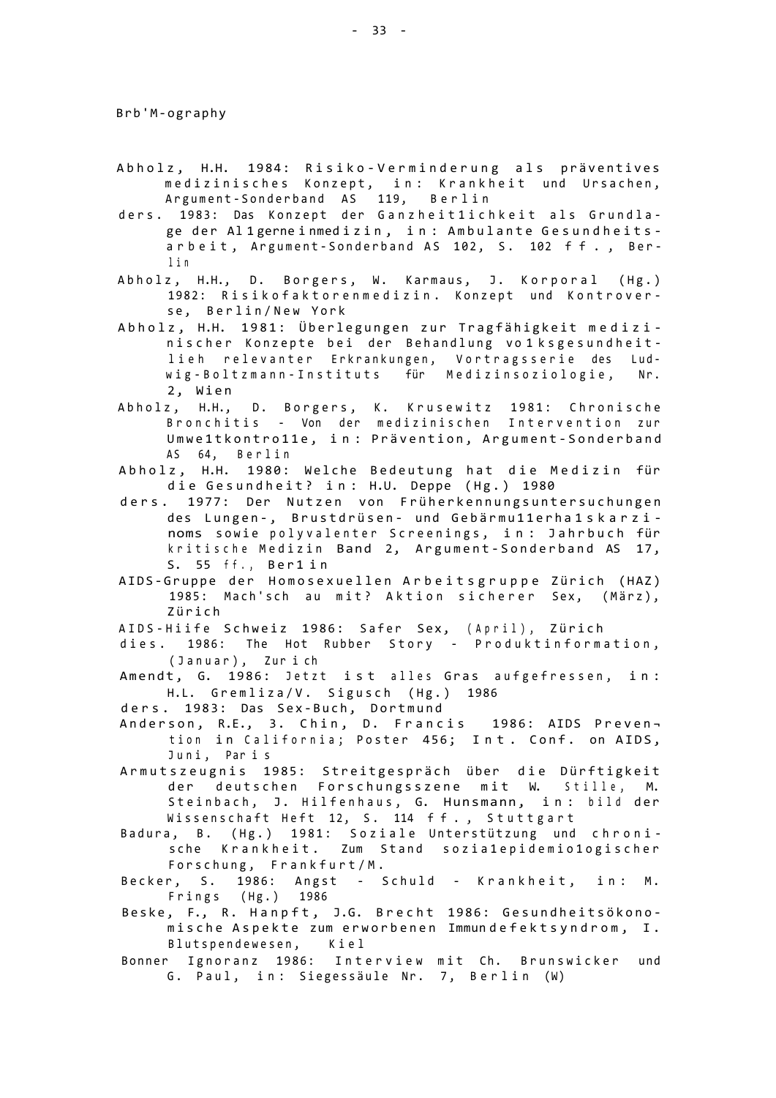- Abholz, H.H. 1984: Risiko-Verminderung als präventives medizinisches Konzept, in: Krankheit und Ursachen, Argument-Sonderband AS 119, Berlin
- ders. 1983: Das Konzept der Ganzheit1ichkeit als Grundlage der Al 1 gerne inmed iz in, in : Ambulante Gesundheits arbeit, Argument-Sonderband AS 102, S. 102 ff., Berl i <sup>n</sup>
- Abholz, H.H., D. Borgers, W. Karmaus, J. Korporal (Hg.) 1982: Risikofaktorenmedizin. Konzept und Kontroverse, Berlin/New York
- Abholz, H.H. 1981: Überlegungen zur Tragfähigkeit medizinischer Konzepte bei der Behandlung vo 1 ksgesundheitlieh relevanter Erkrankungen, Vortragsserie des Ludwig-Boltzmann-Instituts für Medizinsoziologie, Nr. 2, Wien
- Abholz, H.H., D. Borgers, K. Krusewitz 1981: Chronische Bronchitis - Von der medizinischen Intervention zur Umwe1tkontro11e, in: Prävention, Argument-Sonderband AS 64, Berlin
- Abholz, H.H. 1980: Welche Bedeutung hat die Medizin für die Gesundheit? in: H.U. Deppe (Hg.) 1980
- ders. 1977: Der Nutzen von Früherkennungsuntersuchungen des Lungen-, Brustdrüsen- und Gebärmu11erha1skarzinoms sowie polyvalenter Screenings, in: Jahrbuch für kritische Medizin Band 2, Argument-Sonderband AS 17, S. 55 ff., Ber1in
- AIDS-Gruppe der Homosexuellen Arbeitsgruppe Zürich (HAZ) 1985: Mach'sch au mit? Aktion sicherer Sex, (März), Züric h
- AIDS-Hiife Schweiz 1986: Safer Sex, (April), Zürich
- dies. 1986: The Hot Rubber Story Produktinformation, (Januar), Zurich
- Amendt, G. 1986: Jetzt ist alles Gras aufgefressen, in: H.L. Gremliza/V. Sigusch (Hg.) 1986
- ders. 1983: Das Sex-Buch, Dortmund
- Anderson, R.E., 3. Chin, D. Francis 1986: AIDS Preven tion in California; Poster 456; Int. Conf. on AIDS, Juni, Paris
- Armutszeugnis 1985: Streitgespräch über die Dürftigkeit der deutschen Forschungsszene mit W. Stille, M. Steinbach, J. Hilfenhaus, G. Hunsmann, in: bild der Wissenschaft Heft 12, S. 114 ff., Stuttgart
- Badura, B. (Hg.) 1981: Soziale Unterstützung und chronische Krankheit. Zum Stand sozia1epidemio1ogischer Forschung, Frankfurt/M.
- Becker, S. 1986: Angst Schuld Krankheit, in: M. Frings (Hg.) 1986
- Beske, F., R. Hanpft, J.G. Brecht 1986: Gesundheitsökonomische Aspekte zum erworbenen Immundefektsyndrom, I. Blutspendewesen, Kiel
- Bonner Ignoranz 1986: Interview mit Ch. Brunswicker und G. Paul, in: Siegessäule Nr. 7, Berlin (W)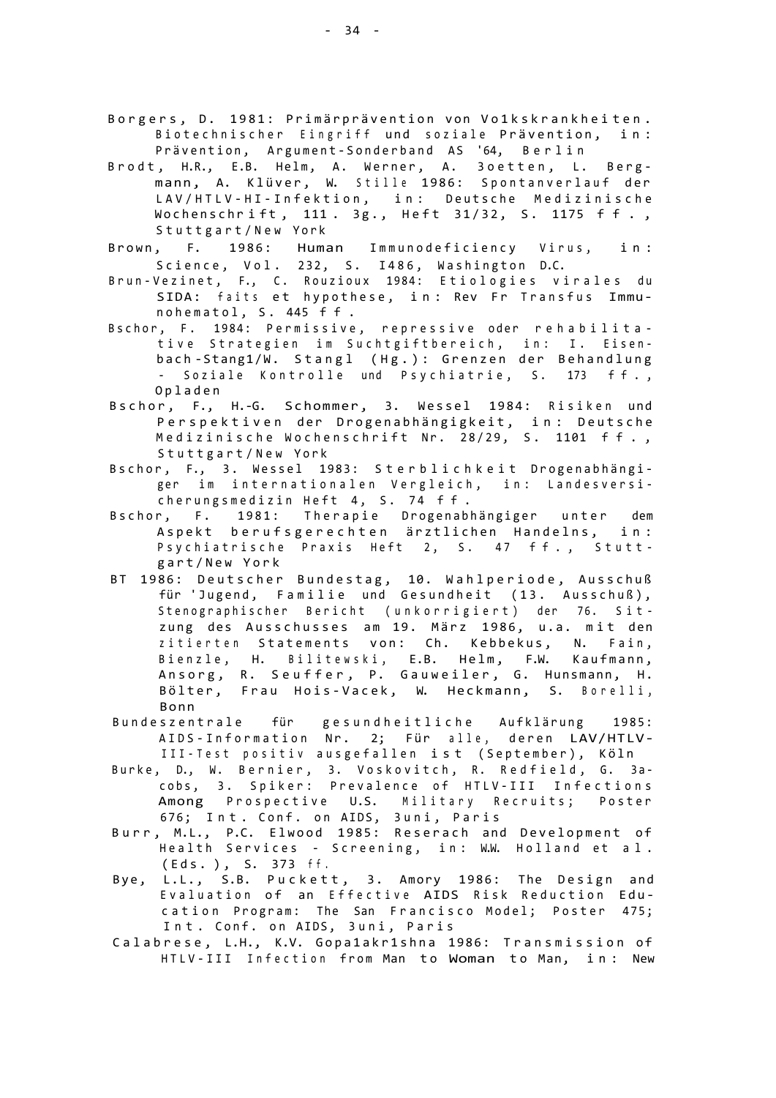- Borgers, D. 1981: Primärprävention von Vo1kskrankheiten. Biotechnischer Eingriff und soziale Prävention, in: Prävention, Argument-Sonderband AS '64, Berlin
- Brodt, H.R., E.B. Helm, A. Werner, A. 3oetten, L. Bergmann, A. Klüver, W. Stille 1986: Spontanverlauf der LAV/HTLV-HI-Infektion, in: Deutsche Medizinische Wochenschrift, 111. 3g., Heft 31/32, S. 1175 ff., Stuttgart/New York
- Brown, F. 1986: Human Immunodeficiency Virus, in: Science, Vol. 232, S. I486, Washington D.C.
- Brun-Vezinet, F., C. Rouzioux 1984: Etiologies virales du SIDA: faits et hypothese, in: Rev Fr Transfus Immunohematol, S. 445 ff.
- Bschor, F. 1984: Permissive, repressive oder rehabilitative Strategien im Suchtgiftbereich, in: I. Eisenbach-Stang1/W. Stangl (Hg.): Grenzen der Behandlung - Soziale Kontrolle und Psychiatrie, S. 173 ff., Oplade n
- Bschor, F., H.-G. Schommer, 3. Wessel 1984: Risiken und Perspektiven der Drogenabhängigkeit, in: Deutsche Medizinische Wochenschrift Nr. 28/29, S. 1101 ff., Stuttgart/New York
- Bschor, F., 3. Wessel 1983: Sterblichkeit Drogenabhängiger im internationalen Vergleich, in: Landesversicherungsmedizin Heft 4, S. 74 ff.
- Bschor, F. 1981: Therapie Drogenabhängiger unter dem Aspekt berufsgerechten ärztlichen Handelns, in: Psychiatrische Praxis Heft 2, S. 47 ff., Stuttgart/New York
- BT 1986: Deutscher Bundestag, 10. Wahlperiode, Ausschuß für 'Jugend, Familie und Gesundheit (13. Ausschuß), Stenographischer Bericht (unkorrigiert) der 76. Sitzung des Ausschusses am 19. März 1986, u.a. mit den zitierten Statements von: Ch. Kebbekus, N. Fain, Bienzle, H. Bilitewski, E.B. Helm, F.W. Kaufmann, Ansorg, R. Seuffer, P. Gauweiler, G. Hunsmann, H. Bölter, Frau Hois-Vacek, W. Heckmann, S. Borelli, Bonn
- Bundeszentrale für gesundheitliche Aufklärung 1985: AIDS-Information Nr. 2; Für alle, deren LAV/HTLV-III-Test positiv ausgefallen ist (September), Köln
- Burke, D., W. Bernier, 3. Voskovitch, R. Redfield, G. 3acobs, 3. Spiker: Prevalence of HTLV-III Infections Among Prospective U.S. Military Recruits; Poster 676; Int. Conf. on AIDS, 3uni, Paris
- Burr, M.L., P.C. Elwood 1985: Reserach and Development of Health Services - Screening, in: W.W. Holland et al. (Eds . ) , S. 373 ff .
- Bye, L.L., S.B. Puckett, 3. Amory 1986: The Design and Evaluation of an Effective AIDS Risk Reduction Education Program: The San Francisco Model; Poster 475; Int. Conf. on AIDS, 3uni, Paris
- Calabrese, L.H., K.V. Gopa1akr1shna 1986: Transmission of HTLV-III Infection from Man to Woman to Man, in: New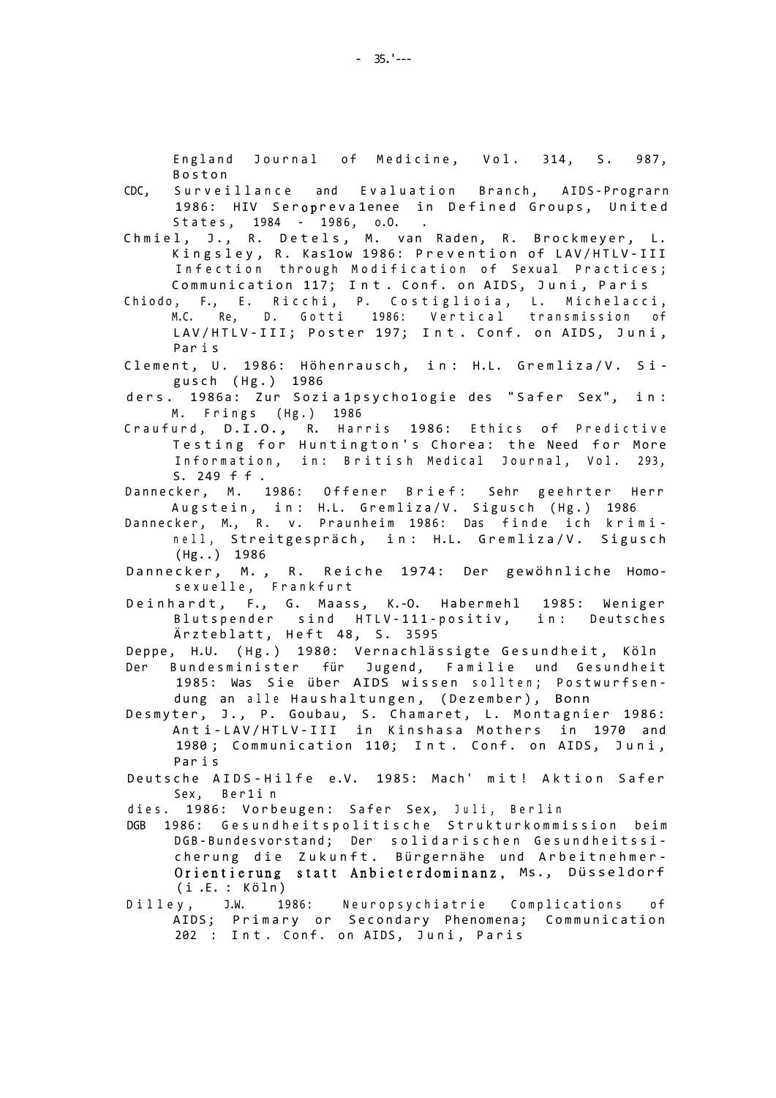England Journal of Medicine, Vol. 314, S. 987, Bosto n

- CDC, Surveillance and Evaluation Branch, AIDS-Prograrn 1986: HIV Seroprevalenee in Defined Groups, United States, 1984 - 1986, o.O. .
- Chmiel, J., R. Detels, M. van Raden, R. Brockmeyer, L. Kingsley, R. Kas1ow 1986: Prevention of LAV/HTLV-III Infection through Modification of Sexual Practices; Communication 117; Int. Conf. on AIDS, Juni, Paris
- Chiodo, F., E. Ricchi, P. Costiglioia, L. Michelacci, M.C. Re, D. Gotti 1986: Vertical transmission of LAV/HTLV-III; Poster 197; Int. Conf. on AIDS, Juni, Par i s
- Clement, U. 1986: Höhenrausch, in: H.L. Gremliza/V. Sigusch (Hg.) 1986
- ders. 1986a: Zur Sozia1psycho1ogie des "Safer Sex", in:  $M.$  Frings (Hg.) 1986
- Craufurd, D.I.O., R. Harris 1986: Ethics of Predictive Testing for Huntington's Chorea: the Need for More Information, in: British Medical Journal, Vol. 293, S. 249 ff .
- Dannecker, M. 1986: Offener Brief: Sehr geehrter Herr Augstein, in: H.L. Gremliza/V. Sigusch (Hg.) 1986
- Dannecker, M., R. v. Praunheim 1986: Das finde ich kriminell, Streitgespräch, in: H.L. Gremliza/V. Sigusch  $(Hg...)$  1986
- Dannecker, M., R. Reiche 1974: Der gewöhnliche Homosexuelle, Frankfurt
- Deinhardt, F., G. Maass, K.-O. Habermehl 1985: Weniger Blutspender sind HTLV-111-positiv, in: Deutsches Ärzteblatt, Heft 48, S. 3595
- Deppe, H.U. (Hg.) 1980: Vernachlässigte Gesundheit, Köln
- Der Bundesminister für Jugend, Familie und Gesundheit 1985: Was Sie über AIDS wissen sollten; Postwurfsendung an alle Haushaltungen, (Dezember), Bonn
- Desmyter, J., P. Goubau, S. Chamaret, L. Montagnier 1986: Anti-LAV/HTLV-III in Kinshasa Mothers in 1970 and 1980; Communication 110; Int. Conf. on AIDS, Juni, Par i s
- Deutsche AIDS-Hilfe e.V. 1985: Mach' mit! Aktion Safer Sex, Ber1in
- dies. 1986: Vorbeugen: Safer Sex, Juli, Berlin
- DGB 1986: Gesundheitspolitische Strukturkommission beim DGB-Bundesvorstand; Der solidarischen Gesundheitssicherung die Zukunft. Bürgernähe und Arbeitnehmer-**Orientierun g statt Anbieterdominanz ,** Ms., Düsseldor f i .E. : Köln)<br>y, J.W. 19
- Dilley, J.W. 1986: Neuropsychiatrie Complications of AIDS; Primary or Secondary Phenomena; Communication 202 : Int. Conf. on AIDS, Juni, Paris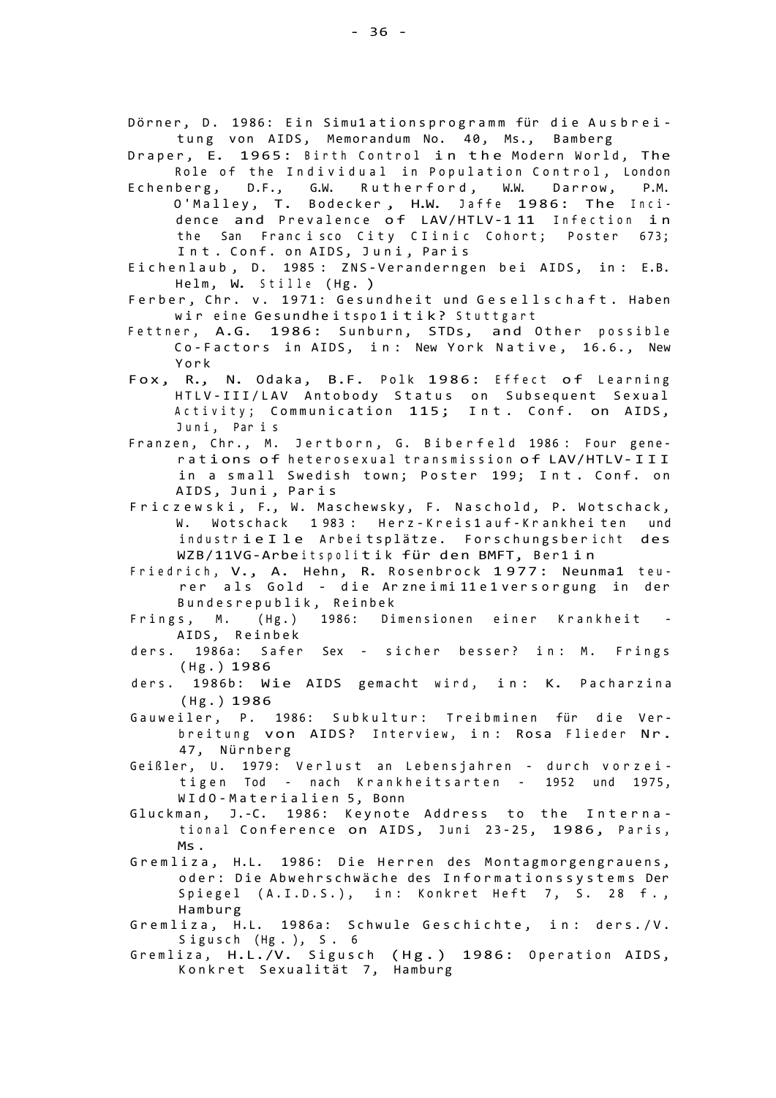Dörner, D. 1986: Ein Simu1ationsprogramm für die Ausbreitung von AIDS, Memorandum No. 40, Ms., Bamberg

- Draper, E. 1965: Birth Control in the Modern World, The Role of the Individual in Population Control, London
- Echenberg, D.F., G.W. Rutherford, W.W. Darrow, P.M. O'Malley, T. Bodecker, H.W. Jaffe 1986: The Incidence and Prevalence of LAV/HTLV-111 Infection in the San Francisco City Clinic Cohort; Poster 673; Int. Conf. on AIDS, Juni, Paris
- Eichenlaub, D. 1985: ZNS-Veranderngen bei AIDS, in: E.B. Helm, W. Stille (Hg. )
- Ferber, Chr. v. 1971: Gesundheit und Gesellschaft. Haben wir eine Gesundheitspolitik? Stuttgart
- Fettner, A.G. 1986: Sunburn, STDs, and Other possible Co-Factors in AIDS, in: New York Native, 16.6., New Yor k
- Fox, R., N. Odaka, B.F. Polk 1986: Effect of Learning HTLV-III/LAV Antobody Status on Subsequent Sexual Activity; Communication 115; Int. Conf. on AIDS, Juni, Paris
- Franzen, Chr., M. Jertborn, G. Biberfeld 1986: Four generations of heterosexual transmission of LAV/HTLV-III in a small Swedish town; Poster 199; Int. Conf. on AIDS, Juni, Paris
- Friczewski, F., W. Maschewsky, F. Naschold, P. Wotschack, W. Wotschack 1983: Herz-Kreis1 auf-Krankheiten und industrie I le Arbeitsplätze. Forschungsber icht des WZB/11VG-Arbeitspolitik für den BMFT, Ber1in
- Friedrich, V., A. Hehn, R. Rosenbrock 1977: Neunma1 teurer als Gold - die Arzneimi 11 e1 versorgung in der Bundesrepublik , Reinbe k
- Frings, M. (Hg.) 1986: Dimensionen einer Krankheit -AIDS, Reinbek
- ders. 1986a: Safer Sex sicher besser? in: M. Frings (Hg. ) 1986
- ders. 1986b: Wie AIDS gemacht wird, in: K. Pacharzina (Hg. ) 1986
- Gauweiler, P. 1986: Subkultur: Treibminen für die Verbreitung von AIDS? Interview, in: Rosa Flieder Nr. 47, Nürnberg
- Geißler, U. 1979: Verlust an Lebensjahren durch vorzeitigen Tod - nach Krankheitsarten - 1952 und 1975, WIdO-Materialien 5, Bonn
- Gluckman, J.-C. 1986: Keynote Address to the International Conference on AIDS, Juni 23-25, 1986, Paris, Ms .
- Gremliza, H.L. 1986: Die Herren des Montagmorgengrauens, oder: Die Abwehrschwäche des Informationssystems Der Spiegel (A.I.D.S.), in: Konkret Heft 7, S. 28 f., Hamburg
- Gremliza, H.L. 1986a: Schwule Geschichte, in: ders./V. Sigusch (Hg.), S. 6
- Gremliza, H.L./V. Sigusch (Hg.) 1986: Operation AIDS, Konkret Sexualität 7, Hamburg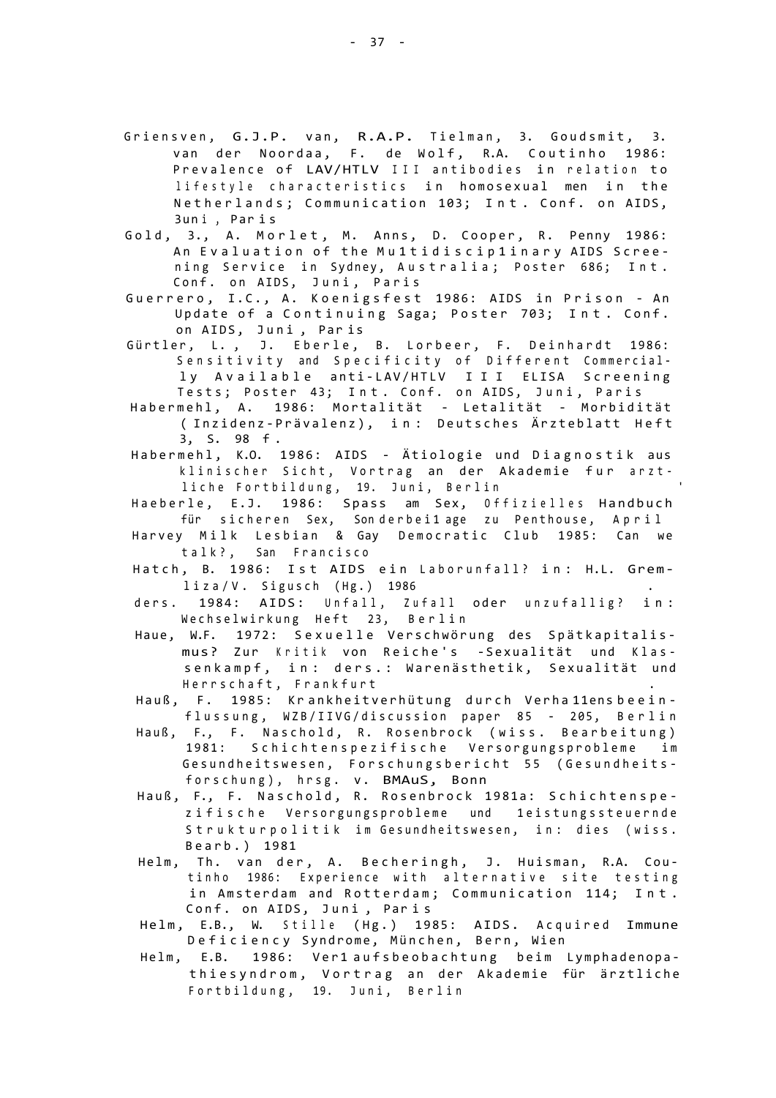- Griensven, G.J.P. van, R.A.P. Tielman, 3. Goudsmit, 3. van der Noordaa, F. de Wolf, R.A. Coutinho 1986: Prevalence of LAV/HTLV III antibodies in relation to lifestyle characteristics in homosexual men in the Netherlands; Communication 103; Int. Conf. on AIDS, 3un i , Par i s
- Gold, 3., A. Morlet, M. Anns, D. Cooper, R. Penny 1986: An Evaluation of the Multidisciplinary AIDS Screening Service in Sydney, Australia; Poster 686; Int. Conf. on AIDS, Juni, Paris
- Guerrero, I.C., A. Koenigsfest 1986: AIDS in Prison An Update of a Continuing Saga; Poster 703; Int. Conf. on AIDS, Juni, Paris
- Gürtler, L., J. Eberle, B. Lorbeer, F. Deinhardt 1986: Sensitivity and Specificity of Different Commercially Available anti-LAV/HTLV III ELISA Screening Tests; Poster 43; Int. Conf. on AIDS, Juni, Paris
- Habermehl, A. 1986: Mortalität Letalität Morbidität ( Inzidenz-Prävalenz), in: Deutsches Ärzteblatt Heft 3, S. 98 f .
- Habermehl, K.O. 1986: AIDS Ätiologie und Diagnostik aus klinischer Sicht, Vortrag an der Akademie fur arztliche Fortbildung, 19. Juni, Berlin
- Haeberle, E.J. 1986: Spass am Sex, Offizielles Handbuch für sicheren Sex, Sonderbei1age zu Penthouse, April
- Harvey Milk Lesbian & Gay Democratic Club 1985: Can we talk?, San Francisco
- Hatch, B. 1986: Ist AIDS ein Laborunfall? in: H.L. Grem $liza/V.$  Sigusch (Hg.) 1986
- ders. 1984: AIDS: Unfall, Zufall oder unzufallig? in: Wechselwirkung Heft 23, Berlin
- Haue, W.F. 1972: Sexuelle Verschwörung des Spätkapitalismus? Zur Kritik von Reiche's -Sexualität und Klassenkampf, in: ders.: Warenästhetik, Sexualität und Herrschaft, Frankfurt
- Hauß, F. 1985: Krankheitverhütung durch Verha 11ensbeeinflussung, WZB/IIVG/discussion paper 85 - 205, Berlin
- Hauß, F., F. Naschold, R. Rosenbrock (wiss. Bearbeitung) 1981: Schichtenspezifische Versorgungsprobleme im Gesundheitswesen, Forschungsbericht 55 (Gesundheitsforschung), hrsg. v. BMAuS, Bonn
- Hauß, F., F. Naschold, R. Rosenbrock 1981a: Schichtenspezifische Versorgungsprobleme und 1eistungssteuernde Strukturpolitik im Gesundheitswesen, in: dies (wiss. Bearb. ) 1981
- Helm, Th. van der, A. Becheringh, J. Huisman, R.A. Coutinho 1986: Experience with alternative site testing in Amsterdam and Rotterdam; Communication 114; Int. Conf. on AIDS, Juni, Paris
- Helm, E.B., W. Stille (Hg.) 1985: AIDS. Acquired Immune Deficiency Syndrome, München, Bern, Wien
- Helm, E.B. 1986: Ver1 aufsbeobachtung beim Lymphadenopathiesyndrom, Vortrag an der Akademie für ärztliche Fortbildung, 19. Juni, Berlin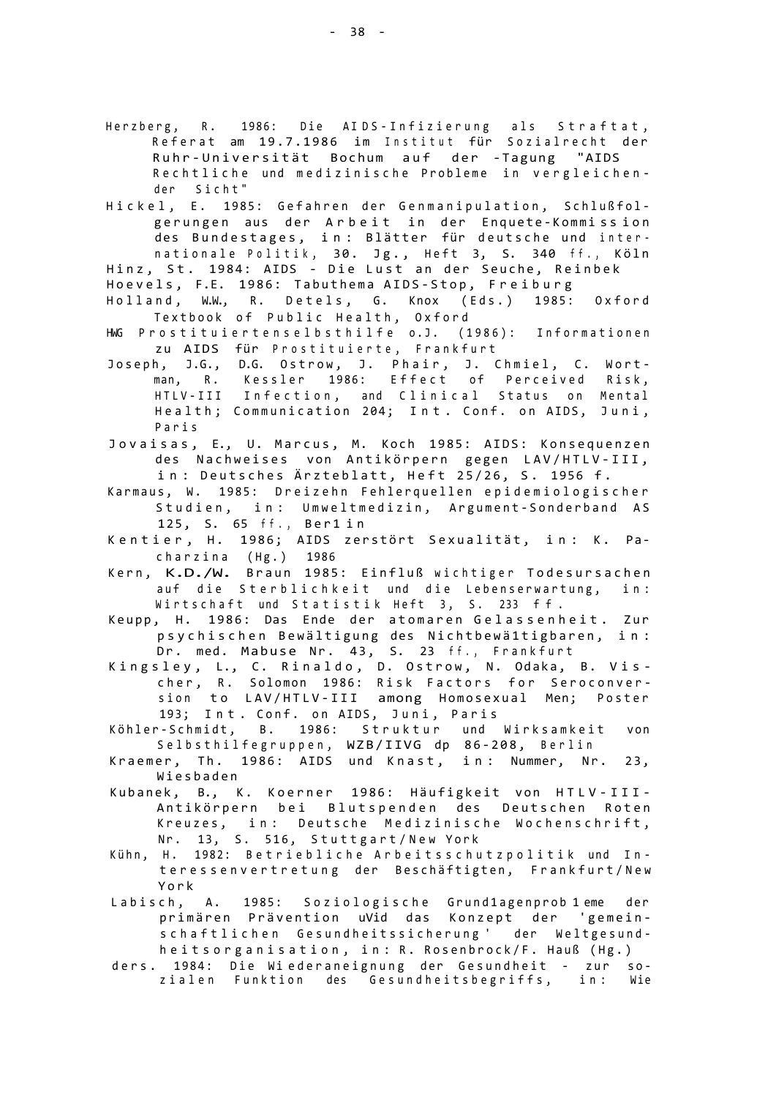- Herzberg, R. 1986: Die AIDS-Infizierung als Straftat, Referat am 19.7.1986 im Institut für Sozialrecht der Ruhr-Universität Bochum auf der -Tagung "AIDS Rechtliche und medizinische Probleme in vergleichender Sicht"
- Hickel, E. 1985: Gefahren der Genmanipulation, Schlußfolgerungen aus der Arbeit in der Enquete-Kommission des Bundestages, in: Blätter für deutsche und internationale Politik, 30. Jg., Heft 3, S. 340 ff., Köln

Hinz, St. 1984: AIDS - Die Lust an der Seuche, Reinbek

- Hoevels, F.E. 1986: Tabuthema AIDS-Stop, Freiburg Holland, W.W., R. Detels, G. Knox (Eds.) 1985: Oxford Textbook of Public Health, Oxford
- HWG Prostituiertenselbsthilfe o.J. (1986): Informationen zu AIDS für Prostituierte, Frankfurt
- Joseph, J.G., D.G. Ostrow, J. Phair, J. Chmiel, C. Wortman, R. Kessler 1986: Effect of Perceived Risk, HTLV-III Infection, and Clinical Status on Mental Health; Communication 204; Int. Conf. on AIDS, Juni, Pari s
- Jovaisas, E., U. Marcus, M. Koch 1985: AIDS: Konsequenzen des Nachweises von Antikörpern gegen LAV/HTLV-III, in: Deutsches Ärzteblatt, Heft 25/26, S. 1956 f.
- Karmaus, W. 1985: Dreizehn Fehlerquellen epidemiologischer Studien, in: Umweltmedizin, Argument-Sonderband AS 125, S. 65 ff., Ber1in
- Kentier, H. 1986; AIDS zerstört Sexualität, in: K. Pacharzina  $(Hg.)$  1986
- Kern, K.D./W. Braun 1985: Einfluß wichtiger Todesursachen auf die Sterblichkeit und die Lebenserwartung, in: Wirtschaft und Statistik Heft 3, S. 233 ff.
- Keupp, H. 1986: Das Ende der atomaren Gelassenheit. Zur psychischen Bewältigung des Nichtbewä1tigbaren, in: Dr. med. Mabuse Nr. 43, S. 23 ff., Frankfurt
- Kingsley, L., C. Rinaldo, D. Ostrow, N. Odaka, B. Vischer, R. Solomon 1986: Risk Factors for Seroconversion to LAV/HTLV-III among Homosexual Men; Poster 193; Int. Conf. on AIDS, Juni, Paris
- Köhler-Schmidt, B. 1986: Struktur und Wirksamkeit von Selbsthilfegruppen, WZB/IIVG dp 86-208, Berlin
- Kraemer, Th. 1986: AIDS und Knast, in: Nummer, Nr. 23, Wiesbade n
- Kubanek, B., K. Koerner 1986: Häufigkeit von HTLV-III-Antikörpern bei Blutspenden des Deutschen Roten Kreuzes, in: Deutsche Medizinische Wochenschrift, Nr. 13, S. 516, Stuttgart/New York
- Kühn, H. 1982: Betriebliche Arbeitsschutzpolitik und Interessenvertretung der Beschäftigten, Frankfurt/New Yor k
- Labisch, A. 1985: Soziologische Grund1agenprob 1 eme der primären Prävention uVid das Konzept der 'gemeinschaftlichen Gesundheitssicherung ' der Weltgesundheitsorganisation, in: R. Rosenbrock/F. Hauß (Hg.)
- ders. 1984: Die Wiederaneignung der Gesundheit zur sozialen Funktion des Gesundheitsbegriffs, in: Wie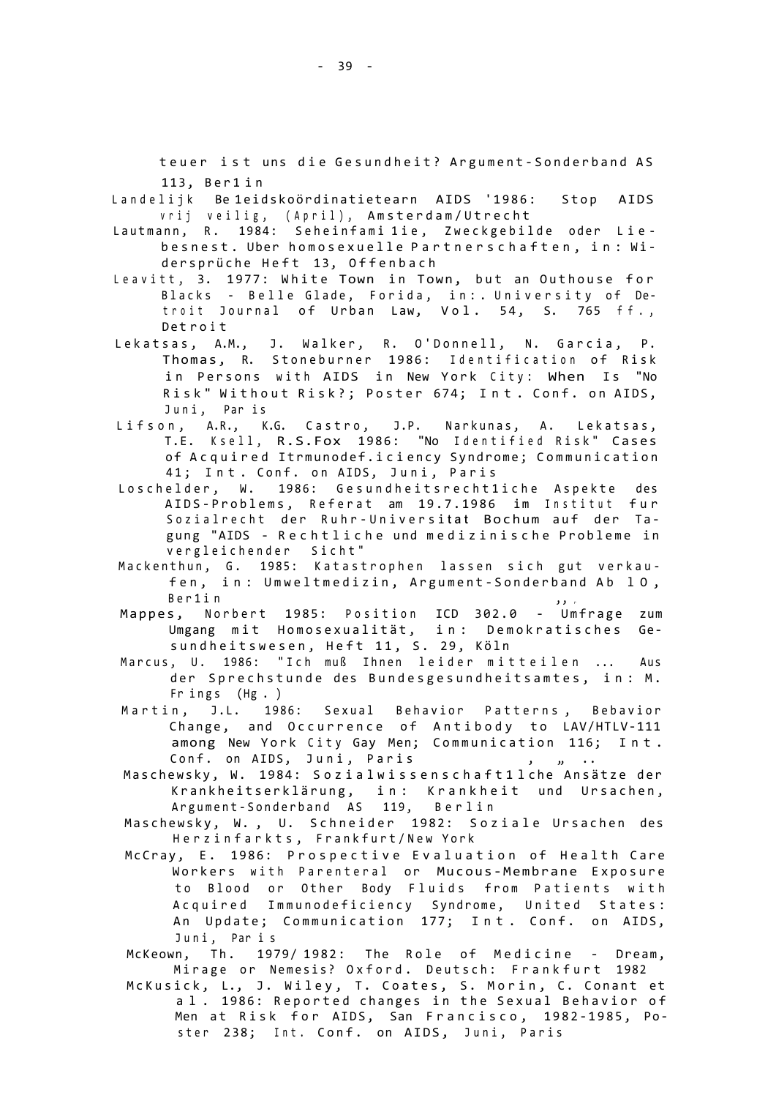teuer ist uns die Gesundheit? Argument-Sonderband AS 113, Ber1in

Landelijk Be 1eidskoördinatietearn AIDS '1986: Stop AIDS vrij veilig, (April), Amsterdam/Utrecht

- Lautmann, R. 1984: Seheinfami 1ie, Zweckgebilde oder Liebesnest . Uber homosexuell e Partnerschaften , in : Wi dersprüche Heft 13, Offenbach
- Leavitt, 3. 1977: White Town in Town, but an Outhouse for Blacks - Belle Glade, Forida, in: . University of Detroit Journal of Urban Law, Vol. 54, S. 765 ff., D et r o i t
- Lekatsas, A.M., J. Walker, R. O'Donnell, N. Garcia, P. Thomas, R. Stoneburner 1986: Identification of Risk in Persons with AIDS in New York City: When Is "No Risk" Without Risk?; Poster 674; Int. Conf. on AIDS, Juni, Par is
- Lifson, A.R., K.G. Castro, J.P. Narkunas, A. Lekatsas, T.E. Ksell, R.S.Fox 1986: "No Identified Risk" Cases of Acquired Itrmunodef.iciency Syndrome; Communication 41; Int. Conf. on AIDS, Juni, Paris
- Loschelder, W. 1986: Gesundheitsrecht1iche Aspekte des AIDS-Problems, Referat am 19.7.1986 im Institut fur Sozialrecht der Ruhr-Universitat Bochum auf der Tagung "AIDS - Rechtliche und medizinische Probleme in vergleichender Sicht"
- Mackenthun, G. 1985: Katastrophen lassen sich gut verkaufen, in: Umweltmedizin, Argument-Sonderband Ab 10, Ber1in
- Mappes, Norbert 1985: Position ICD 302.0 Umfrage zum Umgang mit Homosexualität, in: Demokratisches Gesundheitswesen, Heft 11, S. 29, Köln
- Marcus, U. 1986: "Ich muß Ihnen leider mitteilen ... Aus der Sprechstunde des Bundesgesundheitsamtes, in: M. Fr ings  $(Hg. )$
- Martin, J.L. 1986: Sexual Behavior Patterns, Bebavior Change, and Occurrence of Antibody to LAV/HTLV-111 among New York City Gay Men; Communication 116; Int. Conf. on AIDS, Juni, Paris (1997), 1999
- Maschewsky, W. 1984: Sozialwissenschaft11che Ansätze der Krankheitserklärung, in: Krankheit und Ursachen, Argument-Sonderband AS 119, Berlin
- Maschewsky, W., U. Schneider 1982: Soziale Ursachen des Herzinfarkts, Frankfurt/New York
- McCray, E. 1986: Prospective Evaluation of Health Care Workers with Parenteral or Mucous-Membrane Exposure to Blood or Other Body Fluids from Patients with Acquired Immunodeficiency Syndrome, United States: An Update; Communication 177; Int. Conf. on AIDS, Juni, Paris
- McKeown, Th. 1979/1982: The Role of Medicine Dream, Mirage or Nemesis? Oxford. Deutsch: Frankfurt 1982
- McKusick, L., J. Wiley, T. Coates, S. Morin, C. Conant et a l . 1986: Reported changes in the Sexual Behavior of Men at Risk for AIDS, San Francisco, 1982-1985, Poster 238; Int. Conf. on AIDS, Juni, Paris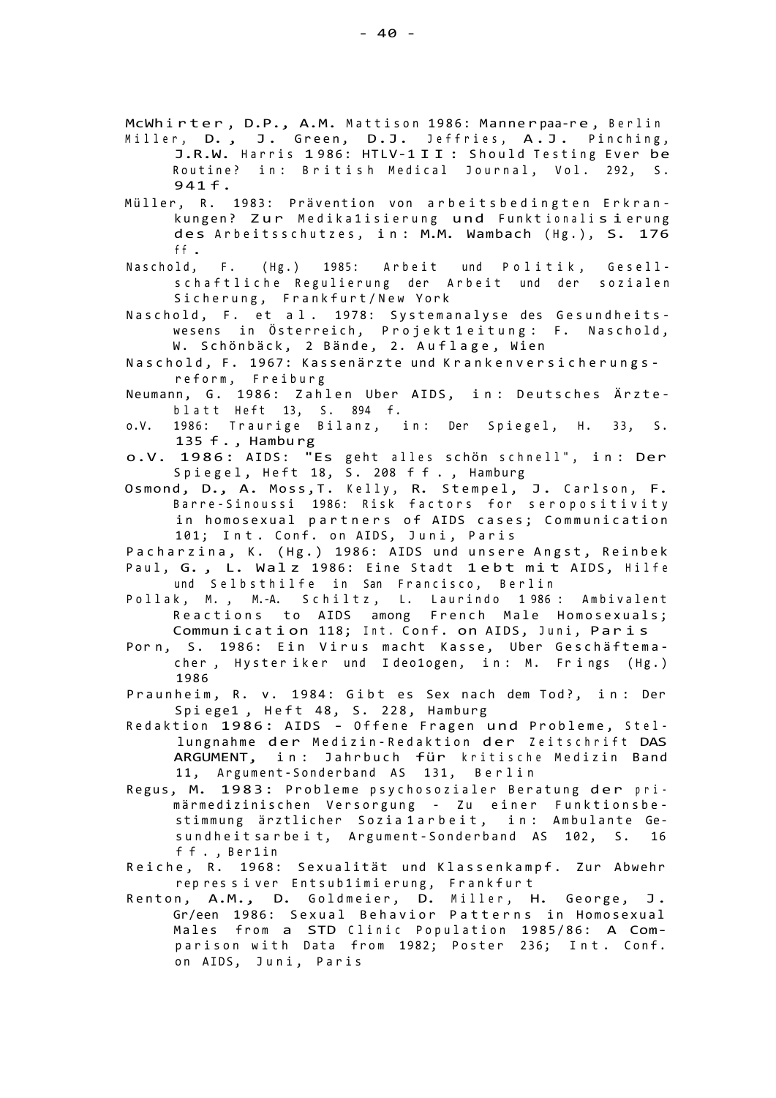McWhirter, D.P., A.M. Mattison 1986: Mannerpaa-re, Berlin Miller, D., J. Green, D.J. Jeffries, A.J. Pinching,

- J.R.W. Harris 1986: HTLV-1II: Should Testing Ever be Routine? in: British Medical Journal, Vol. 292, S. 941 f .
- Müller, R. 1983: Prävention von arbeitsbedingten Erkrankungen? Zur Medika1isierung und Funktionalisierung des Arbeitsschutzes, in: M.M. Wambach (Hg.), S. 176 <sup>f</sup> f .
- Naschold, F. (Hg.) 1985: Arbeit und Politik, Gesellschaftliche Regulierung der Arbeit und der sozialen Sicherung, Frankfurt/New York
- Naschold, F. et al. 1978: Systemanalyse des Gesundheitswesens in Österreich, Projekt 1 eitung: F. Naschold, W. Schönbäck, 2 Bände, 2. Auflage, Wien
- Naschold, F. 1967: Kassenärzte und Krankenversicherungsreform , Freibur g
- Neumann, G. 1986: Zahlen Uber AIDS, in: Deutsches Ärzteblatt Heft 13, S. 894 f.
- o.V. 1986: Traurige Bilanz, in: Der Spiegel, H. 33, S. 135 f., Hamburg
- o.V. 1986: AIDS: "Es geht alles schön schnell", in: Der Spiegel, Heft 18, S. 208 ff., Hamburg
- Osmond, D., A. Moss,T. Kelly, R. Stempel, J. Carlson, F. Barre-Sinoussi 1986: Risk factors for seropositivity in homosexual partners of AIDS cases; Communication 101; Int. Conf. on AIDS, Juni, Paris
- Pacharzina, K. (Hg.) 1986: AIDS und unsere Angst, Reinbek Paul, G., L. Walz 1986: Eine Stadt 1ebt mit AIDS, Hilfe und Selbsthilfe in San Francisco, Berlin
- Pollak, M., M.-A. Schiltz, L. Laurindo 1986: Ambivalent Reactions to AIDS among French Male Homosexuals; Communication 118; Int. Conf. on AIDS, Juni, Paris
- Porn, S. 1986: Ein Virus macht Kasse, Uber Geschäftemacher, Hysteriker und Ideo1ogen, in: M. Frings (Hg.) 1986
- Praunheim, R. v. 1984: Gibt es Sex nach dem Tod?, in: Der Spiege1, Heft 48, S. 228, Hamburg
- Redaktion 1986: AIDS Offene Fragen und Probleme, Stellungnahme der Medizin-Redaktion der Zeitschrift DAS ARGUMENT, in: Jahrbuch für kritische Medizin Band 11, Argument-Sonderband AS 131, Berlin
- Regus, M. 1983: Probleme psychosozialer Beratung der primärmedizinischen Versorgung - Zu einer Funktionsbestimmung ärztlicher Sozia 1 arbeit, in: Ambulante Gesundheit sarbeit, Argument-Sonderband AS 102, S. 16 ff., Ber1in
- Reiche, R. 1968: Sexualität und Klassenkampf. Zur Abwehr rep res s i ver Entsub1imi erung, Frankfurt
- Renton, A.M., D. Goldmeier, D. Miller, H. George, J. Gr/een 1986: Sexual Behavior Patterns in Homosexual Males from a STD Clinic Population 1985/86: A Comparison with Data from 1982; Poster 236; Int. Conf. on AIDS, Juni, Paris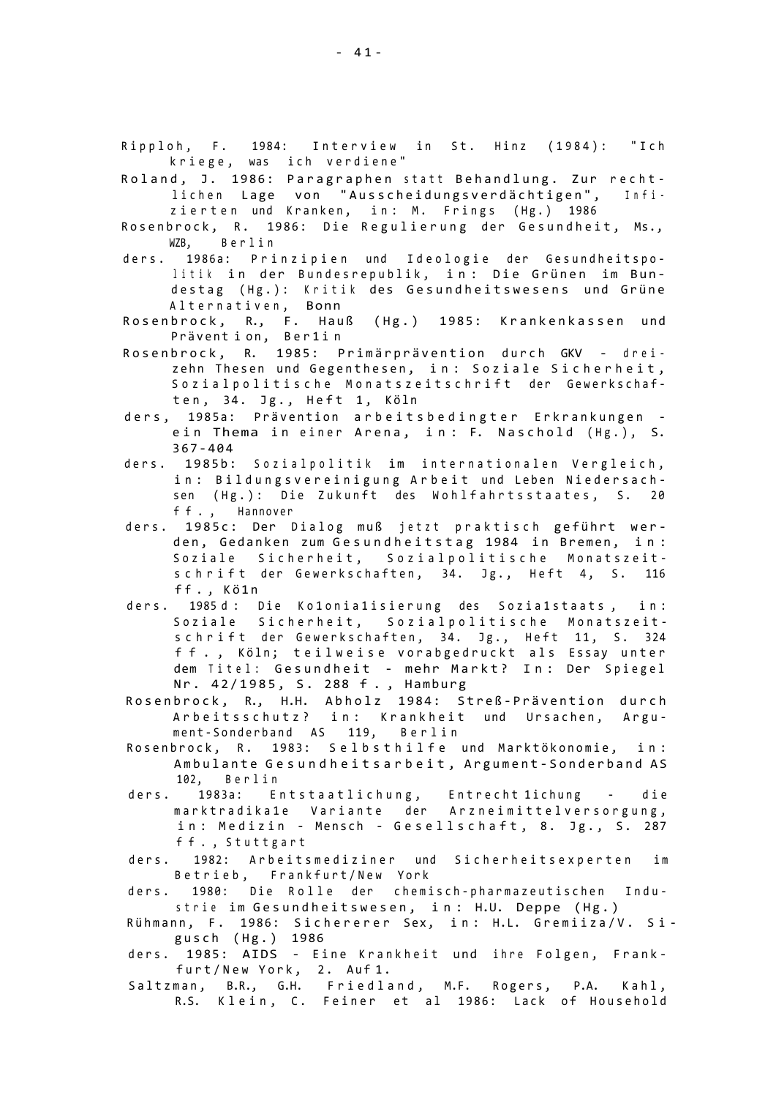- Ripploh, F. 1984: Interview in St. Hinz (1984): "Ich kriege, was ich verdiene"
- Roland, J. 1986: Paragraphen statt Behandlung. Zur rechtlichen Lage von "Ausscheidungsverdächtigen", Infizierten und Kranken, in: M. Frings (Hg.) 1986
- Rosenbrock, R. 1986: Die Regulierung der Gesundheit, Ms., WZB, Berlin
- ders. 1986a: Prinzipien und Ideologie der Gesundheitspolitik in der Bundesrepublik, in: Die Grünen im Bundestag (Hg.): Kritik des Gesundheitswesens und Grüne Alternativen, Bonn
- Rosenbrock, R., F. Hauß (Hg.) 1985: Krankenkassen und Prävent i on, Ber1in
- Rosenbrock, R. 1985: Primärprävention durch GKV dreizehn Thesen und Gegenthesen, in: Soziale Sicherheit, Sozialpolitische Monatszeitschrift der Gewerkschaften, 34. Jg., Heft 1, Köln
- ders, 1985a: Prävention arbeitsbedingter Erkrankungen ein Thema in einer Arena, in: F. Naschold (Hg.), S. 367-40 4
- ders. 1985b: Sozialpolitik im internationalen Vergleich, in: Bildungsvereinigung Arbeit und Leben Niedersachsen (Hg.): Die Zukunft des Wohlfahrtsstaates, S. 20 ff., Hannover
- ders. 1985c: Der Dialog muß jetzt praktisch geführt werden, Gedanken zum Gesundheitstag 1984 in Bremen, in: Soziale Sicherheit, Sozialpolitische Monatszeitschrift der Gewerkschaften, 34. Jg., Heft 4, S. 116 ff., Kö1n
- ders. 1985 d: Die Ko1onia1isierung des Sozia1staats, in: Soziale Sicherheit, Sozialpolitische Monatszeitschrift der Gewerkschaften, 34. Jg., Heft 11, S. 324 ff., Köln; teilweise vorabgedruckt als Essay unter dem Titel: Gesundheit - mehr Markt? In: Der Spiegel Nr. 42/1985, S. 288 f., Hamburg
- Rosenbrock, R., H.H. Abholz 1984: Streß-Prävention durch Arbeitsschutz? in: Krankheit und Ursachen, Argument-Sonderband AS 119, Berlin
- Rosenbrock, R. 1983: Selbsthilfe und Marktökonomie, in: Ambulante Gesundheitsarbeit, Argument-Sonderband AS 102, Berlin
- ders. 1983a: Entstaatlichung, Entrecht 1ichung die marktradika1e Variante der Arzneimittelversorgung, in: Medizin - Mensch - Gesellschaft, 8. Jg., S. 287 ff., Stuttgart
- ders. 1982: Arbeitsmediziner und Sicherheitsexperten im Betrieb, Frankfurt/New York
- ders. 1980: Die Rolle der chemisch-pharmazeutischen Industrie im Gesundheitswesen, in: H.U. Deppe (Hg.)
- Rühmann, F. 1986: Sichererer Sex, in: H.L. Gremiiza/V. Sigusch (Hg.) 1986
- ders. 1985: AIDS Eine Krankheit und ihre Folgen, Frankfurt/New York, 2. Auf 1.
- Saltzman, B.R., G.H. Friedland, M.F. Rogers, P.A. Kahl, R.S. Klein, C. Feiner et al 1986: Lack of Household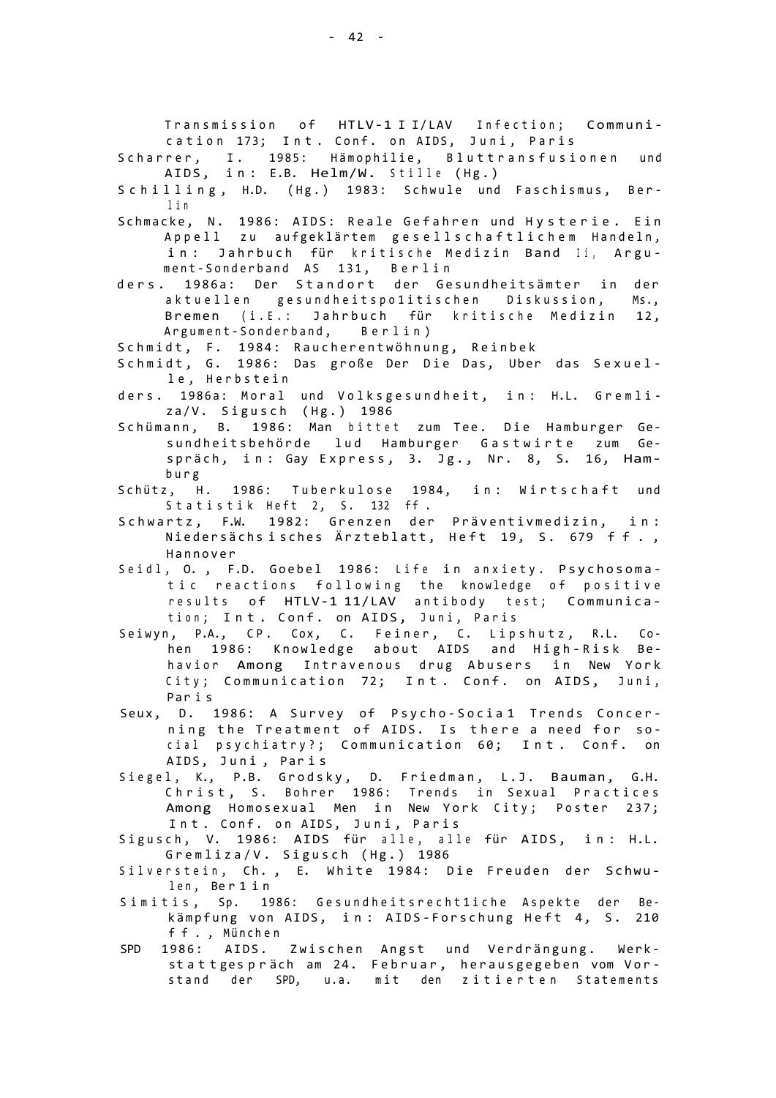Transmission of HTLV-1 I I/LAV Infection; Communication 173; Int. Conf. on AIDS, Juni, Paris

Scharrer, I. 1985: Hämophilie, Bluttransfusionen und AIDS, in: E.B. Helm/W. Stille (Hg.)

Schilling, H.D. (Hg.) 1983: Schwule und Faschismus, Berl i <sup>n</sup>

- Schmacke, N. 1986: AIDS: Reale Gefahren und Hysterie. Ein Appell zu aufgeklärtem gesellschaftlichem Handeln, in: Jahrbuch für kritische Medizin Band Ii, Argument-Sonderband AS 131, Berlin
- ders. 1986a: Der Standort der Gesundheitsämter in der aktuellen gesundheitspo1itischen Diskussion, Ms., Bremen (i.E.: Jahrbuch für kritische Medizin 12, Argument-Sonderband, Berlin)

Schmidt, F. 1984: Raucherentwöhnung, Reinbek

- Schmidt, G. 1986: Das große Der Die Das, Uber das Sexuelle, Herbstein
- ders. 1986a: Moral und Volksgesundheit, in: H.L. Gremliza/V. Sigusch (Hg.) 1986
- Schümann, B. 1986: Man bittet zum Tee. Die Hamburger Gesundheitsbehörde lud Hamburger Gastwirte zum Gespräch, in: Gay Express, 3. Jg., Nr. 8, S. 16, Hambur g
- Schütz, H. 1986: Tuberkulose 1984, in: Wirtschaft und Statistik Heft 2, S. 132 ff.
- Schwartz, F.W. 1982: Grenzen der Präventivmedizin, in: Niedersächs i sches Ärzteblatt, Heft 19, S. 679 ff., Hannove r
- Seidl, O., F.D. Goebel 1986: Life in anxiety. Psychosomatic reactions following the knowledge of positive results of HTLV-1 11/LAV antibody test; Communication; Int. Conf. on AIDS, Juni, Paris
- Seiwyn, P.A., CP. Cox, C. Feiner, C. Lipshutz, R.L. Cohen 1986: Knowledge about AIDS and High-Risk Behavior Among Intravenous drug Abusers in New York City; Communication 72; Int. Conf. on AIDS, Juni, Par i s
- Seux, D. 1986: A Survey of Psycho-Socia1 Trends Concerning the Treatment of AIDS. Is there a need for social psychiatry?; Communication 60; Int. Conf. on AIDS, Juni, Paris
- Siegel, K., P.B. Grodsky, D. Friedman, L.J. Bauman, G.H. Christ, S. Bohrer 1986: Trends in Sexual Practices Among Homosexual Men in New York City; Poster 237; Int. Conf. on AIDS, Juni, Paris
- Sigusch, V. 1986: AIDS für alle, alle für AIDS, in: H.L. Gremliza/V. Sigusch (Hg.) 1986
- Silverstein, Ch., E. White 1984: Die Freuden der Schwulen , Be r 1 i n
- Simitis, Sp. 1986: Gesundheitsrecht1iche Aspekte der Bekämpfung von AIDS, in: AIDS-Forschung Heft 4, S. 210 ff. , Münc h e n
- SPD 1986: AIDS. Zwischen Angst und Verdrängung. Werkstattges präch am 24. Februar, herausgegeben vom Vorstand der SPD, u.a. mit den zitierten Statements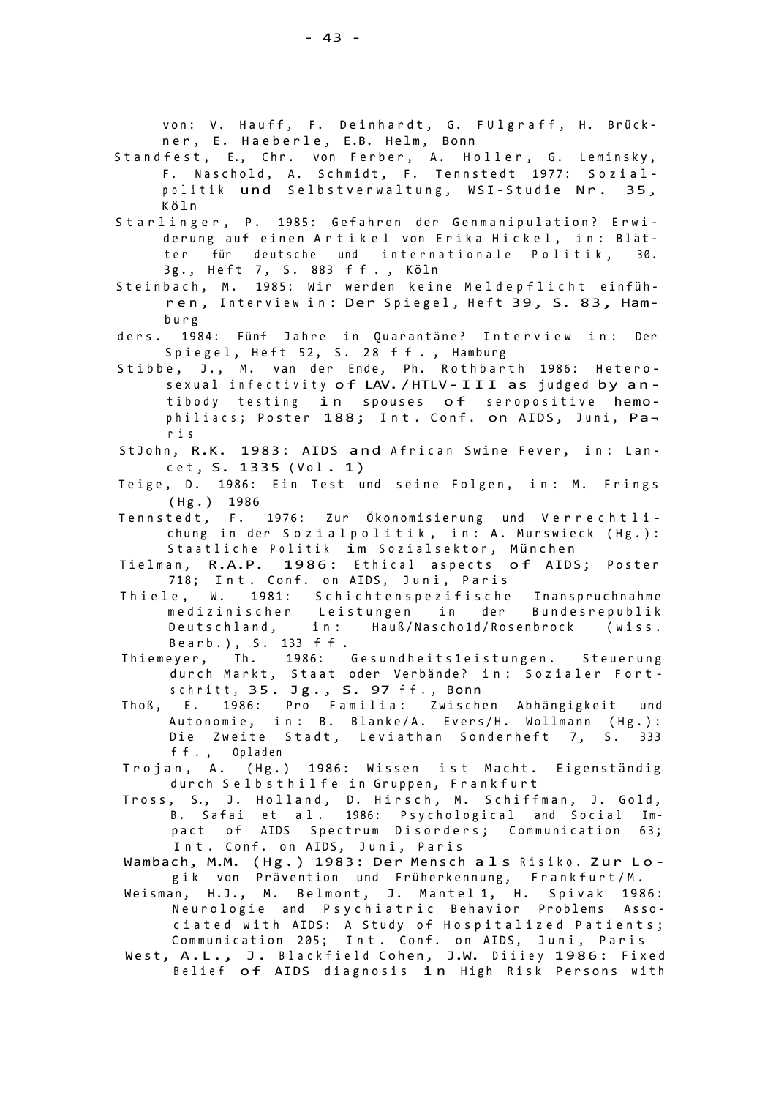- Standfest, E., Chr. von Ferber, A. Holler, G. Leminsky, F. Naschold, A. Schmidt, F. Tennstedt 1977: Sozialpolitik und Selbstverwaltung, WSI-Studie Nr. 35, Köl n
- Starlinger, P. 1985: Gefahren der Genmanipulation? Erwiderung auf einen Artikel von Erika Hickel, in: Blätter für deutsche und internationale Politik, 30. 3g., Heft 7, S. 883 ff., Köln
- Steinbach, M. 1985: Wir werden keine Meldepflicht einführen, Interview in: Der Spiegel, Heft 39, S. 83, Hambur g
- ders. 1984: Fünf Jahre in Quarantäne? Interview in: Der Spiegel, Heft 52, S. 28 ff., Hamburg
- Stibbe, J., M. van der Ende, Ph. Rothbarth 1986: Heterosexual infectivity of LAV. / HTLV - III as judged by antibody testing in spouses of seropositive hemophiliacs; Poster 188; Int. Conf. on AIDS, Juni, Par i s
- StJohn, R.K. 1983: AIDS and African Swine Fever, in: Lancet, S. 1335 (Vol. 1)
- Teige, D. 1986: Ein Test und seine Folgen, in: M. Frings (Hg. ) 1986
- Tennstedt, F. 1976: Zur Ökonomisierung und Verrechtlichung in der Sozialpolitik, in: A. Murswieck (Hg.): Staatliche Politik im Sozialsektor, München
- Tielman, R.A.P. 1986: Ethical aspects of AIDS; Poster 718; Int. Conf. on AIDS, Juni, Paris
- Thiele, W. 1981: Schichtenspezifische Inanspruchnahme medizinischer Leistungen in der Bundesrepublik Deutschland, in: Hauß/Nascho1d/Rosenbrock (wiss. Bearb.), S. 133 ff.
- Thiemeyer, Th. 1986: Gesundheits1eistungen. Steuerung durch Markt, Staat oder Verbände? in: Sozialer Fortschritt, 35. Jg., S. 97 ff., Bonn
- Thoß, E. 1986: Pro Familia: Zwischen Abhängigkeit und Autonomie, in: B. Blanke/A. Evers/H. Wollmann (Hg.): Die Zweite Stadt, Leviathan Sonderheft 7, S. 333 ff. , Oplade n
- Trojan, A. (Hg.) 1986: Wissen ist Macht. Eigenständig durch Selbsthilfe in Gruppen, Frankfurt
- Tross, S., J. Holland, D. Hirsch, M. Schiffman, J. Gold, B. Safai et al. 1986: Psychological and Social Impact of AIDS Spectrum Disorders; Communication 63; Int. Conf. on AIDS, Juni, Paris
- Wambach, M.M. (Hg.) 1983: Der Mensch als Risiko. Zur Logik von Prävention und Früherkennung, Frankfurt/M.
- Weisman, H.J., M. Belmont, J. Mantel 1, H. Spivak 1986: Neurologie and Psychiatric Behavior Problems Associated with AIDS: A Study of Hospitalized Patients; Communication 205; Int. Conf. on AIDS, Juni, Paris
- West, A.L., J. Blackfield Cohen, J.W. Diiiey 1986: Fixed Belief of AIDS diagnosis in High Risk Persons with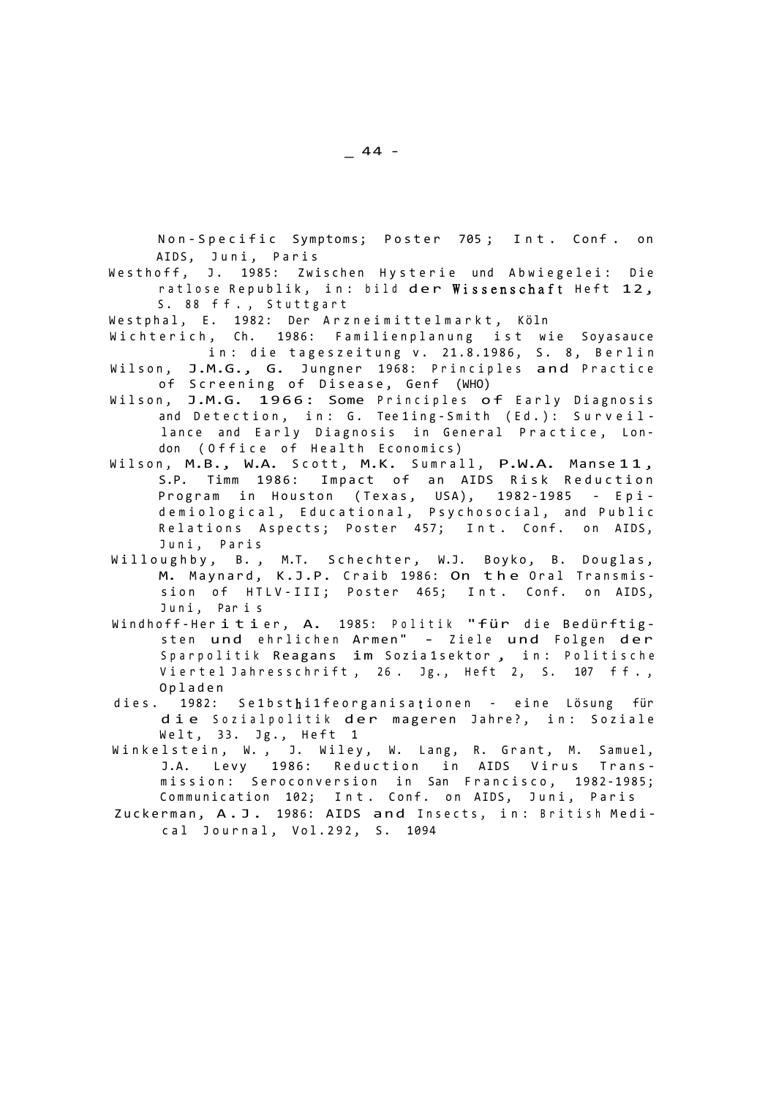Non-Specific Symptoms; Poster 705; Int. Conf. on AIDS, Juni, Paris

Westhoff, J. 1985: Zwischen Hysterie und Abwiegelei: Die ratlose Republik, in: bild der Wissenschaft Heft 12, S. 88 ff., Stuttgart

Westphal, E. 1982: Der Arzneimittelmarkt, Köln

- Wichterich, Ch. 1986: Familienplanung ist wie Soyasauce in: die tageszeitung v. 21.8.1986, S. 8, Berlin Wilson, J.M.G., G. Jungner 1968: Principles and Practice
- of Screening of Disease, Genf (WHO)
- Wilson, J.M.G. 1966: Some Principles of Early Diagnosis and Detection, in: G. Tee1ing-Smith (Ed.): Surveillance and Early Diagnosis in General Practice, London (Office of Health Economics)
- Wilson, M.B., W.A. Scott, M.K. Sumrall, P.W.A. Manse 11, S.P. Timm 1986: Impact of an AIDS Risk Reduction Program in Houston (Texas, USA), 1982-1985 - Epidemiological, Educational, Psychosocial, and Public Relations Aspects; Poster 457; Int. Conf. on AIDS, Juni, Paris
- Willoughby, B., M.T. Schechter, W.J. Boyko, B. Douglas, M. Maynard, K.J.P. Craib 1986: On the Oral Transmission of HTLV-III; Poster 465; Int. Conf. on AIDS, Juni, Paris
- Windhoff-Heritier, A. 1985: Politik "für die Bedürftigsten und ehrlichen Armen" - Ziele und Folgen der Sparpolitik Reagans im Sozia 1sektor, in: Politische Viertel Jahresschrift, 26. Jg., Heft 2, S. 107 ff., Oplade n
- dies. 1982: Se1bsthi1feorganisationen eine Lösung für die Sozialpolitik der mageren Jahre?, in: Soziale Welt, 33. Jg., Heft 1
- Winkelstein, W., J. Wiley, W. Lang, R. Grant, M. Samuel, J.A. Levy 1986: Reduction in AIDS Virus Transmission: Seroconversion in San Francisco, 1982-1985; Communication 102; Int. Conf. on AIDS, Juni, Paris
- Zuckerman, A.J. 1986: AIDS and Insects, in: British Medical Journal, Vol.292, S. 1094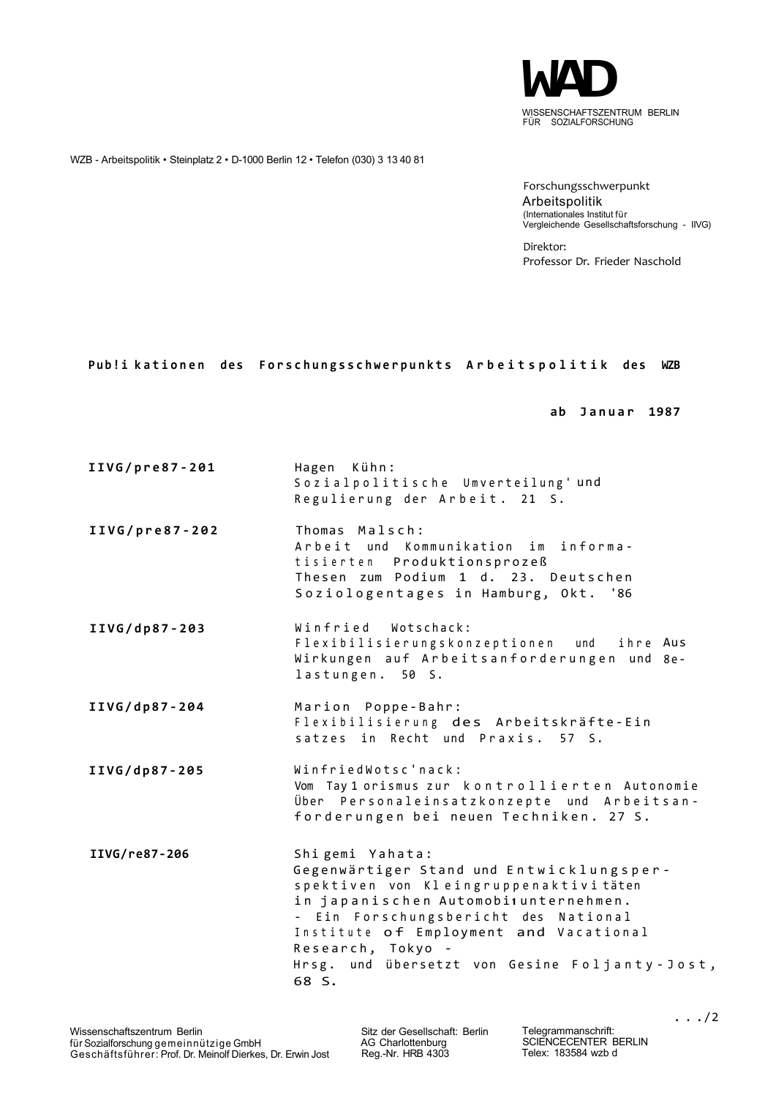

WZB - Arbeitspolitik • Steinplatz 2 • D-1000 Berlin 12 • Telefon (030) 3 13 40 81

Forschungsschwerpunkt Arbeitspolitik (Internationales Institut für Vergleichende Gesellschaftsforschung - IIVG)

Direktor: Professor Dr. Frieder Naschold

## Pub!i kationen des Forschungsschwerpunkts Arbeitspolitik des WZB

**ab Janua r 1987** 

**IIVG/pre87-201** Hagen Kühn: Sozialpolitische Umverteilung'und Regulierung der Arbeit. 21 S. **IIVG/pre87-202** Thomas Malsch: Arbeit und Kommunikation im informatisierten Produktionsprozeß Thesen zum Podium 1 d. 23. Deutschen Soziologentages in Hamburg, Okt. '86 IIVG/dp87-203 Winfried Wotschack: Flexibilisierungskonzeptionen und Wirkungen auf Arbeitsanforderungen und 8elastungen. 50 S. ihre Aus IIVG/dp87-204 Marion Poppe-Bahr: Flexibilisierung des Arbeitskräfte-Ein satzes in Recht und Praxis. 57 S. **IIVG/dp87-20 5** WinfriedWotsc'nack : Vom Tay 1 orismus zur kontrollierten Autonomie Über Personaleinsatzkonzepte und Arbeitsanforderungen bei neuen Techniken. 27 S. IIVG/re87-206 Shigemi Yahata: Gegenwärtiger Stand und Entwicklungsperspektiven von Kleingruppenaktivi täten in japanischen Automobi<sub>1</sub> unternehmen. - Ein Forschungsbericht des National Institute of Employment and Vacational Research, Tokyo -Hrsg. und übersetzt von Gesine Foljanty-Jost, 68 S.

Sitz der Gesellschaft: Berlin AG Charlottenburg Reg.-Nr. HRB 4303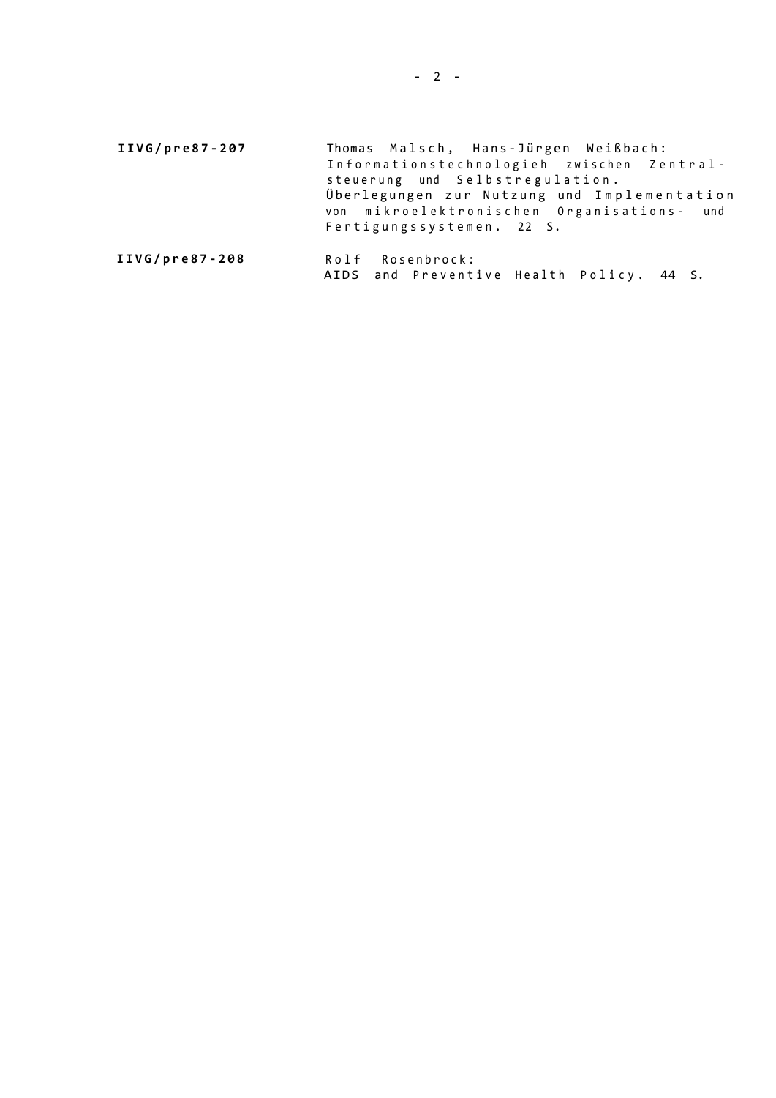**IIVG/pre87-207** Thomas Malsch, Hans-Jürgen Weißbach: Informationstechnologieh zwischen Zentralsteuerung und Selbstregulation. Überlegungen zur Nutzung und Implementation von mikroelektronischen Organisations- und Fertigungssystemen. 22 S.

```
IIVG/pre87-208 Rolf Rosenbrock:
       AIDS and Preventive Health Policy. 44 S.
```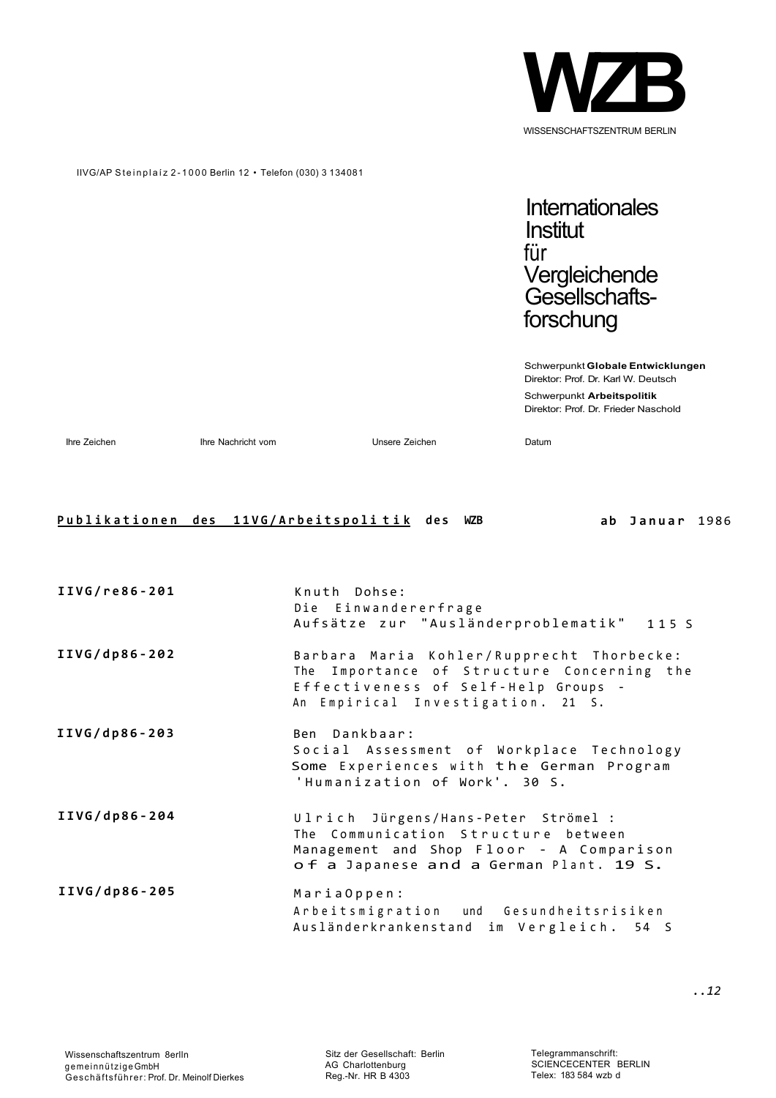

# IIVG/AP Steinplaíz 2-1000 Berlin 12 · Telefon (030) 3 134081

**Internationales Institut** für Vergleichende Gesellschaftsforschung

Schwerpunkt **Globale Entwicklungen**  Direktor: Prof. Dr. Karl W. Deutsch Schwerpunkt **Arbeitspolitik**  Direktor: Prof. Dr. Frieder Naschold

Ihre Zeichen Ihre Nachricht vom Unsere Zeichen Datum

## **Publikationen des 11VG/Arbeitspolitik** des WZB ab Januar 1986

| IIVG/re86-201 | Knuth Dohse:<br>Die Einwandererfrage<br>Aufsätze zur "Ausländerproblematik" 115 S                                                                                   |
|---------------|---------------------------------------------------------------------------------------------------------------------------------------------------------------------|
| IIVG/dp86-202 | Barbara Maria Kohler/Rupprecht Thorbecke:<br>The Importance of Structure Concerning the<br>Effectiveness of Self-Help Groups -<br>An Empirical Investigation. 21 S. |
| IIVG/dp86-203 | Ben Dankbaar:<br>Social Assessment of Workplace Technology<br>Some Experiences with the German Program<br>'Humanization of Work'. 30 S.                             |
| IIVG/dp86-204 | Ulrich Jürgens/Hans-Peter Strömel :<br>The Communication Structure between<br>Management and Shop Floor - A Comparison<br>of a Japanese and a German Plant. 19 S.   |
| IIVG/dp86-205 | MariaOppen:<br>Arbeitsmigration und Gesundheitsrisiken<br>Ausländerkrankenstand im Vergleich. 54 S                                                                  |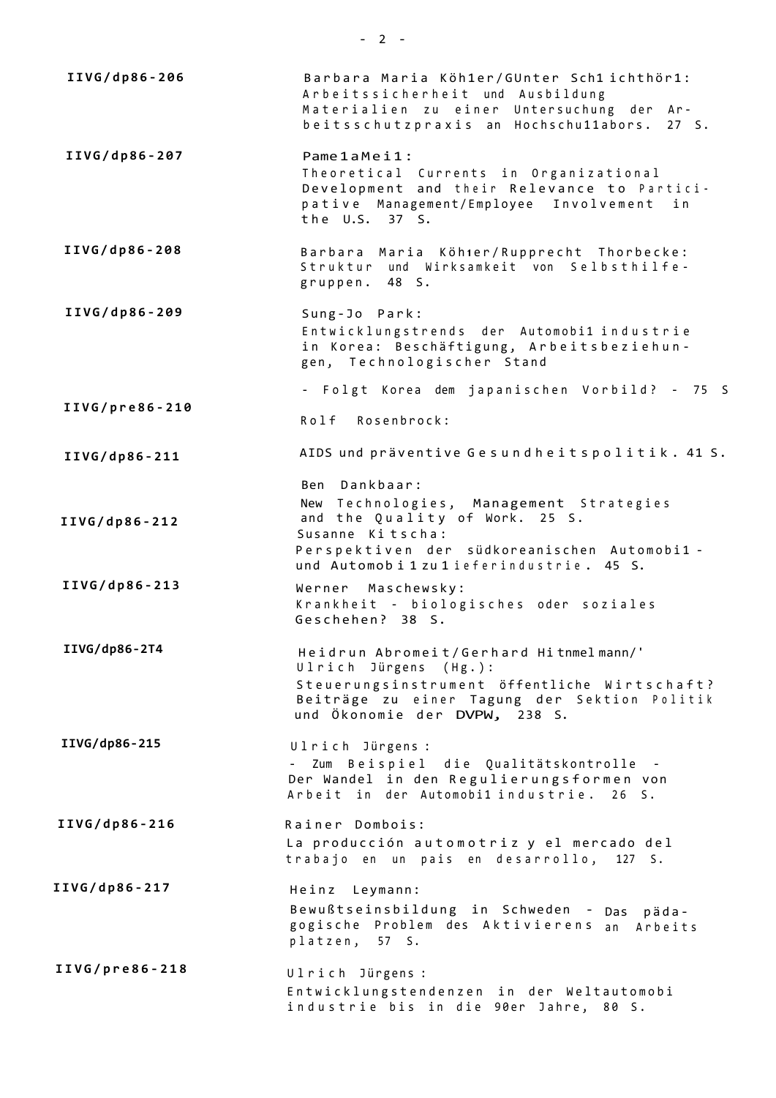**IIVG/dp86-20 6 IIVG/dp86-20 7 IIVG/dp86-20 8 IIVG/dp86-20 9 IIVG/pre86-21 0 IIVG/dp86-21 1 IIVG/dp86-21 2 IIVG/dp86-21 3 IIVG/dp86-2T4 IIVG/dp86-215 IIVG/dp86-21 6 IIVG/dp86-21 7 IIVG/pre86-21 8**  Barbara Maria Köh1er/GUnter Sch1 ichthör1: Arbeitssicherheit und Ausbildung Materialien zu einer Untersuchung der Arbeitsschutzpraxis an Hochschu11abors. 27 S. Pame 1 a Mei1 : Theoretical Currents in Organizational Development and their Relevance to Participative Management/Employee Involvement in  $the$  U.S.  $37$  S. Barbara Maria Köh 1er/Rupprecht Thorbecke: Struktur und Wirksamkeit von Selbsthilfegruppen. 48 S. Sung-Jo Park : Entwicklungstrends der Automobi1 industrie in Korea: Beschäftigung, Arbeitsbeziehungen, Technologischer Stand - Folgt Korea dem japanischen Vorbild? - 75 S Rolf Rosenbrock: AIDS und präventive Gesundheitspolitik. 41 S. Ben Dankbaar : New Technologies, Management Strategies and the Quality of Work. 25 S. Susanne Kitscha: Perspektiven der südkoreanischen Automobi1 und Automobi 1 zu 1 ieferindustrie. 45 S. Werner Maschewsky: Krankheit - biologisches oder soziales Geschehen ? 38 S. Heidrun Abromeit/Gerhard Hitnmelmann/' Ulrich Jürgens (Hg.): Steuerungsinstrument öffentliche Wirtschaft? Beiträge zu einer Tagung der Sektion Politik und Ökonomie der DVPW, 238 S. Ulrich Jürgens : - Zum Beispiel die Qualitätskontrolle -Der Wandel in den Regulierungsformen von Arbeit in der Automobi1 industrie. 26 S. Rainer Dombois: La producción automotriz y el mercado del trabajo en un pais en desarrollo, 127 S. Heinz Leymann: Bewußtseinsbildung in Schweden - Das pädagogische Problem des Aktivierens an Arbeits platzen, 57 S. Ulrich Jürgens : Entwicklungstendenzen in der Weltautomobi industrie bis in die 90er Jahre, 80 S.

 $- 2 -$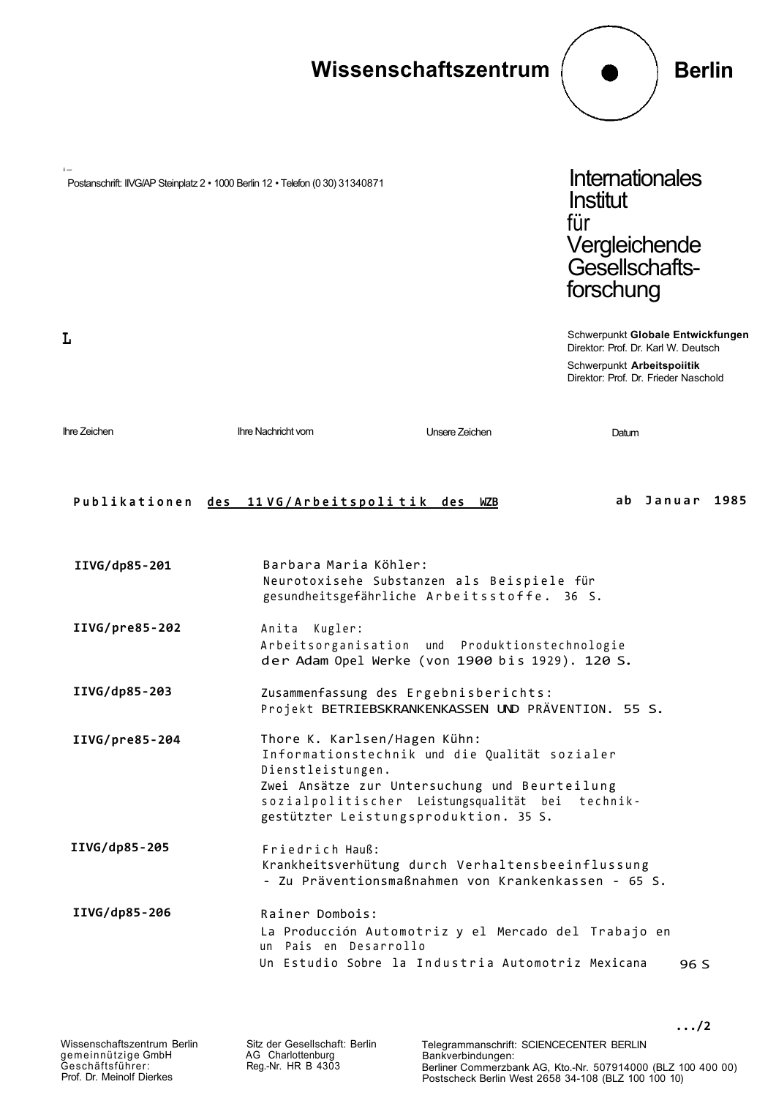

Reg.-Nr. HR B 4303